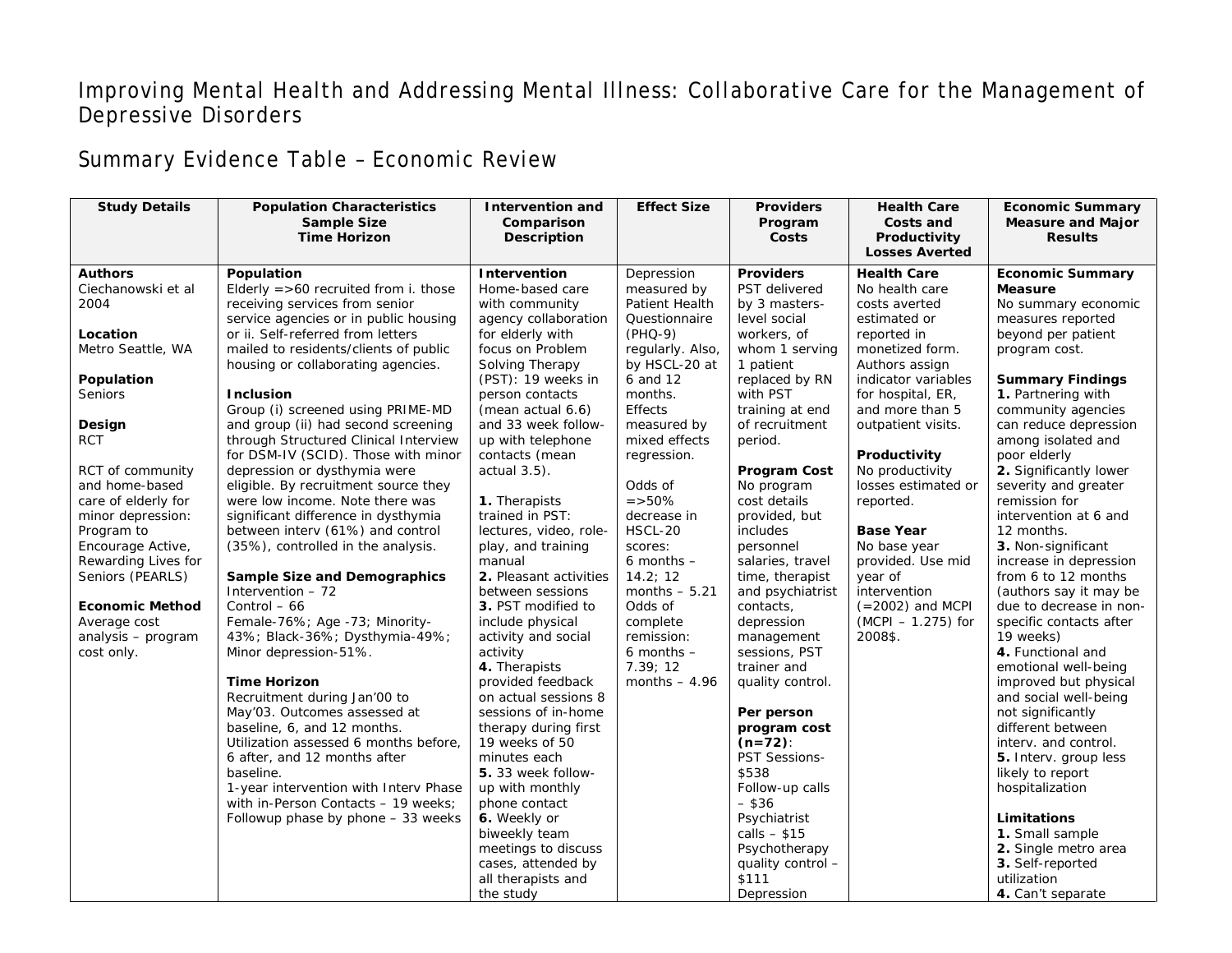## Improving Mental Health and Addressing Mental Illness: Collaborative Care for the Management of Depressive Disorders

## Summary Evidence Table – Economic Review

| <b>Study Details</b>   | <b>Population Characteristics</b><br><b>Sample Size</b><br><b>Time Horizon</b> | <b>Intervention and</b><br>Comparison<br>Description | <b>Effect Size</b> | <b>Providers</b><br>Program<br>Costs | <b>Health Care</b><br>Costs and<br>Productivity<br><b>Losses Averted</b> | <b>Economic Summary</b><br><b>Measure and Major</b><br><b>Results</b> |
|------------------------|--------------------------------------------------------------------------------|------------------------------------------------------|--------------------|--------------------------------------|--------------------------------------------------------------------------|-----------------------------------------------------------------------|
| <b>Authors</b>         | Population                                                                     | Intervention                                         | Depression         | <b>Providers</b>                     | <b>Health Care</b>                                                       | <b>Economic Summary</b>                                               |
| Ciechanowski et al     | Elderly $=$ >60 recruited from i. those                                        | Home-based care                                      | measured by        | PST delivered                        | No health care                                                           | <b>Measure</b>                                                        |
| 2004                   | receiving services from senior                                                 | with community                                       | Patient Health     | by 3 masters-                        | costs averted                                                            | No summary economic                                                   |
|                        | service agencies or in public housing                                          | agency collaboration                                 | Questionnaire      | level social                         | estimated or                                                             | measures reported                                                     |
| Location               | or ii. Self-referred from letters                                              | for elderly with                                     | $(PHQ-9)$          | workers, of                          | reported in                                                              | beyond per patient                                                    |
| Metro Seattle, WA      | mailed to residents/clients of public                                          | focus on Problem                                     | regularly. Also,   | whom 1 serving                       | monetized form.                                                          | program cost.                                                         |
|                        | housing or collaborating agencies.                                             | Solving Therapy                                      | by HSCL-20 at      | 1 patient                            | Authors assign                                                           |                                                                       |
| Population             |                                                                                | (PST): 19 weeks in                                   | 6 and 12           | replaced by RN                       | indicator variables                                                      | <b>Summary Findings</b>                                               |
| Seniors                | <b>Inclusion</b>                                                               | person contacts                                      | months.            | with PST                             | for hospital, ER,                                                        | 1. Partnering with                                                    |
|                        | Group (i) screened using PRIME-MD                                              | (mean actual 6.6)                                    | <b>Effects</b>     | training at end                      | and more than 5                                                          | community agencies                                                    |
| Design                 | and group (ii) had second screening                                            | and 33 week follow-                                  | measured by        | of recruitment                       | outpatient visits.                                                       | can reduce depression                                                 |
| <b>RCT</b>             | through Structured Clinical Interview                                          | up with telephone                                    | mixed effects      | period.                              |                                                                          | among isolated and                                                    |
|                        | for DSM-IV (SCID). Those with minor                                            | contacts (mean                                       | regression.        |                                      | Productivity                                                             | poor elderly                                                          |
| RCT of community       | depression or dysthymia were                                                   | $actual 3.5$ ).                                      |                    | <b>Program Cost</b>                  | No productivity                                                          | 2. Significantly lower                                                |
| and home-based         | eligible. By recruitment source they                                           |                                                      | Odds of            | No program                           | losses estimated or                                                      | severity and greater                                                  |
| care of elderly for    | were low income. Note there was                                                | 1. Therapists                                        | $=$ > 50%          | cost details                         | reported.                                                                | remission for                                                         |
| minor depression:      | significant difference in dysthymia                                            | trained in PST:                                      | decrease in        | provided, but                        |                                                                          | intervention at 6 and                                                 |
| Program to             | between interv (61%) and control                                               | lectures, video, role-                               | HSCL-20            | includes                             | <b>Base Year</b>                                                         | 12 months.                                                            |
| Encourage Active,      | (35%), controlled in the analysis.                                             | play, and training                                   | scores:            | personnel                            | No base year                                                             | 3. Non-significant                                                    |
| Rewarding Lives for    |                                                                                | manual                                               | $6$ months $-$     | salaries, travel                     | provided. Use mid                                                        | increase in depression                                                |
| Seniors (PEARLS)       | <b>Sample Size and Demographics</b>                                            | 2. Pleasant activities                               | 14.2; 12           | time, therapist                      | year of                                                                  | from 6 to 12 months                                                   |
|                        | Intervention $-72$                                                             | between sessions                                     | months $-5.21$     | and psychiatrist                     | intervention                                                             | (authors say it may be                                                |
| <b>Economic Method</b> | Control $-66$                                                                  | 3. PST modified to                                   | Odds of            | contacts,                            | $(=2002)$ and MCPI                                                       | due to decrease in non-                                               |
| Average cost           | Female-76%; Age -73; Minority-                                                 | include physical                                     | complete           | depression                           | (MCPI - 1.275) for                                                       | specific contacts after                                               |
| analysis - program     | 43%; Black-36%; Dysthymia-49%;                                                 | activity and social                                  | remission:         | management                           | 2008\$.                                                                  | 19 weeks)                                                             |
| cost only.             | Minor depression-51%.                                                          | activity                                             | $6$ months $-$     | sessions, PST                        |                                                                          | 4. Functional and                                                     |
|                        |                                                                                | 4. Therapists                                        | 7.39; 12           | trainer and                          |                                                                          | emotional well-being                                                  |
|                        | <b>Time Horizon</b>                                                            | provided feedback                                    | months $-4.96$     | quality control.                     |                                                                          | improved but physical                                                 |
|                        | Recruitment during Jan'00 to                                                   | on actual sessions 8                                 |                    |                                      |                                                                          | and social well-being                                                 |
|                        | May'03. Outcomes assessed at                                                   | sessions of in-home                                  |                    | Per person                           |                                                                          | not significantly                                                     |
|                        | baseline, 6, and 12 months.                                                    | therapy during first                                 |                    | program cost                         |                                                                          | different between                                                     |
|                        | Utilization assessed 6 months before,                                          | 19 weeks of 50                                       |                    | $(n=72)$ :                           |                                                                          | interv. and control.                                                  |
|                        | 6 after, and 12 months after                                                   | minutes each                                         |                    | <b>PST Sessions-</b>                 |                                                                          | 5. Interv. group less                                                 |
|                        | baseline.                                                                      | 5.33 week follow-                                    |                    | \$538                                |                                                                          | likely to report                                                      |
|                        | 1-year intervention with Interv Phase                                          | up with monthly                                      |                    | Follow-up calls                      |                                                                          | hospitalization                                                       |
|                        | with in-Person Contacts - 19 weeks;                                            | phone contact                                        |                    | $-$ \$36                             |                                                                          |                                                                       |
|                        | Followup phase by phone - 33 weeks                                             | 6. Weekly or                                         |                    | Psychiatrist                         |                                                                          | Limitations                                                           |
|                        |                                                                                | biweekly team                                        |                    | calls $-$ \$15                       |                                                                          | 1. Small sample                                                       |
|                        |                                                                                | meetings to discuss                                  |                    | Psychotherapy                        |                                                                          | 2. Single metro area                                                  |
|                        |                                                                                | cases, attended by                                   |                    | quality control -                    |                                                                          | 3. Self-reported                                                      |
|                        |                                                                                | all therapists and                                   |                    | \$111                                |                                                                          | utilization                                                           |
|                        |                                                                                | the study                                            |                    | Depression                           |                                                                          | 4. Can't separate                                                     |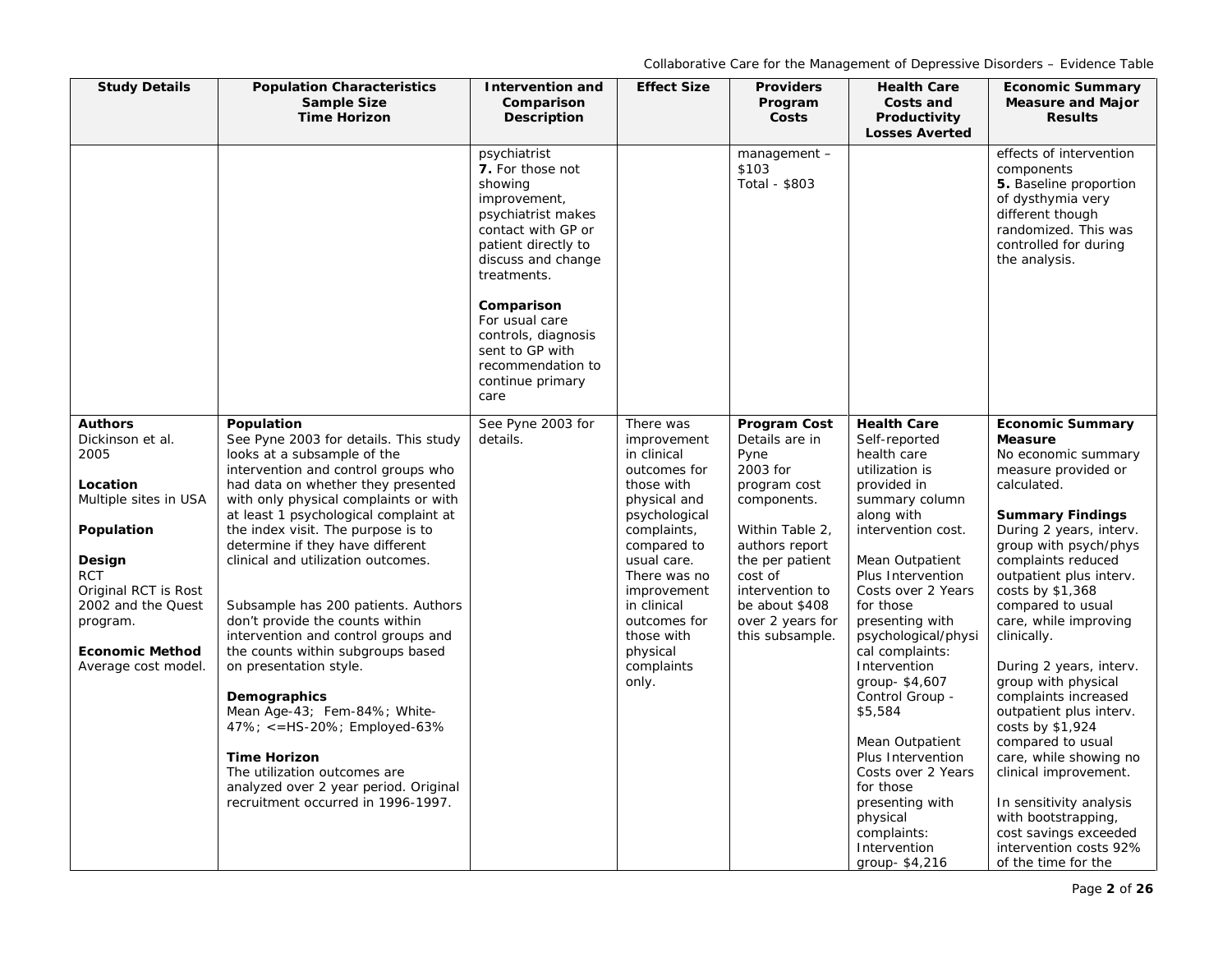| <b>Study Details</b>                                                                                                                                                                                                             | <b>Population Characteristics</b><br><b>Sample Size</b><br><b>Time Horizon</b>                                                                                                                                                                                                                                                                                                                                                                                                                                                                                                                                                                                                                                                                                          | <b>Intervention and</b><br>Comparison<br>Description                                                                                                                                                                                                                                           | <b>Effect Size</b>                                                                                                                                                                                                                                                 | <b>Providers</b><br>Program<br>Costs                                                                                                                                                                                             | <b>Health Care</b><br>Costs and<br>Productivity<br><b>Losses Averted</b>                                                                                                                                                                                                                                                                                                                                                                                                                                   | <b>Economic Summary</b><br><b>Measure and Major</b><br><b>Results</b>                                                                                                                                                                                                                                                                                                                                                                                                                                                                                                                                                                                |
|----------------------------------------------------------------------------------------------------------------------------------------------------------------------------------------------------------------------------------|-------------------------------------------------------------------------------------------------------------------------------------------------------------------------------------------------------------------------------------------------------------------------------------------------------------------------------------------------------------------------------------------------------------------------------------------------------------------------------------------------------------------------------------------------------------------------------------------------------------------------------------------------------------------------------------------------------------------------------------------------------------------------|------------------------------------------------------------------------------------------------------------------------------------------------------------------------------------------------------------------------------------------------------------------------------------------------|--------------------------------------------------------------------------------------------------------------------------------------------------------------------------------------------------------------------------------------------------------------------|----------------------------------------------------------------------------------------------------------------------------------------------------------------------------------------------------------------------------------|------------------------------------------------------------------------------------------------------------------------------------------------------------------------------------------------------------------------------------------------------------------------------------------------------------------------------------------------------------------------------------------------------------------------------------------------------------------------------------------------------------|------------------------------------------------------------------------------------------------------------------------------------------------------------------------------------------------------------------------------------------------------------------------------------------------------------------------------------------------------------------------------------------------------------------------------------------------------------------------------------------------------------------------------------------------------------------------------------------------------------------------------------------------------|
|                                                                                                                                                                                                                                  |                                                                                                                                                                                                                                                                                                                                                                                                                                                                                                                                                                                                                                                                                                                                                                         | psychiatrist<br>7. For those not<br>showing<br>improvement,<br>psychiatrist makes<br>contact with GP or<br>patient directly to<br>discuss and change<br>treatments.<br>Comparison<br>For usual care<br>controls, diagnosis<br>sent to GP with<br>recommendation to<br>continue primary<br>care |                                                                                                                                                                                                                                                                    | management -<br>\$103<br>Total - \$803                                                                                                                                                                                           |                                                                                                                                                                                                                                                                                                                                                                                                                                                                                                            | effects of intervention<br>components<br>5. Baseline proportion<br>of dysthymia very<br>different though<br>randomized. This was<br>controlled for during<br>the analysis.                                                                                                                                                                                                                                                                                                                                                                                                                                                                           |
| <b>Authors</b><br>Dickinson et al.<br>2005<br>Location<br>Multiple sites in USA<br>Population<br>Design<br><b>RCT</b><br>Original RCT is Rost<br>2002 and the Quest<br>program.<br><b>Economic Method</b><br>Average cost model. | Population<br>See Pyne 2003 for details. This study<br>looks at a subsample of the<br>intervention and control groups who<br>had data on whether they presented<br>with only physical complaints or with<br>at least 1 psychological complaint at<br>the index visit. The purpose is to<br>determine if they have different<br>clinical and utilization outcomes.<br>Subsample has 200 patients. Authors<br>don't provide the counts within<br>intervention and control groups and<br>the counts within subgroups based<br>on presentation style.<br>Demographics<br>Mean Age-43; Fem-84%; White-<br>47%; <= HS-20%; Employed-63%<br><b>Time Horizon</b><br>The utilization outcomes are<br>analyzed over 2 year period. Original<br>recruitment occurred in 1996-1997. | See Pyne 2003 for<br>details.                                                                                                                                                                                                                                                                  | There was<br>improvement<br>in clinical<br>outcomes for<br>those with<br>physical and<br>psychological<br>complaints,<br>compared to<br>usual care.<br>There was no<br>improvement<br>in clinical<br>outcomes for<br>those with<br>physical<br>complaints<br>only. | Program Cost<br>Details are in<br>Pyne<br>2003 for<br>program cost<br>components.<br>Within Table 2,<br>authors report<br>the per patient<br>cost of<br>intervention to<br>be about \$408<br>over 2 years for<br>this subsample. | <b>Health Care</b><br>Self-reported<br>health care<br>utilization is<br>provided in<br>summary column<br>along with<br>intervention cost.<br>Mean Outpatient<br>Plus Intervention<br>Costs over 2 Years<br>for those<br>presenting with<br>psychological/physi<br>cal complaints:<br>Intervention<br>group-\$4,607<br>Control Group -<br>\$5,584<br>Mean Outpatient<br>Plus Intervention<br>Costs over 2 Years<br>for those<br>presenting with<br>physical<br>complaints:<br>Intervention<br>group-\$4,216 | <b>Economic Summary</b><br><b>Measure</b><br>No economic summary<br>measure provided or<br>calculated.<br><b>Summary Findings</b><br>During 2 years, interv.<br>group with psych/phys<br>complaints reduced<br>outpatient plus interv.<br>costs by \$1,368<br>compared to usual<br>care, while improving<br>clinically.<br>During 2 years, interv.<br>group with physical<br>complaints increased<br>outpatient plus interv.<br>costs by \$1,924<br>compared to usual<br>care, while showing no<br>clinical improvement.<br>In sensitivity analysis<br>with bootstrapping,<br>cost savings exceeded<br>intervention costs 92%<br>of the time for the |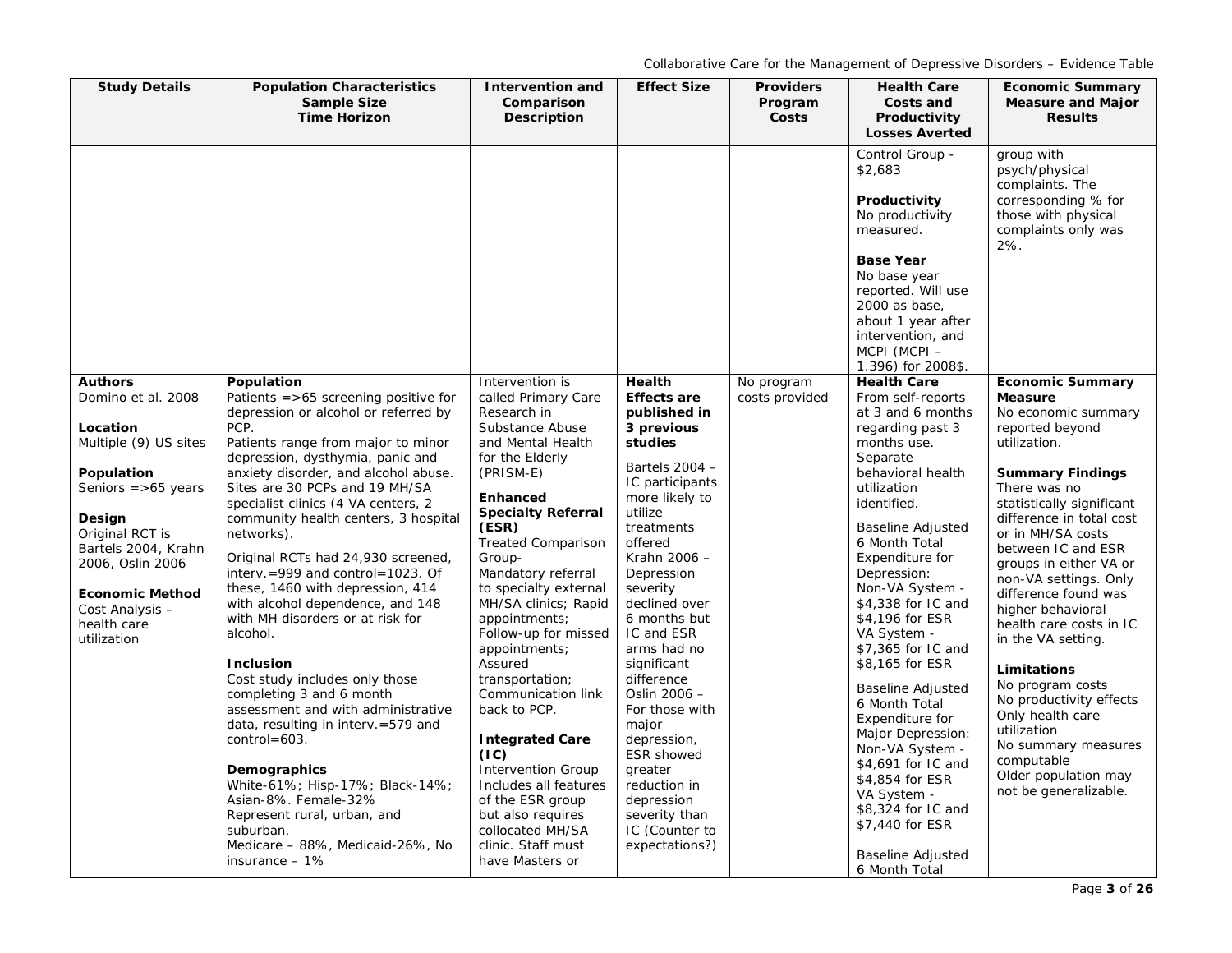| <b>Study Details</b>                                                                                                                                                                                                                                                | <b>Population Characteristics</b><br>Sample Size<br><b>Time Horizon</b>                                                                                                                                                                                                                                                                                                                                                                                                                                                                                                                                                                                                                                                                                                                                                                                                                                                         | <b>Intervention and</b><br>Comparison<br><b>Description</b>                                                                                                                                                                                                                                                                                                                                                                                                                                                                                                                                                                      | <b>Effect Size</b>                                                                                                                                                                                                                                                                                                                                                                                                                                                            | <b>Providers</b><br>Program<br>Costs | <b>Health Care</b><br>Costs and<br>Productivity<br><b>Losses Averted</b>                                                                                                                                                                                                                                                                                                                                                                                                                                                                                                                               | <b>Economic Summary</b><br><b>Measure and Major</b><br><b>Results</b>                                                                                                                                                                                                                                                                                                                                                                                                                                                                                                                      |
|---------------------------------------------------------------------------------------------------------------------------------------------------------------------------------------------------------------------------------------------------------------------|---------------------------------------------------------------------------------------------------------------------------------------------------------------------------------------------------------------------------------------------------------------------------------------------------------------------------------------------------------------------------------------------------------------------------------------------------------------------------------------------------------------------------------------------------------------------------------------------------------------------------------------------------------------------------------------------------------------------------------------------------------------------------------------------------------------------------------------------------------------------------------------------------------------------------------|----------------------------------------------------------------------------------------------------------------------------------------------------------------------------------------------------------------------------------------------------------------------------------------------------------------------------------------------------------------------------------------------------------------------------------------------------------------------------------------------------------------------------------------------------------------------------------------------------------------------------------|-------------------------------------------------------------------------------------------------------------------------------------------------------------------------------------------------------------------------------------------------------------------------------------------------------------------------------------------------------------------------------------------------------------------------------------------------------------------------------|--------------------------------------|--------------------------------------------------------------------------------------------------------------------------------------------------------------------------------------------------------------------------------------------------------------------------------------------------------------------------------------------------------------------------------------------------------------------------------------------------------------------------------------------------------------------------------------------------------------------------------------------------------|--------------------------------------------------------------------------------------------------------------------------------------------------------------------------------------------------------------------------------------------------------------------------------------------------------------------------------------------------------------------------------------------------------------------------------------------------------------------------------------------------------------------------------------------------------------------------------------------|
|                                                                                                                                                                                                                                                                     |                                                                                                                                                                                                                                                                                                                                                                                                                                                                                                                                                                                                                                                                                                                                                                                                                                                                                                                                 |                                                                                                                                                                                                                                                                                                                                                                                                                                                                                                                                                                                                                                  |                                                                                                                                                                                                                                                                                                                                                                                                                                                                               |                                      | Control Group -<br>\$2,683<br>Productivity<br>No productivity<br>measured.<br><b>Base Year</b><br>No base year<br>reported. Will use<br>2000 as base,<br>about 1 year after<br>intervention, and<br>MCPI (MCPI-<br>1.396) for 2008\$.                                                                                                                                                                                                                                                                                                                                                                  | group with<br>psych/physical<br>complaints. The<br>corresponding % for<br>those with physical<br>complaints only was<br>2%.                                                                                                                                                                                                                                                                                                                                                                                                                                                                |
| <b>Authors</b><br>Domino et al. 2008<br>Location<br>Multiple (9) US sites<br>Population<br>Seniors $=$ >65 years<br>Design<br>Original RCT is<br>Bartels 2004, Krahn<br>2006, Oslin 2006<br><b>Economic Method</b><br>Cost Analysis -<br>health care<br>utilization | Population<br>Patients $=$ >65 screening positive for<br>depression or alcohol or referred by<br>PCP.<br>Patients range from major to minor<br>depression, dysthymia, panic and<br>anxiety disorder, and alcohol abuse.<br>Sites are 30 PCPs and 19 MH/SA<br>specialist clinics (4 VA centers, 2<br>community health centers, 3 hospital<br>networks).<br>Original RCTs had 24,930 screened,<br>interv. = 999 and control = 1023. Of<br>these, 1460 with depression, 414<br>with alcohol dependence, and 148<br>with MH disorders or at risk for<br>alcohol.<br><b>Inclusion</b><br>Cost study includes only those<br>completing 3 and 6 month<br>assessment and with administrative<br>data, resulting in interv. = 579 and<br>$control = 603.$<br>Demographics<br>White-61%; Hisp-17%; Black-14%;<br>Asian-8%. Female-32%<br>Represent rural, urban, and<br>suburban.<br>Medicare - 88%, Medicaid-26%, No<br>insurance $-1\%$ | Intervention is<br>called Primary Care<br>Research in<br>Substance Abuse<br>and Mental Health<br>for the Elderly<br>(PRISM-E)<br><b>Enhanced</b><br><b>Specialty Referral</b><br>(ESR)<br><b>Treated Comparison</b><br>Group-<br>Mandatory referral<br>to specialty external<br>MH/SA clinics; Rapid<br>appointments;<br>Follow-up for missed<br>appointments;<br>Assured<br>transportation;<br>Communication link<br>back to PCP.<br><b>Integrated Care</b><br>(IC)<br><b>Intervention Group</b><br>Includes all features<br>of the ESR group<br>but also requires<br>collocated MH/SA<br>clinic. Staff must<br>have Masters or | Health<br><b>Effects are</b><br>published in<br>3 previous<br>studies<br>Bartels $2004 -$<br>IC participants<br>more likely to<br>utilize<br>treatments<br>offered<br>Krahn 2006 -<br>Depression<br>severity<br>declined over<br>6 months but<br>IC and ESR<br>arms had no<br>significant<br>difference<br>Oslin 2006 -<br>For those with<br>major<br>depression,<br>ESR showed<br>greater<br>reduction in<br>depression<br>severity than<br>IC (Counter to<br>expectations?) | No program<br>costs provided         | <b>Health Care</b><br>From self-reports<br>at 3 and 6 months<br>regarding past 3<br>months use.<br>Separate<br>behavioral health<br>utilization<br>identified.<br><b>Baseline Adjusted</b><br>6 Month Total<br>Expenditure for<br>Depression:<br>Non-VA System -<br>\$4,338 for IC and<br>\$4,196 for ESR<br>VA System -<br>\$7,365 for IC and<br>\$8,165 for ESR<br><b>Baseline Adjusted</b><br>6 Month Total<br>Expenditure for<br>Major Depression:<br>Non-VA System -<br>\$4,691 for IC and<br>\$4,854 for ESR<br>VA System -<br>\$8,324 for IC and<br>\$7,440 for ESR<br><b>Baseline Adjusted</b> | <b>Economic Summary</b><br><b>Measure</b><br>No economic summary<br>reported beyond<br>utilization.<br><b>Summary Findings</b><br>There was no<br>statistically significant<br>difference in total cost<br>or in MH/SA costs<br>between IC and ESR<br>groups in either VA or<br>non-VA settings. Only<br>difference found was<br>higher behavioral<br>health care costs in IC<br>in the VA setting.<br>Limitations<br>No program costs<br>No productivity effects<br>Only health care<br>utilization<br>No summary measures<br>computable<br>Older population may<br>not be generalizable. |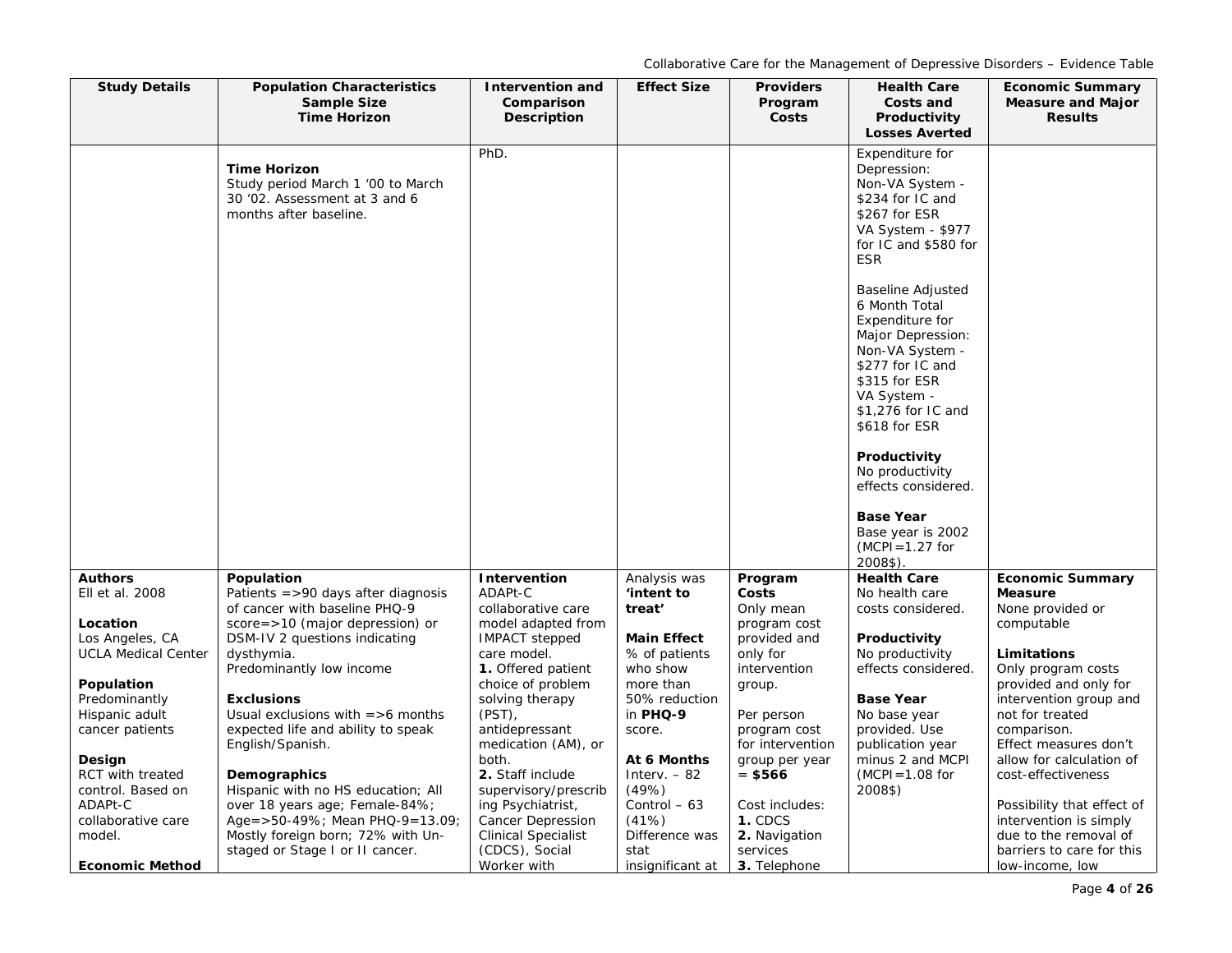| <b>Study Details</b>            | <b>Population Characteristics</b><br>Sample Size<br><b>Time Horizon</b>                                             | Intervention and<br>Comparison<br><b>Description</b> | <b>Effect Size</b>        | <b>Providers</b><br>Program<br>Costs | <b>Health Care</b><br>Costs and<br>Productivity<br><b>Losses Averted</b>                                                                                                                        | <b>Economic Summary</b><br><b>Measure and Major</b><br><b>Results</b> |
|---------------------------------|---------------------------------------------------------------------------------------------------------------------|------------------------------------------------------|---------------------------|--------------------------------------|-------------------------------------------------------------------------------------------------------------------------------------------------------------------------------------------------|-----------------------------------------------------------------------|
|                                 | <b>Time Horizon</b><br>Study period March 1 '00 to March<br>30 '02. Assessment at 3 and 6<br>months after baseline. | PhD.                                                 |                           |                                      | Expenditure for<br>Depression:<br>Non-VA System -<br>\$234 for IC and<br>\$267 for ESR<br>VA System - \$977<br>for IC and \$580 for<br><b>ESR</b>                                               |                                                                       |
|                                 |                                                                                                                     |                                                      |                           |                                      | <b>Baseline Adjusted</b><br>6 Month Total<br>Expenditure for<br>Major Depression:<br>Non-VA System -<br>\$277 for IC and<br>\$315 for ESR<br>VA System -<br>\$1,276 for IC and<br>\$618 for ESR |                                                                       |
|                                 |                                                                                                                     |                                                      |                           |                                      | Productivity<br>No productivity<br>effects considered.                                                                                                                                          |                                                                       |
|                                 |                                                                                                                     |                                                      |                           |                                      | <b>Base Year</b><br>Base year is 2002<br>$(MCPI = 1.27$ for<br>2008\$).                                                                                                                         |                                                                       |
| <b>Authors</b>                  | Population                                                                                                          | Intervention                                         | Analysis was              | Program                              | <b>Health Care</b>                                                                                                                                                                              | <b>Economic Summary</b>                                               |
| Ell et al. 2008                 | Patients $=$ >90 days after diagnosis                                                                               | ADAPt-C                                              | 'intent to                | Costs                                | No health care                                                                                                                                                                                  | <b>Measure</b>                                                        |
| Location                        | of cancer with baseline PHQ-9<br>$score = > 10$ (major depression) or                                               | collaborative care<br>model adapted from             | treat'                    | Only mean<br>program cost            | costs considered.                                                                                                                                                                               | None provided or<br>computable                                        |
| Los Angeles, CA                 | DSM-IV 2 questions indicating                                                                                       | <b>IMPACT</b> stepped                                | Main Effect               | provided and                         | Productivity                                                                                                                                                                                    |                                                                       |
| <b>UCLA Medical Center</b>      | dysthymia.                                                                                                          | care model.                                          | % of patients             | only for                             | No productivity                                                                                                                                                                                 | <b>Limitations</b>                                                    |
|                                 | Predominantly low income                                                                                            | 1. Offered patient                                   | who show                  | intervention                         | effects considered.                                                                                                                                                                             | Only program costs                                                    |
| Population                      | <b>Exclusions</b>                                                                                                   | choice of problem                                    | more than                 | group.                               | <b>Base Year</b>                                                                                                                                                                                | provided and only for                                                 |
| Predominantly<br>Hispanic adult | Usual exclusions with $=$ >6 months                                                                                 | solving therapy<br>$(PST)$ ,                         | 50% reduction<br>in PHQ-9 | Per person                           | No base year                                                                                                                                                                                    | intervention group and<br>not for treated                             |
| cancer patients                 | expected life and ability to speak                                                                                  | antidepressant                                       | score.                    | program cost                         | provided. Use                                                                                                                                                                                   | comparison.                                                           |
|                                 | English/Spanish.                                                                                                    | medication (AM), or                                  |                           | for intervention                     | publication year                                                                                                                                                                                | Effect measures don't                                                 |
| Design                          |                                                                                                                     | both.                                                | At 6 Months               | group per year                       | minus 2 and MCPI                                                                                                                                                                                | allow for calculation of                                              |
| RCT with treated                | Demographics                                                                                                        | 2. Staff include                                     | Interv. $-82$             | $= $566$                             | $(MCPI = 1.08$ for                                                                                                                                                                              | cost-effectiveness                                                    |
| control. Based on               | Hispanic with no HS education; All                                                                                  | supervisory/prescrib                                 | (49%)                     |                                      | 2008\$)                                                                                                                                                                                         |                                                                       |
| ADAPt-C<br>collaborative care   | over 18 years age; Female-84%;                                                                                      | ing Psychiatrist,                                    | Control - 63<br>(41%)     | Cost includes:<br>1. CDCS            |                                                                                                                                                                                                 | Possibility that effect of                                            |
| model.                          | Age = $>50-49\%$ ; Mean PHQ-9=13.09;<br>Mostly foreign born; 72% with Un-                                           | Cancer Depression<br><b>Clinical Specialist</b>      | Difference was            | 2. Navigation                        |                                                                                                                                                                                                 | intervention is simply<br>due to the removal of                       |
|                                 | staged or Stage I or II cancer.                                                                                     | (CDCS), Social                                       | stat                      | services                             |                                                                                                                                                                                                 | barriers to care for this                                             |
| <b>Economic Method</b>          |                                                                                                                     | Worker with                                          | insignificant at          | 3. Telephone                         |                                                                                                                                                                                                 | low-income, low                                                       |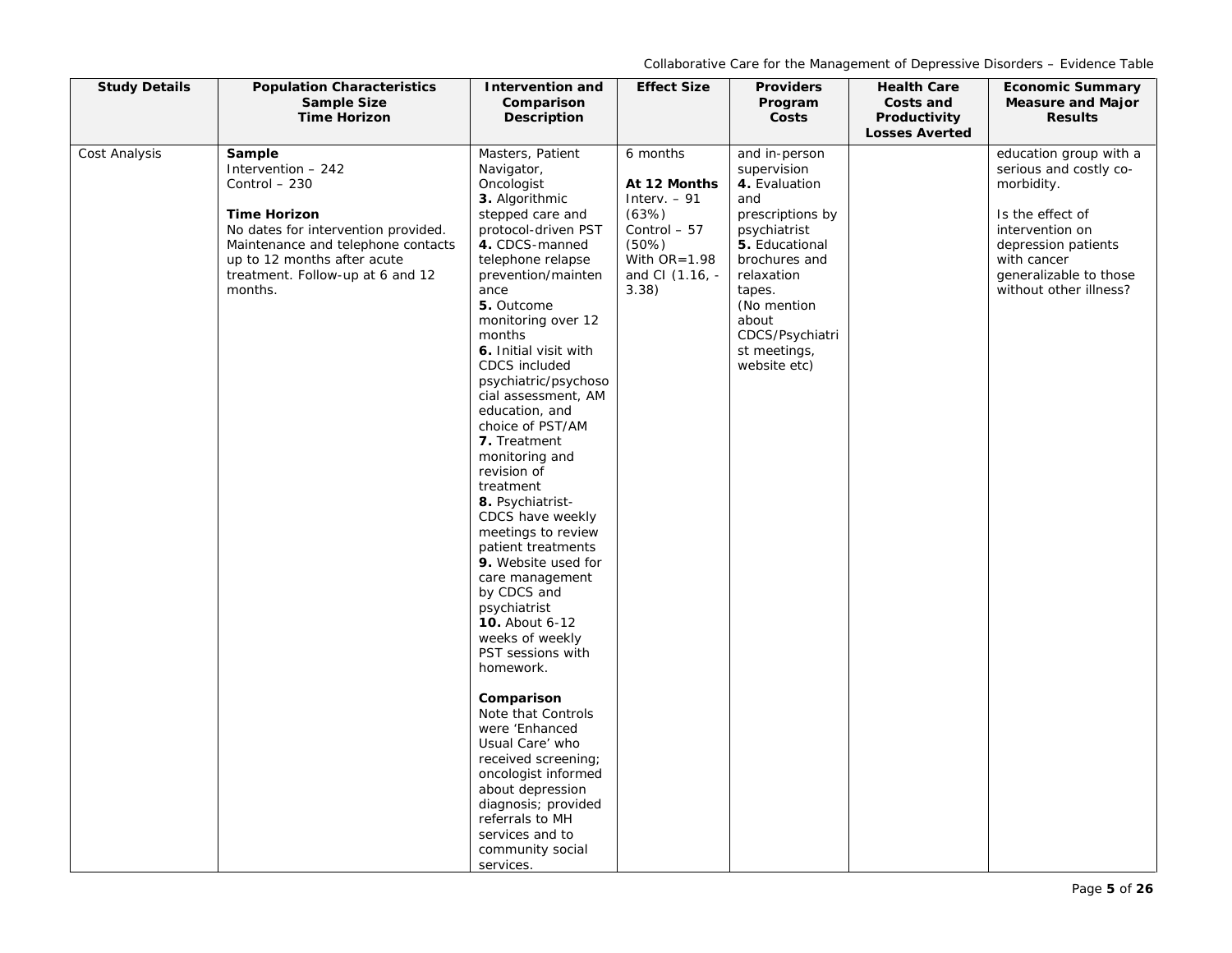| <b>Study Details</b> | <b>Population Characteristics</b><br>Sample Size                                                                                                                                                                                | <b>Intervention and</b><br>Comparison                                                                                                                                                                                                                                                                                                                                                                                                                                                                                                                                                                                                                                       | <b>Effect Size</b>                                                                                                             | <b>Providers</b><br>Program                                                                                                                                                                                                    | <b>Health Care</b><br>Costs and       | <b>Economic Summary</b><br><b>Measure and Major</b>                                                                                                                                             |
|----------------------|---------------------------------------------------------------------------------------------------------------------------------------------------------------------------------------------------------------------------------|-----------------------------------------------------------------------------------------------------------------------------------------------------------------------------------------------------------------------------------------------------------------------------------------------------------------------------------------------------------------------------------------------------------------------------------------------------------------------------------------------------------------------------------------------------------------------------------------------------------------------------------------------------------------------------|--------------------------------------------------------------------------------------------------------------------------------|--------------------------------------------------------------------------------------------------------------------------------------------------------------------------------------------------------------------------------|---------------------------------------|-------------------------------------------------------------------------------------------------------------------------------------------------------------------------------------------------|
|                      | <b>Time Horizon</b>                                                                                                                                                                                                             | Description                                                                                                                                                                                                                                                                                                                                                                                                                                                                                                                                                                                                                                                                 |                                                                                                                                | Costs                                                                                                                                                                                                                          | Productivity<br><b>Losses Averted</b> | <b>Results</b>                                                                                                                                                                                  |
| Cost Analysis        | Sample<br>Intervention - 242<br>Control - 230<br><b>Time Horizon</b><br>No dates for intervention provided.<br>Maintenance and telephone contacts<br>up to 12 months after acute<br>treatment. Follow-up at 6 and 12<br>months. | Masters, Patient<br>Navigator,<br>Oncologist<br>3. Algorithmic<br>stepped care and<br>protocol-driven PST<br>4. CDCS-manned<br>telephone relapse<br>prevention/mainten<br>ance<br>5. Outcome<br>monitoring over 12<br>months<br>6. Initial visit with<br><b>CDCS</b> included<br>psychiatric/psychoso<br>cial assessment, AM<br>education, and<br>choice of PST/AM<br>7. Treatment<br>monitoring and<br>revision of<br>treatment<br>8. Psychiatrist-<br>CDCS have weekly<br>meetings to review<br>patient treatments<br>9. Website used for<br>care management<br>by CDCS and<br>psychiatrist<br><b>10.</b> About 6-12<br>weeks of weekly<br>PST sessions with<br>homework. | 6 months<br>At 12 Months<br>Interv. $-91$<br>(63%)<br>Control - 57<br>$(50\%)$<br>With $OR = 1.98$<br>and CI (1.16, -<br>3.38) | and in-person<br>supervision<br>4. Evaluation<br>and<br>prescriptions by<br>psychiatrist<br>5. Educational<br>brochures and<br>relaxation<br>tapes.<br>(No mention<br>about<br>CDCS/Psychiatri<br>st meetings,<br>website etc) |                                       | education group with a<br>serious and costly co-<br>morbidity.<br>Is the effect of<br>intervention on<br>depression patients<br>with cancer<br>generalizable to those<br>without other illness? |
|                      |                                                                                                                                                                                                                                 | Comparison<br>Note that Controls<br>were 'Enhanced<br>Usual Care' who<br>received screening;<br>oncologist informed<br>about depression<br>diagnosis; provided<br>referrals to MH<br>services and to<br>community social<br>services.                                                                                                                                                                                                                                                                                                                                                                                                                                       |                                                                                                                                |                                                                                                                                                                                                                                |                                       |                                                                                                                                                                                                 |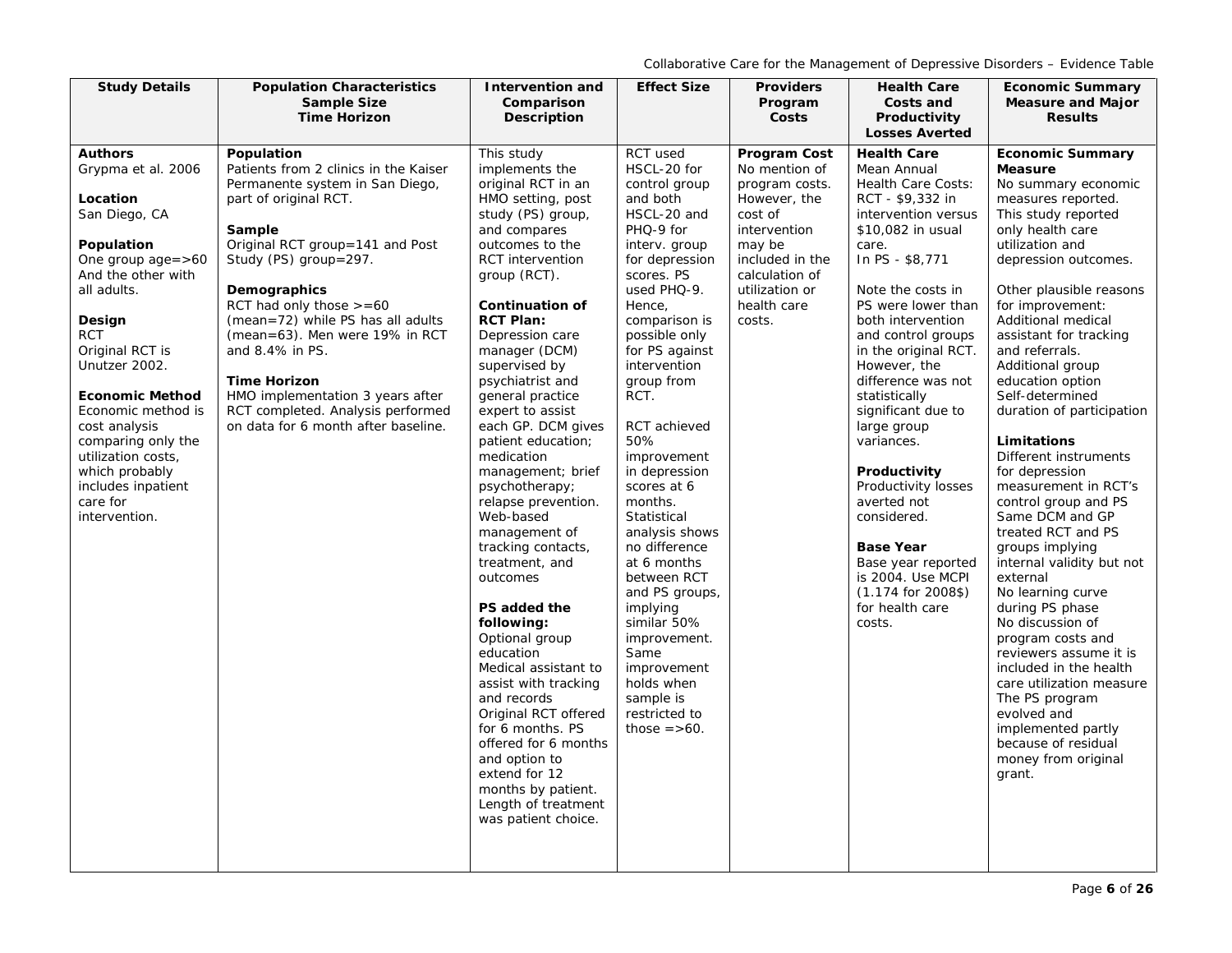| <b>Study Details</b>                                                                                                                                 | <b>Population Characteristics</b>                                                                                                                                                     | <b>Intervention and</b>                                                                                                                                                                                                                                                                                                                                                                                                                                                                                                          | <b>Effect Size</b>                                                                                                                                                                                                                                                                                              | <b>Providers</b>                                                                                                               | <b>Health Care</b>                                                                                                                                                                                                                       | <b>Economic Summary</b>                                                                                                                                                                                                                                                                                                                                                                                                                                                                                                         |
|------------------------------------------------------------------------------------------------------------------------------------------------------|---------------------------------------------------------------------------------------------------------------------------------------------------------------------------------------|----------------------------------------------------------------------------------------------------------------------------------------------------------------------------------------------------------------------------------------------------------------------------------------------------------------------------------------------------------------------------------------------------------------------------------------------------------------------------------------------------------------------------------|-----------------------------------------------------------------------------------------------------------------------------------------------------------------------------------------------------------------------------------------------------------------------------------------------------------------|--------------------------------------------------------------------------------------------------------------------------------|------------------------------------------------------------------------------------------------------------------------------------------------------------------------------------------------------------------------------------------|---------------------------------------------------------------------------------------------------------------------------------------------------------------------------------------------------------------------------------------------------------------------------------------------------------------------------------------------------------------------------------------------------------------------------------------------------------------------------------------------------------------------------------|
|                                                                                                                                                      | <b>Sample Size</b><br><b>Time Horizon</b>                                                                                                                                             | Comparison<br><b>Description</b>                                                                                                                                                                                                                                                                                                                                                                                                                                                                                                 |                                                                                                                                                                                                                                                                                                                 | Program<br>Costs                                                                                                               | Costs and<br>Productivity                                                                                                                                                                                                                | <b>Measure and Major</b><br><b>Results</b>                                                                                                                                                                                                                                                                                                                                                                                                                                                                                      |
|                                                                                                                                                      |                                                                                                                                                                                       |                                                                                                                                                                                                                                                                                                                                                                                                                                                                                                                                  |                                                                                                                                                                                                                                                                                                                 |                                                                                                                                | <b>Losses Averted</b>                                                                                                                                                                                                                    |                                                                                                                                                                                                                                                                                                                                                                                                                                                                                                                                 |
| <b>Authors</b><br>Grypma et al. 2006<br>Location<br>San Diego, CA<br>Population<br>One group $age = >60$                                             | Population<br>Patients from 2 clinics in the Kaiser<br>Permanente system in San Diego,<br>part of original RCT.<br>Sample<br>Original RCT group=141 and Post<br>Study (PS) group=297. | This study<br>implements the<br>original RCT in an<br>HMO setting, post<br>study (PS) group,<br>and compares<br>outcomes to the<br><b>RCT</b> intervention                                                                                                                                                                                                                                                                                                                                                                       | RCT used<br>HSCL-20 for<br>control group<br>and both<br>HSCL-20 and<br>PHQ-9 for<br>interv. group<br>for depression                                                                                                                                                                                             | <b>Program Cost</b><br>No mention of<br>program costs.<br>However, the<br>cost of<br>intervention<br>may be<br>included in the | <b>Health Care</b><br>Mean Annual<br><b>Health Care Costs:</b><br>RCT - \$9,332 in<br>intervention versus<br>\$10,082 in usual<br>care.<br>In PS - \$8,771                                                                               | <b>Economic Summary</b><br><b>Measure</b><br>No summary economic<br>measures reported.<br>This study reported<br>only health care<br>utilization and<br>depression outcomes.                                                                                                                                                                                                                                                                                                                                                    |
| And the other with<br>all adults.<br>Design<br><b>RCT</b>                                                                                            | Demographics<br>RCT had only those $> = 60$<br>(mean=72) while PS has all adults<br>(mean=63). Men were 19% in RCT                                                                    | group (RCT).<br><b>Continuation of</b><br><b>RCT Plan:</b><br>Depression care                                                                                                                                                                                                                                                                                                                                                                                                                                                    | scores. PS<br>used PHQ-9.<br>Hence,<br>comparison is<br>possible only                                                                                                                                                                                                                                           | calculation of<br>utilization or<br>health care<br>costs.                                                                      | Note the costs in<br>PS were lower than<br>both intervention<br>and control groups                                                                                                                                                       | Other plausible reasons<br>for improvement:<br>Additional medical<br>assistant for tracking                                                                                                                                                                                                                                                                                                                                                                                                                                     |
| Original RCT is<br>Unutzer 2002.<br><b>Economic Method</b>                                                                                           | and 8.4% in PS.<br><b>Time Horizon</b><br>HMO implementation 3 years after                                                                                                            | manager (DCM)<br>supervised by<br>psychiatrist and<br>general practice                                                                                                                                                                                                                                                                                                                                                                                                                                                           | for PS against<br>intervention<br>group from<br>RCT.                                                                                                                                                                                                                                                            |                                                                                                                                | in the original RCT.<br>However, the<br>difference was not<br>statistically                                                                                                                                                              | and referrals.<br>Additional group<br>education option<br>Self-determined                                                                                                                                                                                                                                                                                                                                                                                                                                                       |
| Economic method is<br>cost analysis<br>comparing only the<br>utilization costs,<br>which probably<br>includes inpatient<br>care for<br>intervention. | RCT completed. Analysis performed<br>on data for 6 month after baseline.                                                                                                              | expert to assist<br>each GP. DCM gives<br>patient education;<br>medication<br>management; brief<br>psychotherapy;<br>relapse prevention.<br>Web-based<br>management of<br>tracking contacts,<br>treatment, and<br>outcomes<br>PS added the<br>following:<br>Optional group<br>education<br>Medical assistant to<br>assist with tracking<br>and records<br>Original RCT offered<br>for 6 months. PS<br>offered for 6 months<br>and option to<br>extend for 12<br>months by patient.<br>Length of treatment<br>was patient choice. | RCT achieved<br>50%<br>improvement<br>in depression<br>scores at 6<br>months.<br>Statistical<br>analysis shows<br>no difference<br>at 6 months<br>between RCT<br>and PS groups,<br>implying<br>similar 50%<br>improvement.<br>Same<br>improvement<br>holds when<br>sample is<br>restricted to<br>those $=$ >60. |                                                                                                                                | significant due to<br>large group<br>variances.<br>Productivity<br>Productivity losses<br>averted not<br>considered.<br><b>Base Year</b><br>Base year reported<br>is 2004. Use MCPI<br>$(1.174$ for 2008\$)<br>for health care<br>costs. | duration of participation<br><b>Limitations</b><br>Different instruments<br>for depression<br>measurement in RCT's<br>control group and PS<br>Same DCM and GP<br>treated RCT and PS<br>groups implying<br>internal validity but not<br>external<br>No learning curve<br>during PS phase<br>No discussion of<br>program costs and<br>reviewers assume it is<br>included in the health<br>care utilization measure<br>The PS program<br>evolved and<br>implemented partly<br>because of residual<br>money from original<br>grant. |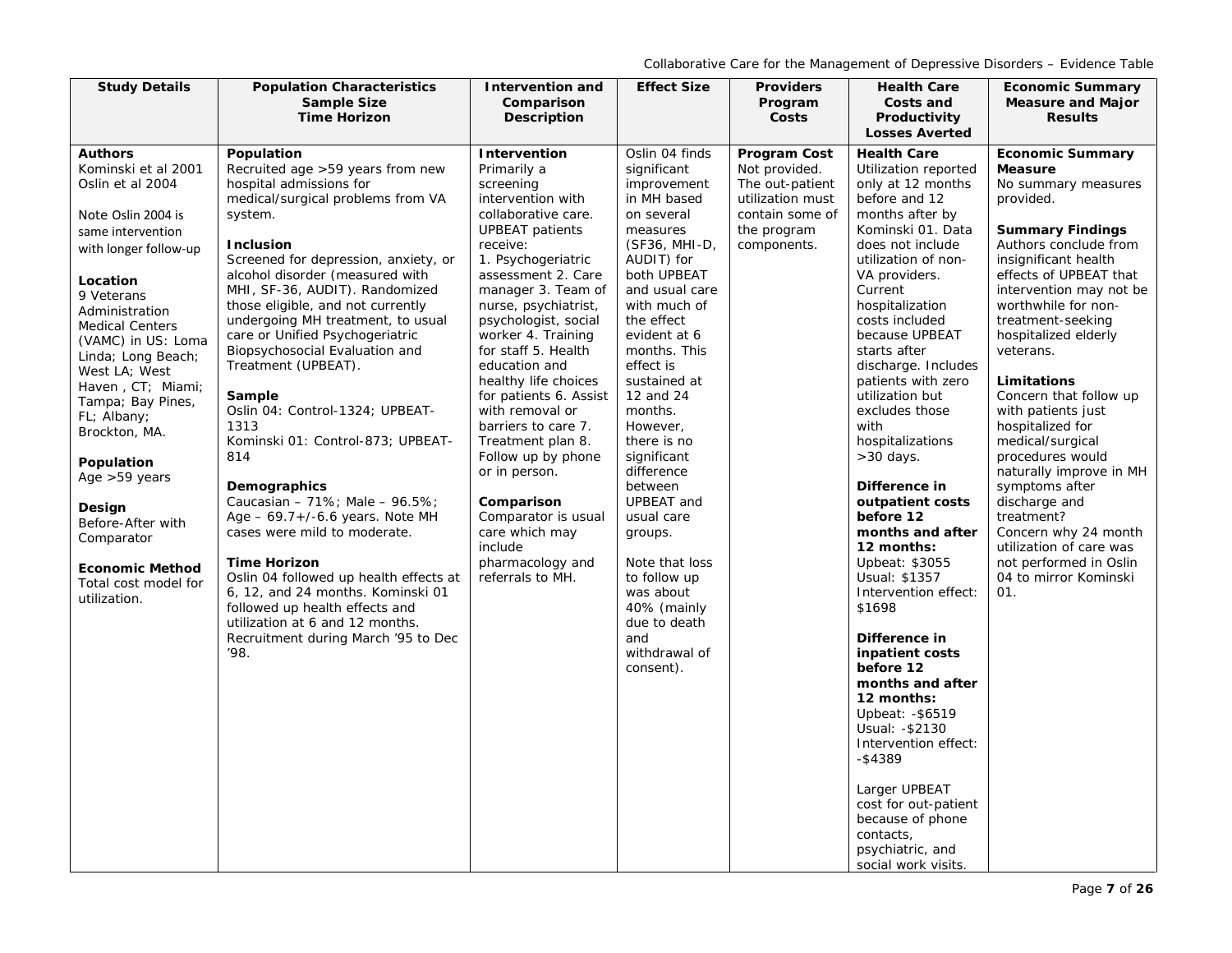| <b>Study Details</b>                                                                                                                                                                                                                                                                                                                                                                                                                                                                     | <b>Population Characteristics</b><br><b>Sample Size</b>                                                                                                                                                                                                                                                                                                                                                                                                                                                                                                                                                                                                                                                                                                                                                                                                                              | <b>Intervention and</b>                                                                                                                                                                                                                                                                                                                                                                                                                                                                                                                                                      | <b>Effect Size</b>                                                                                                                                                                                                                                                                                                                                                                                                                                                                                    | <b>Providers</b>                                                                                                      | <b>Health Care</b>                                                                                                                                                                                                                                                                                                                                                                                                                                                                                                                                                                                                                                                                                                                                                                                                              | <b>Economic Summary</b>                                                                                                                                                                                                                                                                                                                                                                                                                                                                                                                                                                                             |
|------------------------------------------------------------------------------------------------------------------------------------------------------------------------------------------------------------------------------------------------------------------------------------------------------------------------------------------------------------------------------------------------------------------------------------------------------------------------------------------|--------------------------------------------------------------------------------------------------------------------------------------------------------------------------------------------------------------------------------------------------------------------------------------------------------------------------------------------------------------------------------------------------------------------------------------------------------------------------------------------------------------------------------------------------------------------------------------------------------------------------------------------------------------------------------------------------------------------------------------------------------------------------------------------------------------------------------------------------------------------------------------|------------------------------------------------------------------------------------------------------------------------------------------------------------------------------------------------------------------------------------------------------------------------------------------------------------------------------------------------------------------------------------------------------------------------------------------------------------------------------------------------------------------------------------------------------------------------------|-------------------------------------------------------------------------------------------------------------------------------------------------------------------------------------------------------------------------------------------------------------------------------------------------------------------------------------------------------------------------------------------------------------------------------------------------------------------------------------------------------|-----------------------------------------------------------------------------------------------------------------------|---------------------------------------------------------------------------------------------------------------------------------------------------------------------------------------------------------------------------------------------------------------------------------------------------------------------------------------------------------------------------------------------------------------------------------------------------------------------------------------------------------------------------------------------------------------------------------------------------------------------------------------------------------------------------------------------------------------------------------------------------------------------------------------------------------------------------------|---------------------------------------------------------------------------------------------------------------------------------------------------------------------------------------------------------------------------------------------------------------------------------------------------------------------------------------------------------------------------------------------------------------------------------------------------------------------------------------------------------------------------------------------------------------------------------------------------------------------|
|                                                                                                                                                                                                                                                                                                                                                                                                                                                                                          | <b>Time Horizon</b>                                                                                                                                                                                                                                                                                                                                                                                                                                                                                                                                                                                                                                                                                                                                                                                                                                                                  | Comparison<br><b>Description</b>                                                                                                                                                                                                                                                                                                                                                                                                                                                                                                                                             |                                                                                                                                                                                                                                                                                                                                                                                                                                                                                                       | Program<br>Costs                                                                                                      | Costs and<br>Productivity                                                                                                                                                                                                                                                                                                                                                                                                                                                                                                                                                                                                                                                                                                                                                                                                       | <b>Measure and Major</b><br><b>Results</b>                                                                                                                                                                                                                                                                                                                                                                                                                                                                                                                                                                          |
|                                                                                                                                                                                                                                                                                                                                                                                                                                                                                          |                                                                                                                                                                                                                                                                                                                                                                                                                                                                                                                                                                                                                                                                                                                                                                                                                                                                                      |                                                                                                                                                                                                                                                                                                                                                                                                                                                                                                                                                                              |                                                                                                                                                                                                                                                                                                                                                                                                                                                                                                       |                                                                                                                       |                                                                                                                                                                                                                                                                                                                                                                                                                                                                                                                                                                                                                                                                                                                                                                                                                                 |                                                                                                                                                                                                                                                                                                                                                                                                                                                                                                                                                                                                                     |
| <b>Authors</b><br>Kominski et al 2001<br>Oslin et al 2004<br>Note Oslin 2004 is<br>same intervention<br>with longer follow-up<br>Location<br>9 Veterans<br>Administration<br><b>Medical Centers</b><br>(VAMC) in US: Loma<br>Linda; Long Beach;<br>West LA; West<br>Haven, CT; Miami;<br>Tampa; Bay Pines,<br>FL; Albany;<br>Brockton, MA.<br>Population<br>Age >59 years<br>Design<br>Before-After with<br>Comparator<br><b>Economic Method</b><br>Total cost model for<br>utilization. | Population<br>Recruited age >59 years from new<br>hospital admissions for<br>medical/surgical problems from VA<br>system.<br><b>Inclusion</b><br>Screened for depression, anxiety, or<br>alcohol disorder (measured with<br>MHI, SF-36, AUDIT). Randomized<br>those eligible, and not currently<br>undergoing MH treatment, to usual<br>care or Unified Psychogeriatric<br>Biopsychosocial Evaluation and<br>Treatment (UPBEAT).<br>Sample<br>Oslin 04: Control-1324; UPBEAT-<br>1313<br>Kominski 01: Control-873; UPBEAT-<br>814<br>Demographics<br>Caucasian - 71%; Male - $96.5\%$ ;<br>Age - 69.7+/-6.6 years. Note MH<br>cases were mild to moderate.<br><b>Time Horizon</b><br>Oslin 04 followed up health effects at<br>6, 12, and 24 months. Kominski 01<br>followed up health effects and<br>utilization at 6 and 12 months.<br>Recruitment during March '95 to Dec<br>'98. | Intervention<br>Primarily a<br>screening<br>intervention with<br>collaborative care.<br><b>UPBEAT</b> patients<br>receive:<br>1. Psychogeriatric<br>assessment 2. Care<br>manager 3. Team of<br>nurse, psychiatrist,<br>psychologist, social<br>worker 4. Training<br>for staff 5. Health<br>education and<br>healthy life choices<br>for patients 6. Assist<br>with removal or<br>barriers to care 7.<br>Treatment plan 8.<br>Follow up by phone<br>or in person.<br>Comparison<br>Comparator is usual<br>care which may<br>include<br>pharmacology and<br>referrals to MH. | Oslin 04 finds<br>significant<br>improvement<br>in MH based<br>on several<br>measures<br>(SF36, MHI-D,<br>AUDIT) for<br>both UPBEAT<br>and usual care<br>with much of<br>the effect<br>evident at 6<br>months. This<br>effect is<br>sustained at<br>12 and 24<br>months.<br>However,<br>there is no<br>significant<br>difference<br>between<br>UPBEAT and<br>usual care<br>groups.<br>Note that loss<br>to follow up<br>was about<br>40% (mainly<br>due to death<br>and<br>withdrawal of<br>consent). | Program Cost<br>Not provided.<br>The out-patient<br>utilization must<br>contain some of<br>the program<br>components. | <b>Losses Averted</b><br><b>Health Care</b><br>Utilization reported<br>only at 12 months<br>before and 12<br>months after by<br>Kominski 01. Data<br>does not include<br>utilization of non-<br>VA providers.<br>Current<br>hospitalization<br>costs included<br>because UPBEAT<br>starts after<br>discharge. Includes<br>patients with zero<br>utilization but<br>excludes those<br>with<br>hospitalizations<br>$>30$ days.<br>Difference in<br>outpatient costs<br>before 12<br>months and after<br>12 months:<br>Upbeat: \$3055<br>Usual: \$1357<br>Intervention effect:<br>\$1698<br>Difference in<br>inpatient costs<br>before 12<br>months and after<br>12 months:<br>Upbeat: - \$6519<br>Usual: - \$2130<br>Intervention effect:<br>$-$ \$4389<br>Larger UPBEAT<br>cost for out-patient<br>because of phone<br>contacts, | <b>Economic Summary</b><br><b>Measure</b><br>No summary measures<br>provided.<br><b>Summary Findings</b><br>Authors conclude from<br>insignificant health<br>effects of UPBEAT that<br>intervention may not be<br>worthwhile for non-<br>treatment-seeking<br>hospitalized elderly<br>veterans.<br>Limitations<br>Concern that follow up<br>with patients just<br>hospitalized for<br>medical/surgical<br>procedures would<br>naturally improve in MH<br>symptoms after<br>discharge and<br>treatment?<br>Concern why 24 month<br>utilization of care was<br>not performed in Oslin<br>04 to mirror Kominski<br>01. |
|                                                                                                                                                                                                                                                                                                                                                                                                                                                                                          |                                                                                                                                                                                                                                                                                                                                                                                                                                                                                                                                                                                                                                                                                                                                                                                                                                                                                      |                                                                                                                                                                                                                                                                                                                                                                                                                                                                                                                                                                              |                                                                                                                                                                                                                                                                                                                                                                                                                                                                                                       |                                                                                                                       | psychiatric, and<br>social work visits.                                                                                                                                                                                                                                                                                                                                                                                                                                                                                                                                                                                                                                                                                                                                                                                         |                                                                                                                                                                                                                                                                                                                                                                                                                                                                                                                                                                                                                     |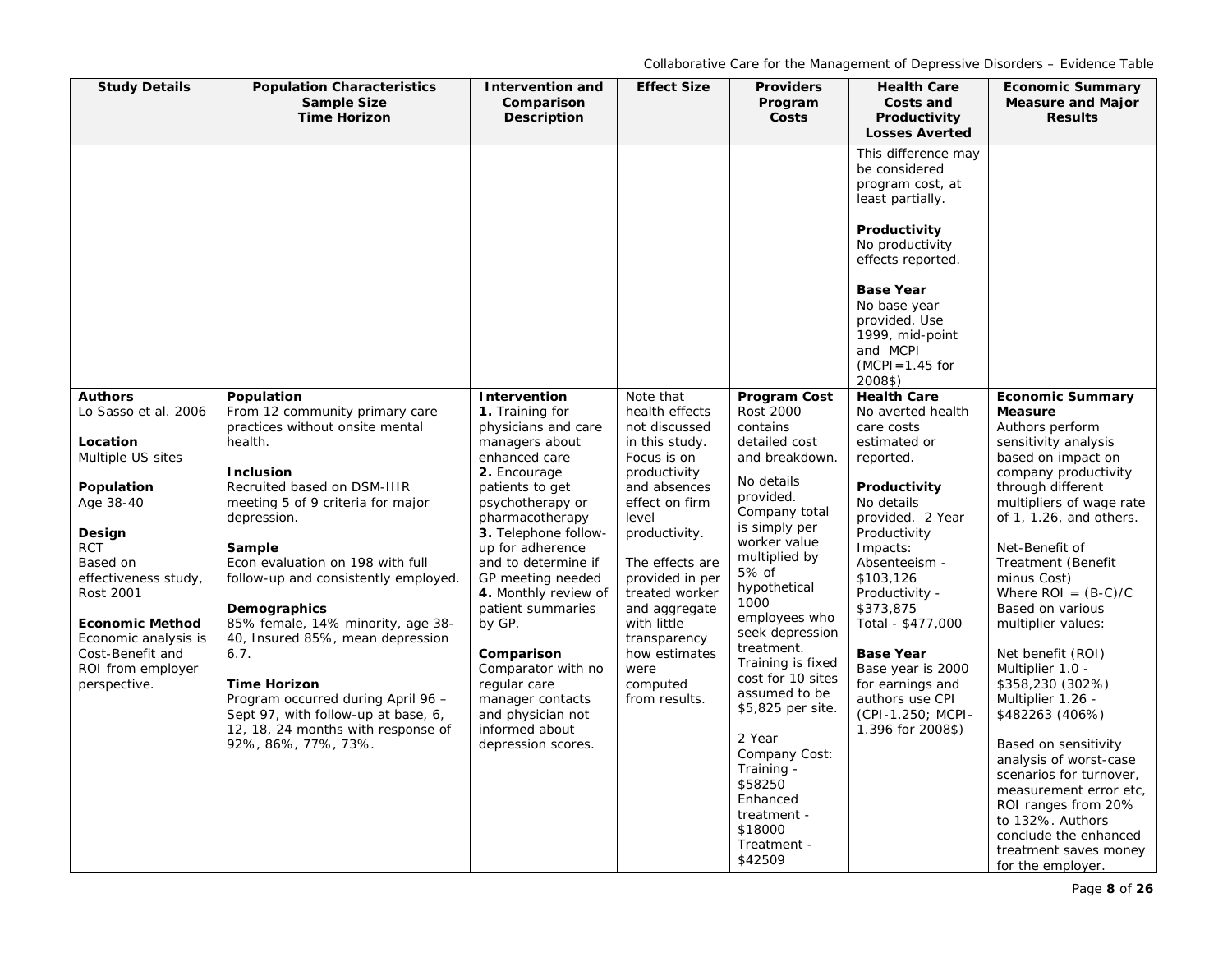| <b>Study Details</b>                                                                                    | <b>Population Characteristics</b><br><b>Sample Size</b><br><b>Time Horizon</b>                                                                                                                                          | <b>Intervention and</b><br>Comparison<br><b>Description</b>                                                           | <b>Effect Size</b>                                                                            | <b>Providers</b><br>Program<br>Costs                                                                             | <b>Health Care</b><br>Costs and<br>Productivity<br><b>Losses Averted</b>                                                                    | <b>Economic Summary</b><br><b>Measure and Major</b><br><b>Results</b>                                                                                                                                                 |
|---------------------------------------------------------------------------------------------------------|-------------------------------------------------------------------------------------------------------------------------------------------------------------------------------------------------------------------------|-----------------------------------------------------------------------------------------------------------------------|-----------------------------------------------------------------------------------------------|------------------------------------------------------------------------------------------------------------------|---------------------------------------------------------------------------------------------------------------------------------------------|-----------------------------------------------------------------------------------------------------------------------------------------------------------------------------------------------------------------------|
|                                                                                                         |                                                                                                                                                                                                                         |                                                                                                                       |                                                                                               |                                                                                                                  | This difference may<br>be considered<br>program cost, at<br>least partially.<br>Productivity                                                |                                                                                                                                                                                                                       |
|                                                                                                         |                                                                                                                                                                                                                         |                                                                                                                       |                                                                                               |                                                                                                                  | No productivity<br>effects reported.<br><b>Base Year</b><br>No base year<br>provided. Use                                                   |                                                                                                                                                                                                                       |
|                                                                                                         |                                                                                                                                                                                                                         |                                                                                                                       |                                                                                               |                                                                                                                  | 1999, mid-point<br>and MCPI<br>$(MCPI = 1.45$ for<br>2008\$)                                                                                |                                                                                                                                                                                                                       |
| <b>Authors</b><br>Lo Sasso et al. 2006<br>Location<br>Multiple US sites                                 | Population<br>From 12 community primary care<br>practices without onsite mental<br>health.<br><b>Inclusion</b>                                                                                                          | Intervention<br>1. Training for<br>physicians and care<br>managers about<br>enhanced care<br>2. Encourage             | Note that<br>health effects<br>not discussed<br>in this study.<br>Focus is on<br>productivity | <b>Program Cost</b><br>Rost 2000<br>contains<br>detailed cost<br>and breakdown.                                  | <b>Health Care</b><br>No averted health<br>care costs<br>estimated or<br>reported.                                                          | <b>Economic Summary</b><br><b>Measure</b><br>Authors perform<br>sensitivity analysis<br>based on impact on                                                                                                            |
| Population<br>Age 38-40<br>Design                                                                       | Recruited based on DSM-IIIR<br>meeting 5 of 9 criteria for major<br>depression.                                                                                                                                         | patients to get<br>psychotherapy or<br>pharmacotherapy<br>3. Telephone follow-                                        | and absences<br>effect on firm<br>level<br>productivity.                                      | No details<br>provided.<br>Company total<br>is simply per<br>worker value                                        | Productivity<br>No details<br>provided. 2 Year<br>Productivity                                                                              | company productivity<br>through different<br>multipliers of wage rate<br>of 1, 1.26, and others.                                                                                                                      |
| <b>RCT</b><br>Based on<br>effectiveness study,<br>Rost 2001                                             | Sample<br>Econ evaluation on 198 with full<br>follow-up and consistently employed.<br>Demographics                                                                                                                      | up for adherence<br>and to determine if<br>GP meeting needed<br>4. Monthly review of<br>patient summaries             | The effects are<br>provided in per<br>treated worker<br>and aggregate                         | multiplied by<br>5% of<br>hypothetical<br>1000<br>employees who                                                  | Impacts:<br>Absenteeism -<br>\$103,126<br>Productivity -<br>\$373.875                                                                       | Net-Benefit of<br>Treatment (Benefit<br>minus Cost)<br>Where $ROI = (B-C)/C$<br>Based on various                                                                                                                      |
| <b>Economic Method</b><br>Economic analysis is<br>Cost-Benefit and<br>ROI from employer<br>perspective. | 85% female, 14% minority, age 38-<br>40, Insured 85%, mean depression<br>6.7.<br><b>Time Horizon</b><br>Program occurred during April 96 -<br>Sept 97, with follow-up at base, 6,<br>12, 18, 24 months with response of | by GP.<br>Comparison<br>Comparator with no<br>regular care<br>manager contacts<br>and physician not<br>informed about | with little<br>transparency<br>how estimates<br>were<br>computed<br>from results.             | seek depression<br>treatment.<br>Training is fixed<br>cost for 10 sites<br>assumed to be<br>\$5,825 per site.    | Total - \$477,000<br><b>Base Year</b><br>Base year is 2000<br>for earnings and<br>authors use CPI<br>(CPI-1.250; MCPI-<br>1.396 for 2008\$) | multiplier values:<br>Net benefit (ROI)<br>Multiplier 1.0 -<br>\$358,230 (302%)<br>Multiplier 1.26 -<br>\$482263 (406%)                                                                                               |
|                                                                                                         | 92%, 86%, 77%, 73%.                                                                                                                                                                                                     | depression scores.                                                                                                    |                                                                                               | 2 Year<br>Company Cost:<br>Training -<br>\$58250<br>Enhanced<br>treatment -<br>\$18000<br>Treatment -<br>\$42509 |                                                                                                                                             | Based on sensitivity<br>analysis of worst-case<br>scenarios for turnover,<br>measurement error etc,<br>ROI ranges from 20%<br>to 132%. Authors<br>conclude the enhanced<br>treatment saves money<br>for the employer. |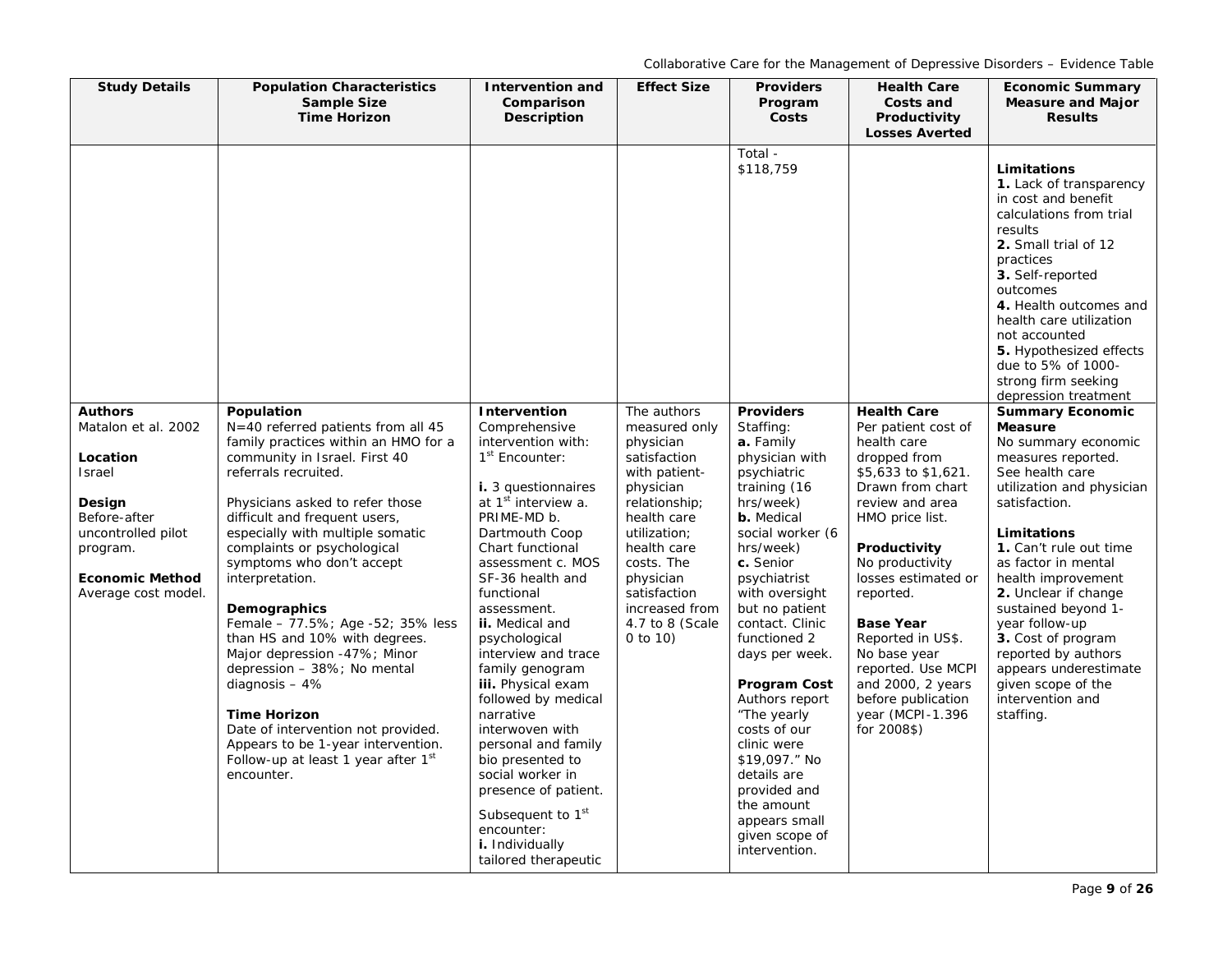| <b>Study Details</b>                                                                                                                                                            | <b>Population Characteristics</b><br><b>Sample Size</b><br><b>Time Horizon</b>                                                                                                                                                                                                                                                                                                                                                                                                                                                                                                                                                                                                         | Intervention and<br>Comparison<br>Description                                                                                                                                                                                                                                                                                                                                                                                                                                                                                                                                                                      | <b>Effect Size</b>                                                                                                                                                                                                                                    | <b>Providers</b><br>Program<br>Costs                                                                                                                                                                                                                                                                                                                                                                                                                                                   | <b>Health Care</b><br>Costs and<br>Productivity<br><b>Losses Averted</b>                                                                                                                                                                                                                                                                                                                      | <b>Economic Summary</b><br><b>Measure and Major</b><br><b>Results</b>                                                                                                                                                                                                                                                                                                                                                                       |
|---------------------------------------------------------------------------------------------------------------------------------------------------------------------------------|----------------------------------------------------------------------------------------------------------------------------------------------------------------------------------------------------------------------------------------------------------------------------------------------------------------------------------------------------------------------------------------------------------------------------------------------------------------------------------------------------------------------------------------------------------------------------------------------------------------------------------------------------------------------------------------|--------------------------------------------------------------------------------------------------------------------------------------------------------------------------------------------------------------------------------------------------------------------------------------------------------------------------------------------------------------------------------------------------------------------------------------------------------------------------------------------------------------------------------------------------------------------------------------------------------------------|-------------------------------------------------------------------------------------------------------------------------------------------------------------------------------------------------------------------------------------------------------|----------------------------------------------------------------------------------------------------------------------------------------------------------------------------------------------------------------------------------------------------------------------------------------------------------------------------------------------------------------------------------------------------------------------------------------------------------------------------------------|-----------------------------------------------------------------------------------------------------------------------------------------------------------------------------------------------------------------------------------------------------------------------------------------------------------------------------------------------------------------------------------------------|---------------------------------------------------------------------------------------------------------------------------------------------------------------------------------------------------------------------------------------------------------------------------------------------------------------------------------------------------------------------------------------------------------------------------------------------|
|                                                                                                                                                                                 |                                                                                                                                                                                                                                                                                                                                                                                                                                                                                                                                                                                                                                                                                        |                                                                                                                                                                                                                                                                                                                                                                                                                                                                                                                                                                                                                    |                                                                                                                                                                                                                                                       | Total -<br>\$118,759                                                                                                                                                                                                                                                                                                                                                                                                                                                                   |                                                                                                                                                                                                                                                                                                                                                                                               | Limitations<br>1. Lack of transparency<br>in cost and benefit<br>calculations from trial<br>results<br>2. Small trial of 12<br>practices<br>3. Self-reported<br>outcomes<br>4. Health outcomes and<br>health care utilization<br>not accounted<br>5. Hypothesized effects<br>due to 5% of 1000-<br>strong firm seeking<br>depression treatment                                                                                              |
| <b>Authors</b><br>Matalon et al. 2002<br>Location<br><b>Israel</b><br>Design<br>Before-after<br>uncontrolled pilot<br>program.<br><b>Economic Method</b><br>Average cost model. | Population<br>$N=40$ referred patients from all 45<br>family practices within an HMO for a<br>community in Israel. First 40<br>referrals recruited.<br>Physicians asked to refer those<br>difficult and frequent users,<br>especially with multiple somatic<br>complaints or psychological<br>symptoms who don't accept<br>interpretation.<br>Demographics<br>Female - 77.5%; Age -52; 35% less<br>than HS and 10% with degrees.<br>Major depression -47%; Minor<br>depression - 38%; No mental<br>diagnosis $-4%$<br><b>Time Horizon</b><br>Date of intervention not provided.<br>Appears to be 1-year intervention.<br>Follow-up at least 1 year after 1 <sup>st</sup><br>encounter. | Intervention<br>Comprehensive<br>intervention with:<br>1 <sup>st</sup> Encounter:<br>i. 3 questionnaires<br>at 1 <sup>st</sup> interview a.<br>PRIME-MD b.<br>Dartmouth Coop<br>Chart functional<br>assessment c. MOS<br>SF-36 health and<br>functional<br>assessment.<br>ii. Medical and<br>psychological<br>interview and trace<br>family genogram<br>iii. Physical exam<br>followed by medical<br>narrative<br>interwoven with<br>personal and family<br>bio presented to<br>social worker in<br>presence of patient.<br>Subsequent to 1 <sup>st</sup><br>encounter:<br>i. Individually<br>tailored therapeutic | The authors<br>measured only<br>physician<br>satisfaction<br>with patient-<br>physician<br>relationship;<br>health care<br>utilization:<br>health care<br>costs. The<br>physician<br>satisfaction<br>increased from<br>4.7 to 8 (Scale<br>0 to $10$ ) | <b>Providers</b><br>Staffing:<br>a. Family<br>physician with<br>psychiatric<br>training (16<br>hrs/week)<br>b. Medical<br>social worker (6<br>hrs/week)<br>c. Senior<br>psychiatrist<br>with oversight<br>but no patient<br>contact. Clinic<br>functioned 2<br>days per week.<br><b>Program Cost</b><br>Authors report<br>"The yearly<br>costs of our<br>clinic were<br>\$19,097." No<br>details are<br>provided and<br>the amount<br>appears small<br>given scope of<br>intervention. | <b>Health Care</b><br>Per patient cost of<br>health care<br>dropped from<br>\$5,633 to \$1,621.<br>Drawn from chart<br>review and area<br>HMO price list.<br>Productivity<br>No productivity<br>losses estimated or<br>reported.<br><b>Base Year</b><br>Reported in US\$.<br>No base year<br>reported. Use MCPI<br>and 2000, 2 years<br>before publication<br>year (MCPI-1.396<br>for 2008\$) | <b>Summary Economic</b><br><b>Measure</b><br>No summary economic<br>measures reported.<br>See health care<br>utilization and physician<br>satisfaction.<br>Limitations<br>1. Can't rule out time<br>as factor in mental<br>health improvement<br>2. Unclear if change<br>sustained beyond 1-<br>year follow-up<br>3. Cost of program<br>reported by authors<br>appears underestimate<br>given scope of the<br>intervention and<br>staffing. |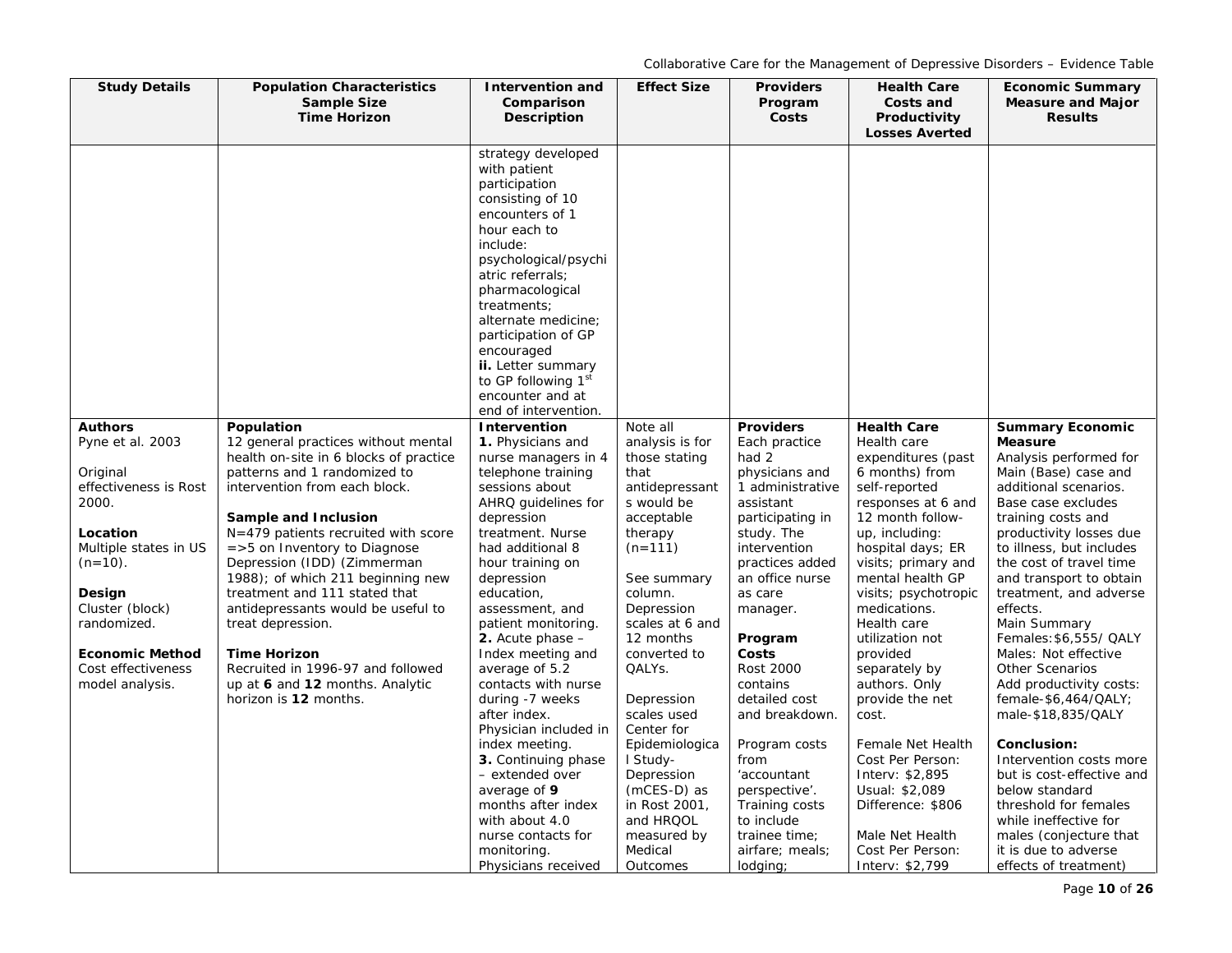| <b>Study Details</b>      | <b>Population Characteristics</b><br><b>Sample Size</b>                       | Intervention and<br>Comparison                                                                                                                                                                                                                                                                                                    | <b>Effect Size</b>               | <b>Providers</b><br>Program     | <b>Health Care</b><br>Costs and        | <b>Economic Summary</b><br><b>Measure and Major</b> |
|---------------------------|-------------------------------------------------------------------------------|-----------------------------------------------------------------------------------------------------------------------------------------------------------------------------------------------------------------------------------------------------------------------------------------------------------------------------------|----------------------------------|---------------------------------|----------------------------------------|-----------------------------------------------------|
|                           | <b>Time Horizon</b>                                                           | Description                                                                                                                                                                                                                                                                                                                       |                                  | Costs                           | Productivity<br><b>Losses Averted</b>  | <b>Results</b>                                      |
|                           |                                                                               | strategy developed<br>with patient<br>participation<br>consisting of 10<br>encounters of 1<br>hour each to<br>include:<br>psychological/psychi<br>atric referrals;<br>pharmacological<br>treatments;<br>alternate medicine;<br>participation of GP<br>encouraged<br>ii. Letter summary<br>to GP following 1st<br>encounter and at |                                  |                                 |                                        |                                                     |
| <b>Authors</b>            | Population                                                                    | end of intervention.<br>Intervention                                                                                                                                                                                                                                                                                              | Note all                         | <b>Providers</b>                | <b>Health Care</b>                     | <b>Summary Economic</b>                             |
| Pyne et al. 2003          | 12 general practices without mental<br>health on-site in 6 blocks of practice | 1. Physicians and<br>nurse managers in 4                                                                                                                                                                                                                                                                                          | analysis is for<br>those stating | Each practice<br>had 2          | Health care<br>expenditures (past      | <b>Measure</b><br>Analysis performed for            |
| Original                  | patterns and 1 randomized to                                                  | telephone training                                                                                                                                                                                                                                                                                                                | that                             | physicians and                  | 6 months) from                         | Main (Base) case and                                |
| effectiveness is Rost     | intervention from each block.                                                 | sessions about                                                                                                                                                                                                                                                                                                                    | antidepressant                   | 1 administrative                | self-reported                          | additional scenarios.                               |
| 2000.                     | Sample and Inclusion                                                          | AHRQ guidelines for<br>depression                                                                                                                                                                                                                                                                                                 | s would be<br>acceptable         | assistant<br>participating in   | responses at 6 and<br>12 month follow- | Base case excludes<br>training costs and            |
| Location                  | $N = 479$ patients recruited with score                                       | treatment. Nurse                                                                                                                                                                                                                                                                                                                  | therapy                          | study. The                      | up, including:                         | productivity losses due                             |
| Multiple states in US     | $=$ > 5 on Inventory to Diagnose                                              | had additional 8                                                                                                                                                                                                                                                                                                                  | $(n=111)$                        | intervention                    | hospital days; ER                      | to illness, but includes                            |
| $(n=10)$ .                | Depression (IDD) (Zimmerman                                                   | hour training on                                                                                                                                                                                                                                                                                                                  |                                  | practices added                 | visits; primary and                    | the cost of travel time                             |
|                           | 1988); of which 211 beginning new                                             | depression                                                                                                                                                                                                                                                                                                                        | See summary                      | an office nurse                 | mental health GP                       | and transport to obtain                             |
| Design<br>Cluster (block) | treatment and 111 stated that<br>antidepressants would be useful to           | education,<br>assessment, and                                                                                                                                                                                                                                                                                                     | column.<br>Depression            | as care<br>manager.             | visits; psychotropic<br>medications.   | treatment, and adverse<br>effects.                  |
| randomized.               | treat depression.                                                             | patient monitoring.                                                                                                                                                                                                                                                                                                               | scales at 6 and                  |                                 | Health care                            | Main Summary                                        |
|                           |                                                                               | 2. Acute phase $-$                                                                                                                                                                                                                                                                                                                | 12 months                        | Program                         | utilization not                        | Females: \$6,555/ QALY                              |
| <b>Economic Method</b>    | <b>Time Horizon</b>                                                           | Index meeting and                                                                                                                                                                                                                                                                                                                 | converted to                     | Costs                           | provided                               | Males: Not effective                                |
| Cost effectiveness        | Recruited in 1996-97 and followed                                             | average of 5.2                                                                                                                                                                                                                                                                                                                    | QALYs.                           | Rost 2000                       | separately by                          | <b>Other Scenarios</b>                              |
| model analysis.           | up at 6 and 12 months. Analytic                                               | contacts with nurse                                                                                                                                                                                                                                                                                                               |                                  | contains                        | authors. Only                          | Add productivity costs:                             |
|                           | horizon is 12 months.                                                         | during -7 weeks<br>after index.                                                                                                                                                                                                                                                                                                   | Depression<br>scales used        | detailed cost<br>and breakdown. | provide the net<br>cost.               | female-\$6,464/QALY;<br>male-\$18,835/QALY          |
|                           |                                                                               | Physician included in                                                                                                                                                                                                                                                                                                             | Center for                       |                                 |                                        |                                                     |
|                           |                                                                               | index meeting.                                                                                                                                                                                                                                                                                                                    | Epidemiologica                   | Program costs                   | Female Net Health                      | Conclusion:                                         |
|                           |                                                                               | 3. Continuing phase                                                                                                                                                                                                                                                                                                               | I Study-                         | from                            | Cost Per Person:                       | Intervention costs more                             |
|                           |                                                                               | - extended over                                                                                                                                                                                                                                                                                                                   | Depression                       | 'accountant                     | Interv: \$2,895                        | but is cost-effective and                           |
|                           |                                                                               | average of 9                                                                                                                                                                                                                                                                                                                      | (mCES-D) as                      | perspective'.                   | Usual: \$2,089                         | below standard                                      |
|                           |                                                                               | months after index                                                                                                                                                                                                                                                                                                                | in Rost 2001,                    | Training costs                  | Difference: \$806                      | threshold for females                               |
|                           |                                                                               | with about 4.0<br>nurse contacts for                                                                                                                                                                                                                                                                                              | and HRQOL<br>measured by         | to include<br>trainee time;     | Male Net Health                        | while ineffective for<br>males (conjecture that     |
|                           |                                                                               | monitoring.                                                                                                                                                                                                                                                                                                                       | Medical                          | airfare; meals;                 | Cost Per Person:                       | it is due to adverse                                |
|                           |                                                                               | Physicians received                                                                                                                                                                                                                                                                                                               | Outcomes                         | lodging;                        | Interv: \$2,799                        | effects of treatment)                               |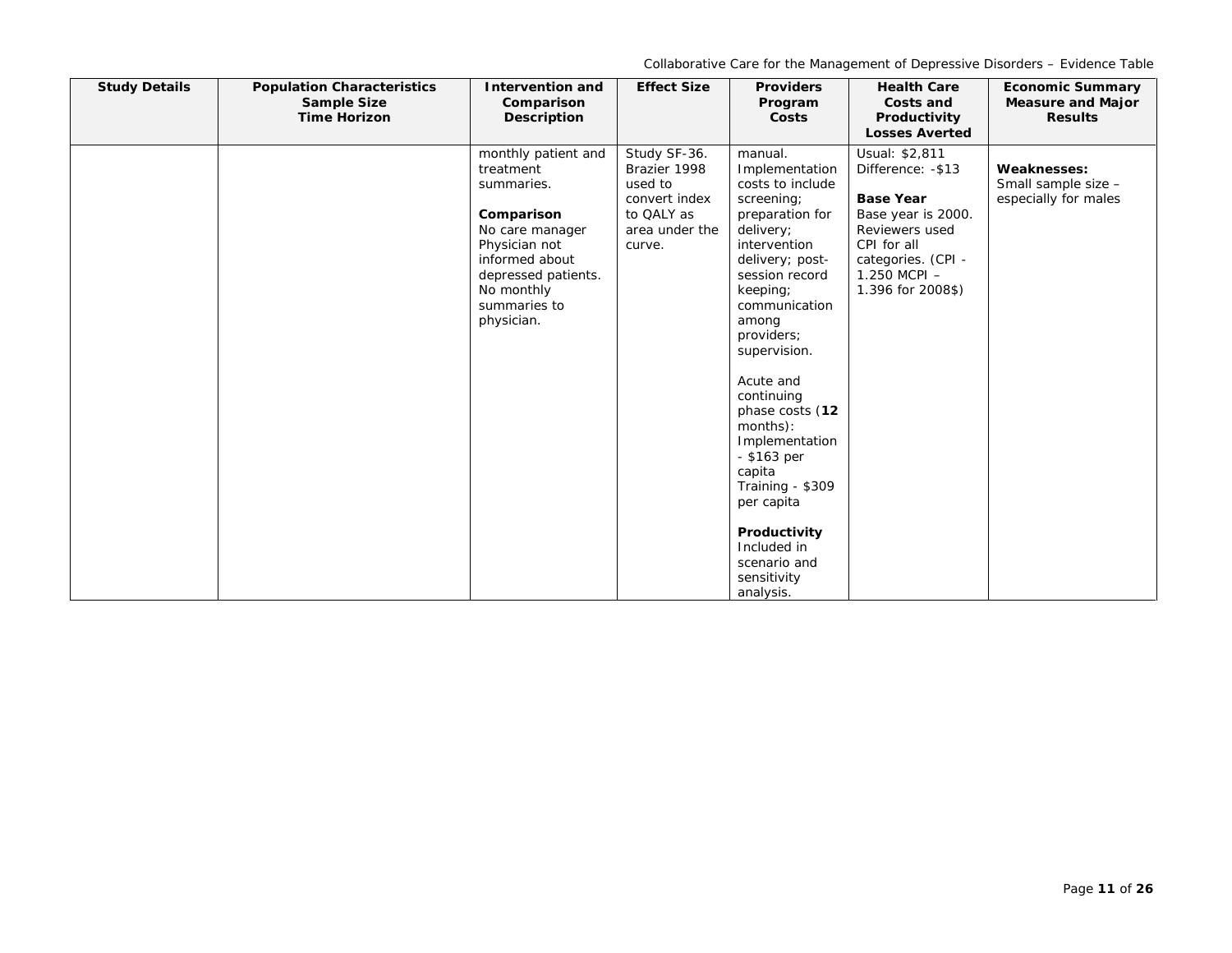| <b>Study Details</b> | <b>Population Characteristics</b><br><b>Sample Size</b><br><b>Time Horizon</b> | <b>Intervention and</b><br>Comparison<br>Description                                                                                                                                  | <b>Effect Size</b>                                                                                 | <b>Providers</b><br>Program<br>Costs                                                                                                                                                                                                                                                                                                                                                                                                     | <b>Health Care</b><br>Costs and<br>Productivity<br><b>Losses Averted</b>                                                                                                   | <b>Economic Summary</b><br><b>Measure and Major</b><br><b>Results</b> |
|----------------------|--------------------------------------------------------------------------------|---------------------------------------------------------------------------------------------------------------------------------------------------------------------------------------|----------------------------------------------------------------------------------------------------|------------------------------------------------------------------------------------------------------------------------------------------------------------------------------------------------------------------------------------------------------------------------------------------------------------------------------------------------------------------------------------------------------------------------------------------|----------------------------------------------------------------------------------------------------------------------------------------------------------------------------|-----------------------------------------------------------------------|
|                      |                                                                                | monthly patient and<br>treatment<br>summaries.<br>Comparison<br>No care manager<br>Physician not<br>informed about<br>depressed patients.<br>No monthly<br>summaries to<br>physician. | Study SF-36.<br>Brazier 1998<br>used to<br>convert index<br>to QALY as<br>area under the<br>curve. | manual.<br>Implementation<br>costs to include<br>screening;<br>preparation for<br>delivery;<br>intervention<br>delivery; post-<br>session record<br>keeping;<br>communication<br>among<br>providers;<br>supervision.<br>Acute and<br>continuing<br>phase costs (12<br>months):<br>Implementation<br>$-$ \$163 per<br>capita<br>Training - \$309<br>per capita<br>Productivity<br>Included in<br>scenario and<br>sensitivity<br>analysis. | Usual: \$2,811<br>Difference: - \$13<br><b>Base Year</b><br>Base year is 2000.<br>Reviewers used<br>CPI for all<br>categories. (CPI -<br>1.250 MCPI -<br>1.396 for 2008\$) | <b>Weaknesses:</b><br>Small sample size -<br>especially for males     |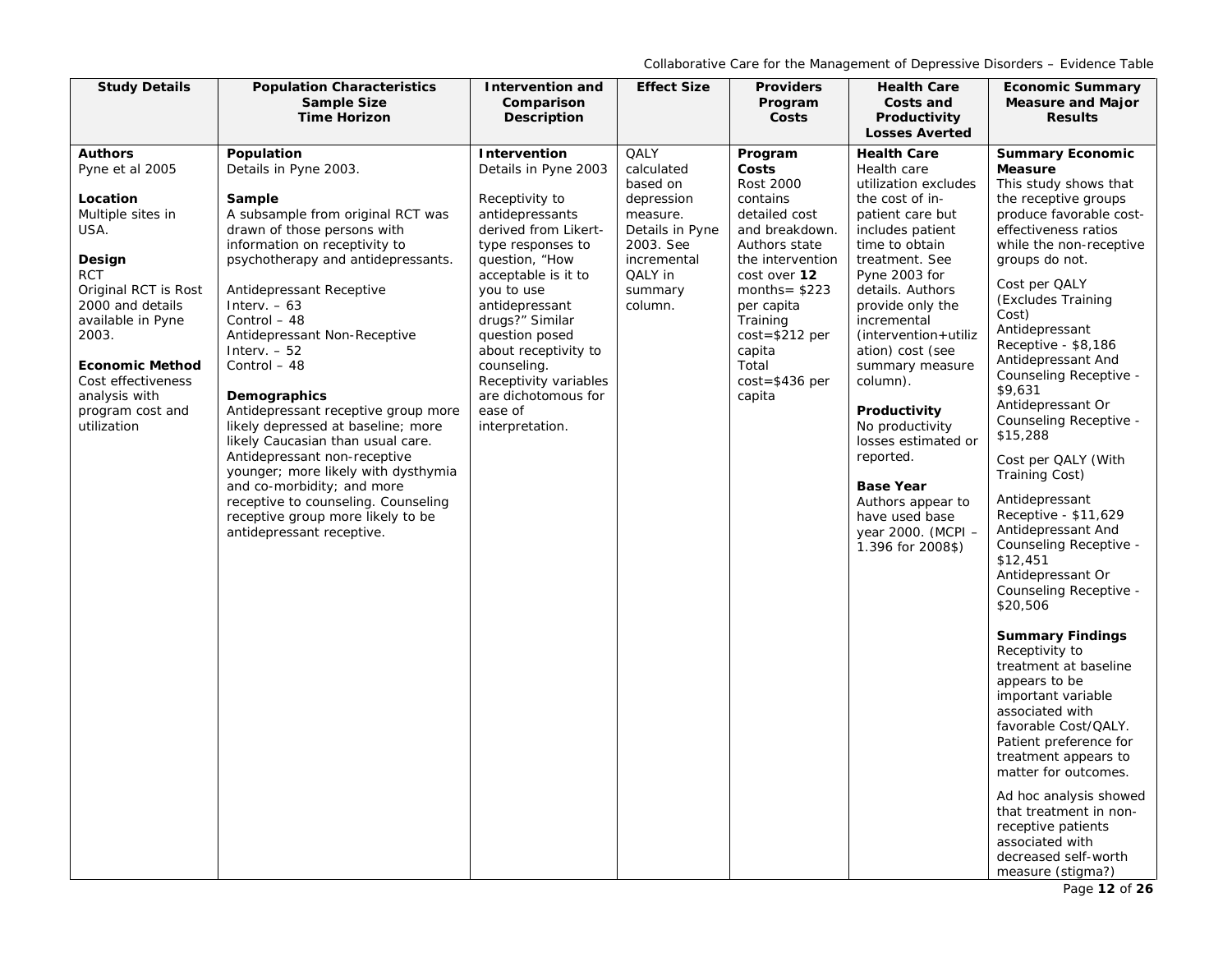| <b>Study Details</b>                  | <b>Population Characteristics</b>                                         | <b>Intervention and</b>                 | <b>Effect Size</b>          | <b>Providers</b>          | <b>Health Care</b>                    | <b>Economic Summary</b>                         |
|---------------------------------------|---------------------------------------------------------------------------|-----------------------------------------|-----------------------------|---------------------------|---------------------------------------|-------------------------------------------------|
|                                       | <b>Sample Size</b><br><b>Time Horizon</b>                                 | Comparison                              |                             | Program                   | Costs and                             | <b>Measure and Major</b>                        |
|                                       |                                                                           | <b>Description</b>                      |                             | Costs                     | Productivity<br><b>Losses Averted</b> | <b>Results</b>                                  |
| <b>Authors</b>                        | Population                                                                | Intervention                            | QALY                        | Program                   | <b>Health Care</b>                    | <b>Summary Economic</b>                         |
| Pyne et al 2005                       | Details in Pyne 2003.                                                     | Details in Pyne 2003                    | calculated                  | Costs                     | Health care                           | <b>Measure</b>                                  |
|                                       |                                                                           |                                         | based on                    | <b>Rost 2000</b>          | utilization excludes                  | This study shows that                           |
| Location<br>Multiple sites in         | Sample                                                                    | Receptivity to                          | depression                  | contains<br>detailed cost | the cost of in-                       | the receptive groups<br>produce favorable cost- |
| USA.                                  | A subsample from original RCT was<br>drawn of those persons with          | antidepressants<br>derived from Likert- | measure.<br>Details in Pyne | and breakdown.            | patient care but<br>includes patient  | effectiveness ratios                            |
|                                       | information on receptivity to                                             | type responses to                       | 2003. See                   | Authors state             | time to obtain                        | while the non-receptive                         |
| Design                                | psychotherapy and antidepressants.                                        | question, "How                          | incremental                 | the intervention          | treatment. See                        | groups do not.                                  |
| <b>RCT</b>                            |                                                                           | acceptable is it to                     | QALY in                     | cost over 12              | Pyne 2003 for                         | Cost per QALY                                   |
| Original RCT is Rost                  | Antidepressant Receptive                                                  | you to use                              | summary                     | months= $$223$            | details. Authors                      | (Excludes Training                              |
| 2000 and details<br>available in Pyne | Interv. $-63$<br>Control - 48                                             | antidepressant<br>drugs?" Similar       | column.                     | per capita<br>Training    | provide only the<br>incremental       | Cost)                                           |
| 2003.                                 | Antidepressant Non-Receptive                                              | question posed                          |                             | $cost = $212 per$         | (intervention+utiliz)                 | Antidepressant                                  |
|                                       | Interv. $-52$                                                             | about receptivity to                    |                             | capita                    | ation) cost (see                      | Receptive - \$8,186                             |
| <b>Economic Method</b>                | Control - 48                                                              | counseling.                             |                             | Total                     | summary measure                       | Antidepressant And                              |
| Cost effectiveness                    |                                                                           | Receptivity variables                   |                             | $cost = $436$ per         | column).                              | Counseling Receptive -<br>\$9,631               |
| analysis with                         | Demographics                                                              | are dichotomous for<br>ease of          |                             | capita                    |                                       | Antidepressant Or                               |
| program cost and<br>utilization       | Antidepressant receptive group more<br>likely depressed at baseline; more | interpretation.                         |                             |                           | Productivity<br>No productivity       | Counseling Receptive -                          |
|                                       | likely Caucasian than usual care.                                         |                                         |                             |                           | losses estimated or                   | \$15,288                                        |
|                                       | Antidepressant non-receptive                                              |                                         |                             |                           | reported.                             | Cost per QALY (With                             |
|                                       | younger; more likely with dysthymia                                       |                                         |                             |                           |                                       | Training Cost)                                  |
|                                       | and co-morbidity; and more                                                |                                         |                             |                           | <b>Base Year</b>                      | Antidepressant                                  |
|                                       | receptive to counseling. Counseling<br>receptive group more likely to be  |                                         |                             |                           | Authors appear to<br>have used base   | Receptive - \$11,629                            |
|                                       | antidepressant receptive.                                                 |                                         |                             |                           | year 2000. (MCPI -                    | Antidepressant And                              |
|                                       |                                                                           |                                         |                             |                           | 1.396 for 2008\$)                     | Counseling Receptive -                          |
|                                       |                                                                           |                                         |                             |                           |                                       | \$12,451                                        |
|                                       |                                                                           |                                         |                             |                           |                                       | Antidepressant Or<br>Counseling Receptive -     |
|                                       |                                                                           |                                         |                             |                           |                                       | \$20,506                                        |
|                                       |                                                                           |                                         |                             |                           |                                       |                                                 |
|                                       |                                                                           |                                         |                             |                           |                                       | <b>Summary Findings</b>                         |
|                                       |                                                                           |                                         |                             |                           |                                       | Receptivity to                                  |
|                                       |                                                                           |                                         |                             |                           |                                       | treatment at baseline<br>appears to be          |
|                                       |                                                                           |                                         |                             |                           |                                       | important variable                              |
|                                       |                                                                           |                                         |                             |                           |                                       | associated with                                 |
|                                       |                                                                           |                                         |                             |                           |                                       | favorable Cost/QALY.                            |
|                                       |                                                                           |                                         |                             |                           |                                       | Patient preference for                          |
|                                       |                                                                           |                                         |                             |                           |                                       | treatment appears to<br>matter for outcomes.    |
|                                       |                                                                           |                                         |                             |                           |                                       |                                                 |
|                                       |                                                                           |                                         |                             |                           |                                       | Ad hoc analysis showed                          |
|                                       |                                                                           |                                         |                             |                           |                                       | that treatment in non-<br>receptive patients    |
|                                       |                                                                           |                                         |                             |                           |                                       | associated with                                 |
|                                       |                                                                           |                                         |                             |                           |                                       | decreased self-worth                            |
|                                       |                                                                           |                                         |                             |                           |                                       | measure (stigma?)                               |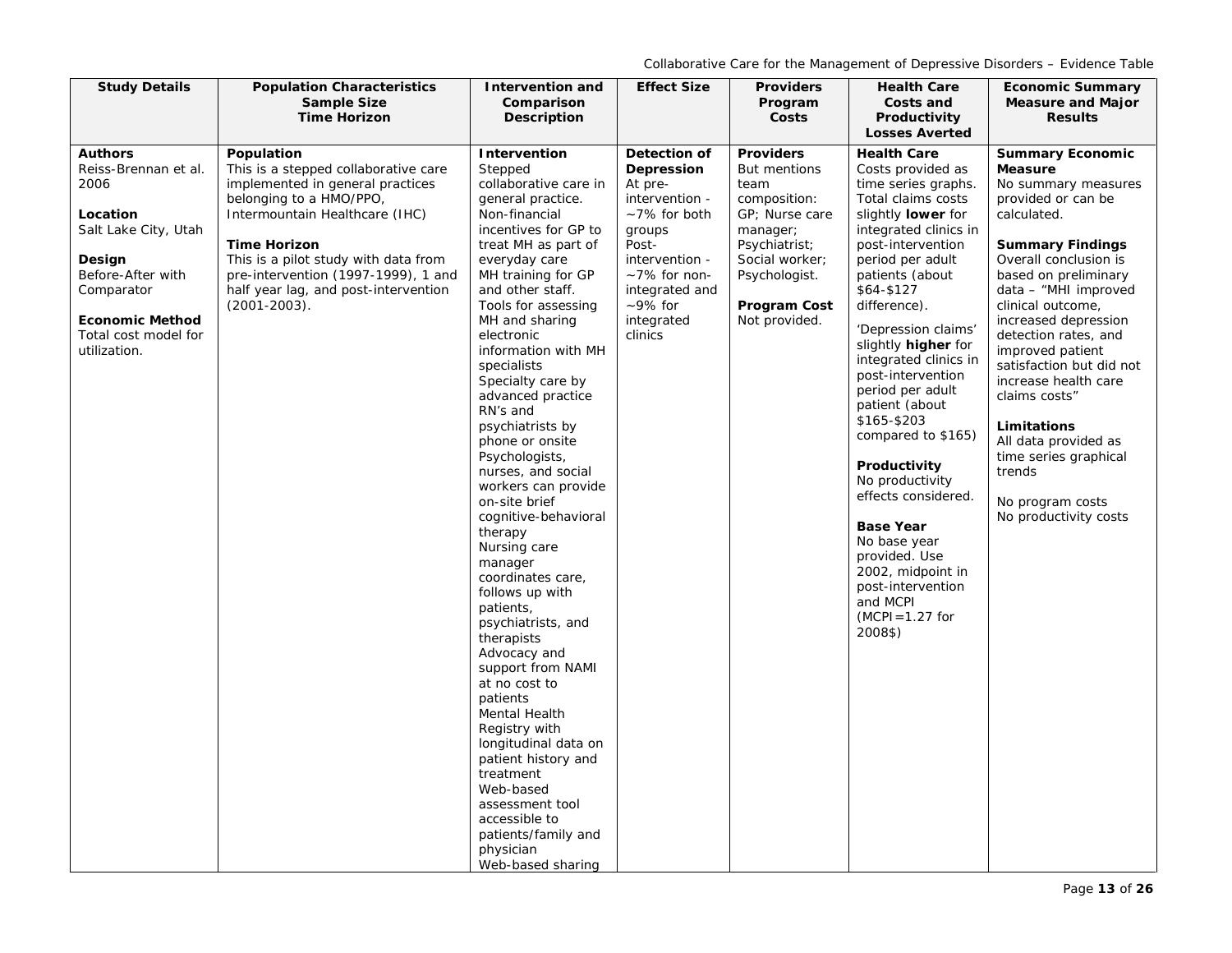| <b>Study Details</b>                           | <b>Population Characteristics</b>                         | Intervention and                      | <b>Effect Size</b>                | <b>Providers</b>               | <b>Health Care</b>                        | <b>Economic Summary</b>                      |
|------------------------------------------------|-----------------------------------------------------------|---------------------------------------|-----------------------------------|--------------------------------|-------------------------------------------|----------------------------------------------|
|                                                | <b>Sample Size</b><br><b>Time Horizon</b>                 | Comparison<br>Description             |                                   | Program<br>Costs               | Costs and<br>Productivity                 | <b>Measure and Major</b><br><b>Results</b>   |
|                                                |                                                           |                                       |                                   |                                | <b>Losses Averted</b>                     |                                              |
| <b>Authors</b>                                 | Population                                                | Intervention                          | Detection of                      | <b>Providers</b>               | <b>Health Care</b>                        | <b>Summary Economic</b>                      |
| Reiss-Brennan et al.                           | This is a stepped collaborative care                      | Stepped                               | Depression                        | But mentions                   | Costs provided as                         | <b>Measure</b>                               |
| 2006                                           | implemented in general practices                          | collaborative care in                 | At pre-                           | team                           | time series graphs.<br>Total claims costs | No summary measures                          |
| Location                                       | belonging to a HMO/PPO,<br>Intermountain Healthcare (IHC) | general practice.<br>Non-financial    | intervention -<br>$~1\%$ for both | composition:<br>GP; Nurse care | slightly <b>lower</b> for                 | provided or can be<br>calculated.            |
| Salt Lake City, Utah                           |                                                           | incentives for GP to                  | groups                            | manager;                       | integrated clinics in                     |                                              |
|                                                | <b>Time Horizon</b>                                       | treat MH as part of                   | Post-                             | Psychiatrist;                  | post-intervention                         | <b>Summary Findings</b>                      |
| Design                                         | This is a pilot study with data from                      | everyday care                         | intervention -                    | Social worker;                 | period per adult                          | Overall conclusion is                        |
| Before-After with                              | pre-intervention (1997-1999), 1 and                       | MH training for GP                    | $~1\%$ for non-                   | Psychologist.                  | patients (about                           | based on preliminary                         |
| Comparator                                     | half year lag, and post-intervention                      | and other staff.                      | integrated and                    |                                | \$64-\$127                                | data - "MHI improved                         |
|                                                | $(2001 - 2003)$ .                                         | Tools for assessing                   | $~10^{\circ}$ for                 | <b>Program Cost</b>            | difference).                              | clinical outcome,                            |
| <b>Economic Method</b><br>Total cost model for |                                                           | MH and sharing<br>electronic          | integrated<br>clinics             | Not provided.                  | 'Depression claims'                       | increased depression<br>detection rates, and |
| utilization.                                   |                                                           | information with MH                   |                                   |                                | slightly <b>higher</b> for                | improved patient                             |
|                                                |                                                           | specialists                           |                                   |                                | integrated clinics in                     | satisfaction but did not                     |
|                                                |                                                           | Specialty care by                     |                                   |                                | post-intervention<br>period per adult     | increase health care                         |
|                                                |                                                           | advanced practice                     |                                   |                                | patient (about                            | claims costs"                                |
|                                                |                                                           | RN's and<br>psychiatrists by          |                                   |                                | \$165-\$203                               | Limitations                                  |
|                                                |                                                           | phone or onsite                       |                                   |                                | compared to \$165)                        | All data provided as                         |
|                                                |                                                           | Psychologists,                        |                                   |                                |                                           | time series graphical                        |
|                                                |                                                           | nurses, and social                    |                                   |                                | Productivity                              | trends                                       |
|                                                |                                                           | workers can provide                   |                                   |                                | No productivity<br>effects considered.    |                                              |
|                                                |                                                           | on-site brief                         |                                   |                                |                                           | No program costs                             |
|                                                |                                                           | cognitive-behavioral<br>therapy       |                                   |                                | <b>Base Year</b>                          | No productivity costs                        |
|                                                |                                                           | Nursing care                          |                                   |                                | No base year                              |                                              |
|                                                |                                                           | manager                               |                                   |                                | provided. Use                             |                                              |
|                                                |                                                           | coordinates care,                     |                                   |                                | 2002, midpoint in                         |                                              |
|                                                |                                                           | follows up with                       |                                   |                                | post-intervention<br>and MCPI             |                                              |
|                                                |                                                           | patients,                             |                                   |                                | $(MCPI = 1.27$ for                        |                                              |
|                                                |                                                           | psychiatrists, and<br>therapists      |                                   |                                | 2008\$)                                   |                                              |
|                                                |                                                           | Advocacy and                          |                                   |                                |                                           |                                              |
|                                                |                                                           | support from NAMI                     |                                   |                                |                                           |                                              |
|                                                |                                                           | at no cost to                         |                                   |                                |                                           |                                              |
|                                                |                                                           | patients                              |                                   |                                |                                           |                                              |
|                                                |                                                           | Mental Health                         |                                   |                                |                                           |                                              |
|                                                |                                                           | Registry with<br>longitudinal data on |                                   |                                |                                           |                                              |
|                                                |                                                           | patient history and                   |                                   |                                |                                           |                                              |
|                                                |                                                           | treatment                             |                                   |                                |                                           |                                              |
|                                                |                                                           | Web-based                             |                                   |                                |                                           |                                              |
|                                                |                                                           | assessment tool                       |                                   |                                |                                           |                                              |
|                                                |                                                           | accessible to                         |                                   |                                |                                           |                                              |
|                                                |                                                           | patients/family and<br>physician      |                                   |                                |                                           |                                              |
|                                                |                                                           | Web-based sharing                     |                                   |                                |                                           |                                              |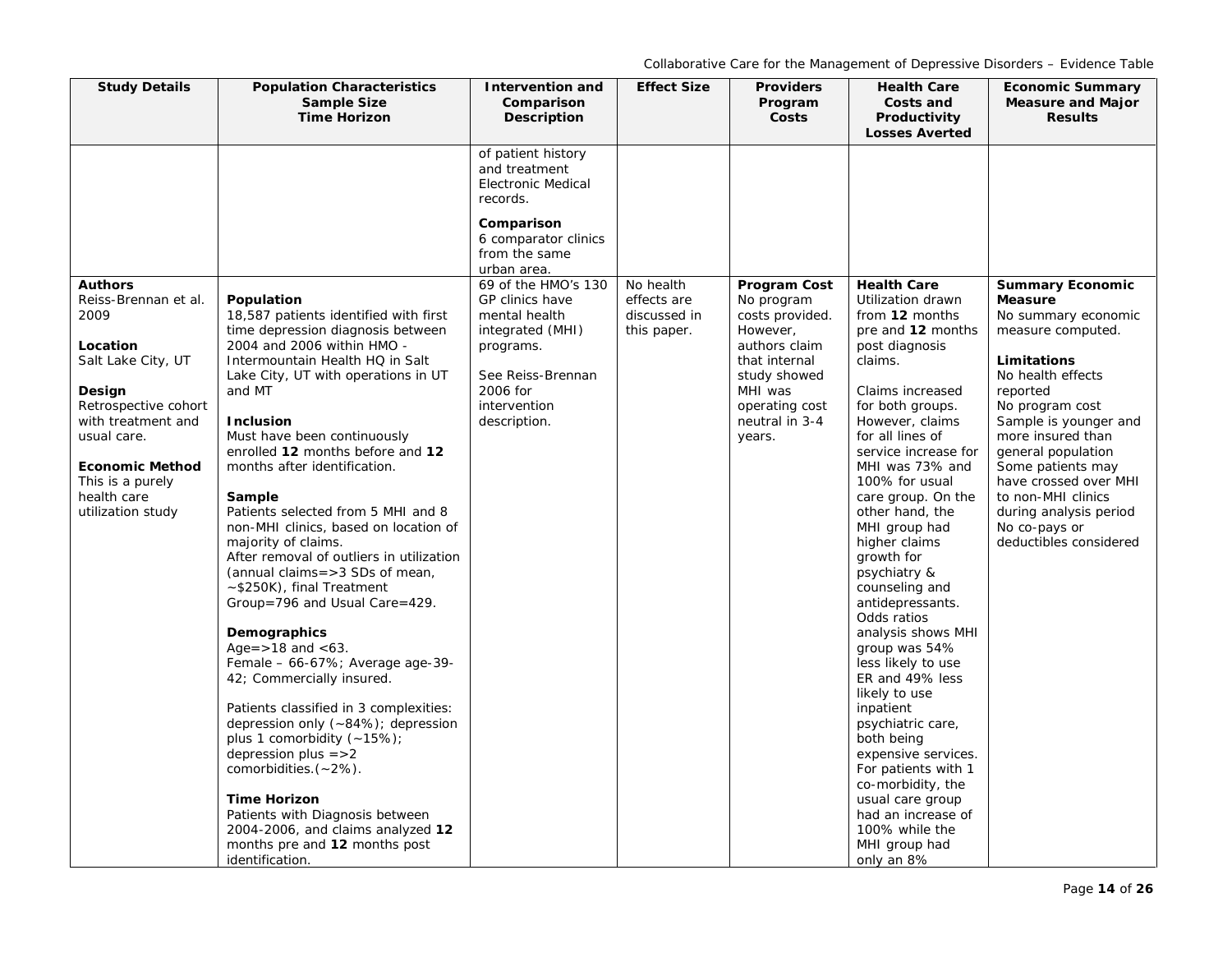| <b>Study Details</b>                                                                                                                                                                                                                      | <b>Population Characteristics</b><br><b>Sample Size</b><br><b>Time Horizon</b>                                                                                                                                                                                                                                                                                                                                                                                                                                                                                                                                                                                                                                                                                                                                                                                                                                                                                                                                                            | <b>Intervention and</b><br>Comparison<br>Description                                                                                                      | <b>Effect Size</b>                                      | <b>Providers</b><br>Program<br>Costs                                                                                                                                 | <b>Health Care</b><br>Costs and<br>Productivity<br><b>Losses Averted</b>                                                                                                                                                                                                                                                                                                                                                                                                                                                                                                                                                                                                                                                             | <b>Economic Summary</b><br><b>Measure and Major</b><br><b>Results</b>                                                                                                                                                                                                                                                                                                 |
|-------------------------------------------------------------------------------------------------------------------------------------------------------------------------------------------------------------------------------------------|-------------------------------------------------------------------------------------------------------------------------------------------------------------------------------------------------------------------------------------------------------------------------------------------------------------------------------------------------------------------------------------------------------------------------------------------------------------------------------------------------------------------------------------------------------------------------------------------------------------------------------------------------------------------------------------------------------------------------------------------------------------------------------------------------------------------------------------------------------------------------------------------------------------------------------------------------------------------------------------------------------------------------------------------|-----------------------------------------------------------------------------------------------------------------------------------------------------------|---------------------------------------------------------|----------------------------------------------------------------------------------------------------------------------------------------------------------------------|--------------------------------------------------------------------------------------------------------------------------------------------------------------------------------------------------------------------------------------------------------------------------------------------------------------------------------------------------------------------------------------------------------------------------------------------------------------------------------------------------------------------------------------------------------------------------------------------------------------------------------------------------------------------------------------------------------------------------------------|-----------------------------------------------------------------------------------------------------------------------------------------------------------------------------------------------------------------------------------------------------------------------------------------------------------------------------------------------------------------------|
|                                                                                                                                                                                                                                           |                                                                                                                                                                                                                                                                                                                                                                                                                                                                                                                                                                                                                                                                                                                                                                                                                                                                                                                                                                                                                                           | of patient history<br>and treatment<br><b>Electronic Medical</b><br>records.                                                                              |                                                         |                                                                                                                                                                      |                                                                                                                                                                                                                                                                                                                                                                                                                                                                                                                                                                                                                                                                                                                                      |                                                                                                                                                                                                                                                                                                                                                                       |
|                                                                                                                                                                                                                                           |                                                                                                                                                                                                                                                                                                                                                                                                                                                                                                                                                                                                                                                                                                                                                                                                                                                                                                                                                                                                                                           | Comparison<br>6 comparator clinics<br>from the same<br>urban area.                                                                                        |                                                         |                                                                                                                                                                      |                                                                                                                                                                                                                                                                                                                                                                                                                                                                                                                                                                                                                                                                                                                                      |                                                                                                                                                                                                                                                                                                                                                                       |
| <b>Authors</b><br>Reiss-Brennan et al.<br>2009<br>Location<br>Salt Lake City, UT<br>Design<br>Retrospective cohort<br>with treatment and<br>usual care.<br><b>Economic Method</b><br>This is a purely<br>health care<br>utilization study | Population<br>18,587 patients identified with first<br>time depression diagnosis between<br>2004 and 2006 within HMO -<br>Intermountain Health HQ in Salt<br>Lake City, UT with operations in UT<br>and MT<br><b>Inclusion</b><br>Must have been continuously<br>enrolled 12 months before and 12<br>months after identification.<br>Sample<br>Patients selected from 5 MHI and 8<br>non-MHI clinics, based on location of<br>majority of claims.<br>After removal of outliers in utilization<br>(annual claims=>3 SDs of mean,<br>$\sim$ \$250K), final Treatment<br>Group=796 and Usual Care=429.<br>Demographics<br>Age= $>18$ and $< 63$ .<br>Female - 66-67%; Average age-39-<br>42; Commercially insured.<br>Patients classified in 3 complexities:<br>depression only (~84%); depression<br>plus 1 comorbidity $(-15%)$ ;<br>depression plus $=$ >2<br>comorbidities. $(-2%)$ .<br><b>Time Horizon</b><br>Patients with Diagnosis between<br>2004-2006, and claims analyzed 12<br>months pre and 12 months post<br>identification. | 69 of the HMO's 130<br>GP clinics have<br>mental health<br>integrated (MHI)<br>programs.<br>See Reiss-Brennan<br>2006 for<br>intervention<br>description. | No health<br>effects are<br>discussed in<br>this paper. | Program Cost<br>No program<br>costs provided.<br>However,<br>authors claim<br>that internal<br>study showed<br>MHI was<br>operating cost<br>neutral in 3-4<br>years. | <b>Health Care</b><br>Utilization drawn<br>from 12 months<br>pre and 12 months<br>post diagnosis<br>claims.<br>Claims increased<br>for both groups.<br>However, claims<br>for all lines of<br>service increase for<br>MHI was 73% and<br>100% for usual<br>care group. On the<br>other hand, the<br>MHI group had<br>higher claims<br>growth for<br>psychiatry &<br>counseling and<br>antidepressants.<br>Odds ratios<br>analysis shows MHI<br>group was 54%<br>less likely to use<br>ER and 49% less<br>likely to use<br>inpatient<br>psychiatric care,<br>both being<br>expensive services.<br>For patients with 1<br>co-morbidity, the<br>usual care group<br>had an increase of<br>100% while the<br>MHI group had<br>only an 8% | <b>Summary Economic</b><br><b>Measure</b><br>No summary economic<br>measure computed.<br>Limitations<br>No health effects<br>reported<br>No program cost<br>Sample is younger and<br>more insured than<br>general population<br>Some patients may<br>have crossed over MHI<br>to non-MHI clinics<br>during analysis period<br>No co-pays or<br>deductibles considered |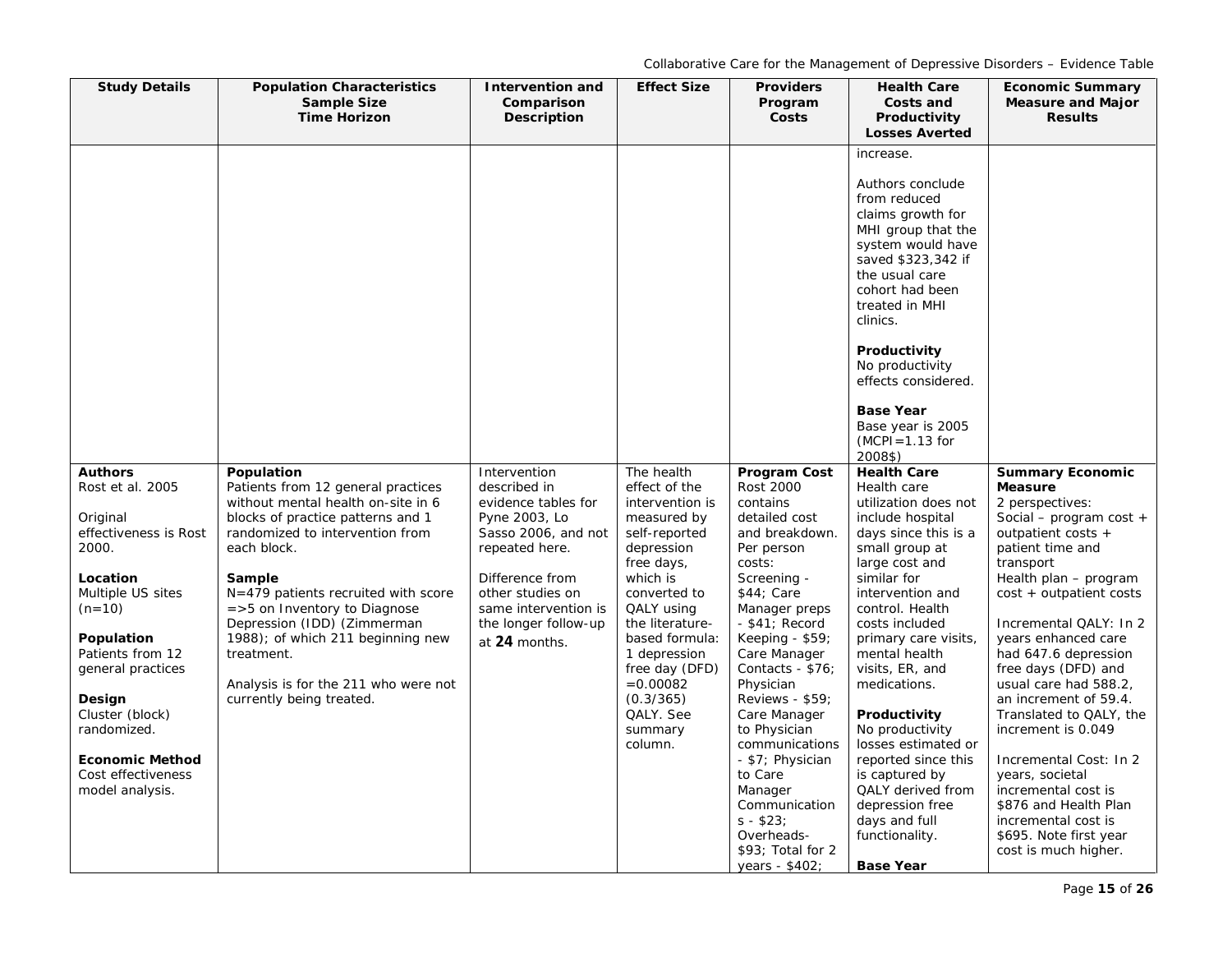| <b>Study Details</b>                                            | <b>Population Characteristics</b><br><b>Sample Size</b><br><b>Time Horizon</b>                                            | <b>Intervention and</b><br>Comparison<br><b>Description</b>                   | <b>Effect Size</b>                                                          | <b>Providers</b><br>Program<br>Costs                                                                                                         | <b>Health Care</b><br>Costs and<br>Productivity<br><b>Losses Averted</b>                                                                                                                                                                                                                                                                   | <b>Economic Summary</b><br><b>Measure and Major</b><br><b>Results</b>                                                                                              |
|-----------------------------------------------------------------|---------------------------------------------------------------------------------------------------------------------------|-------------------------------------------------------------------------------|-----------------------------------------------------------------------------|----------------------------------------------------------------------------------------------------------------------------------------------|--------------------------------------------------------------------------------------------------------------------------------------------------------------------------------------------------------------------------------------------------------------------------------------------------------------------------------------------|--------------------------------------------------------------------------------------------------------------------------------------------------------------------|
|                                                                 |                                                                                                                           |                                                                               |                                                                             |                                                                                                                                              | increase.<br>Authors conclude<br>from reduced<br>claims growth for<br>MHI group that the<br>system would have<br>saved \$323,342 if<br>the usual care<br>cohort had been<br>treated in MHI<br>clinics.<br>Productivity<br>No productivity<br>effects considered.<br><b>Base Year</b><br>Base year is 2005<br>$(MCPI = 1.13$ for<br>2008\$) |                                                                                                                                                                    |
| <b>Authors</b><br>Rost et al. 2005                              | Population<br>Patients from 12 general practices                                                                          | Intervention<br>described in                                                  | The health<br>effect of the                                                 | Program Cost<br><b>Rost 2000</b>                                                                                                             | <b>Health Care</b><br>Health care                                                                                                                                                                                                                                                                                                          | <b>Summary Economic</b><br><b>Measure</b>                                                                                                                          |
| Original<br>effectiveness is Rost<br>2000.                      | without mental health on-site in 6<br>blocks of practice patterns and 1<br>randomized to intervention from<br>each block. | evidence tables for<br>Pyne 2003, Lo<br>Sasso 2006, and not<br>repeated here. | intervention is<br>measured by<br>self-reported<br>depression<br>free days, | contains<br>detailed cost<br>and breakdown.<br>Per person<br>costs:                                                                          | utilization does not<br>include hospital<br>days since this is a<br>small group at<br>large cost and                                                                                                                                                                                                                                       | 2 perspectives:<br>Social – program cost +<br>outpatient costs +<br>patient time and<br>transport                                                                  |
| Location<br>Multiple US sites<br>$(n=10)$                       | Sample<br>$N = 479$ patients recruited with score<br>$=$ >5 on Inventory to Diagnose                                      | Difference from<br>other studies on<br>same intervention is                   | which is<br>converted to<br>QALY using                                      | Screening -<br>$$44;$ Care<br>Manager preps                                                                                                  | similar for<br>intervention and<br>control. Health                                                                                                                                                                                                                                                                                         | Health plan - program<br>cost + outpatient costs                                                                                                                   |
| Population<br>Patients from 12<br>general practices             | Depression (IDD) (Zimmerman<br>1988); of which 211 beginning new<br>treatment.                                            | the longer follow-up<br>at 24 months.                                         | the literature-<br>based formula:<br>1 depression<br>free day (DFD)         | $-$ \$41; Record<br>Keeping - $$59$ ;<br>Care Manager<br>Contacts - \$76;                                                                    | costs included<br>primary care visits,<br>mental health<br>visits, ER, and                                                                                                                                                                                                                                                                 | Incremental QALY: In 2<br>years enhanced care<br>had 647.6 depression<br>free days (DFD) and                                                                       |
| Design<br>Cluster (block)<br>randomized.                        | Analysis is for the 211 who were not<br>currently being treated.                                                          |                                                                               | $= 0.00082$<br>(0.3/365)<br>QALY. See<br>summary                            | Physician<br>Reviews - \$59;<br>Care Manager<br>to Physician                                                                                 | medications.<br>Productivity<br>No productivity                                                                                                                                                                                                                                                                                            | usual care had 588.2,<br>an increment of 59.4.<br>Translated to QALY, the<br>increment is 0.049                                                                    |
| <b>Economic Method</b><br>Cost effectiveness<br>model analysis. |                                                                                                                           |                                                                               | column.                                                                     | communications<br>- \$7; Physician<br>to Care<br>Manager<br>Communication<br>$s - $23;$<br>Overheads-<br>\$93; Total for 2<br>years - \$402; | losses estimated or<br>reported since this<br>is captured by<br>QALY derived from<br>depression free<br>days and full<br>functionality.<br><b>Base Year</b>                                                                                                                                                                                | Incremental Cost: In 2<br>years, societal<br>incremental cost is<br>\$876 and Health Plan<br>incremental cost is<br>\$695. Note first year<br>cost is much higher. |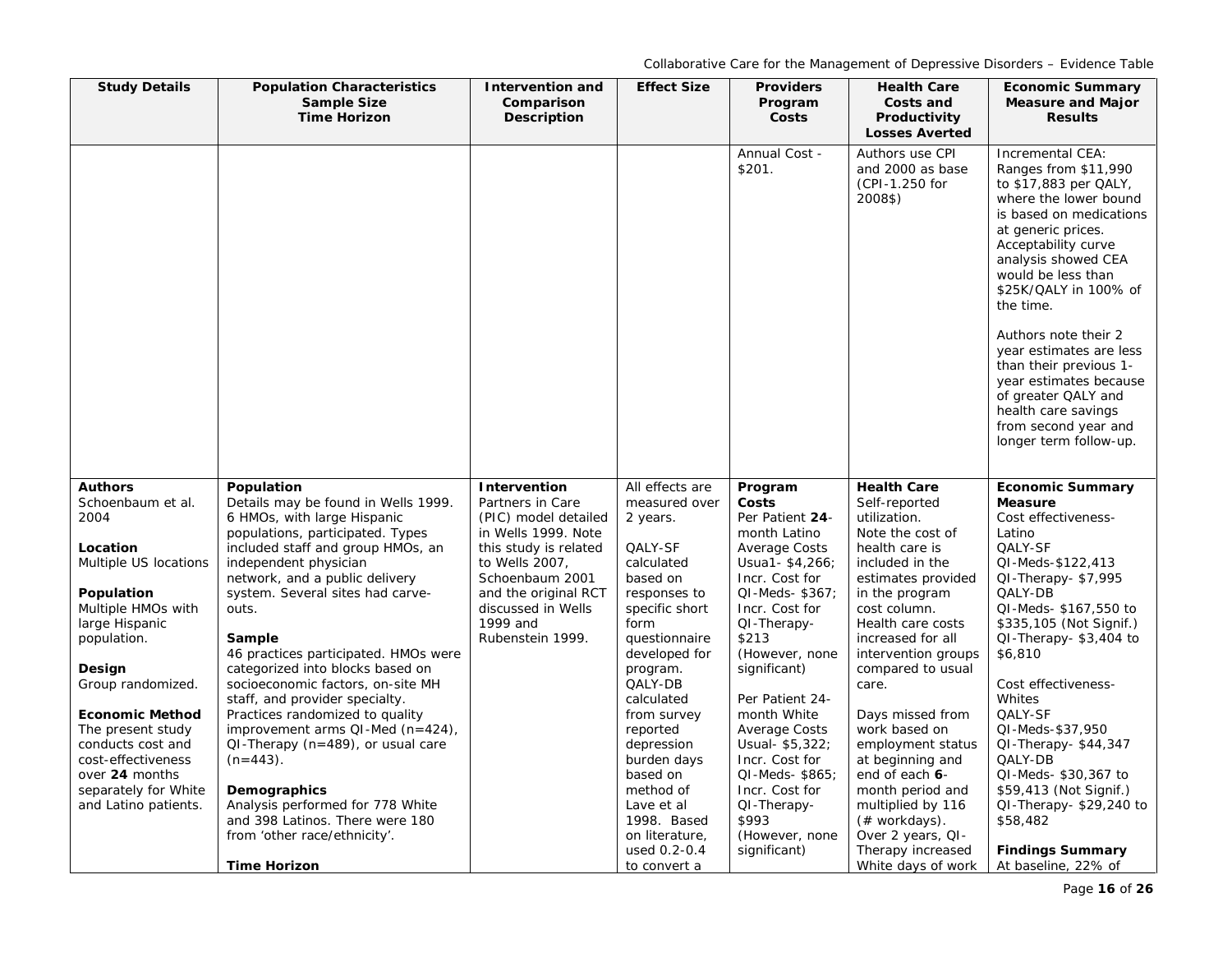| <b>Population Characteristics</b><br><b>Sample Size</b><br><b>Time Horizon</b>                                                                                                                                                                                                                                                                                                                                                                                                                                                                                                                                                                                                         | <b>Intervention and</b><br>Comparison<br><b>Description</b>                                                                                                                                                                 | <b>Effect Size</b>                                                                                                                                                                                                                                                                                                                 | <b>Providers</b><br>Program<br>Costs                                                                                                                                                                                                                                                                                                                                                | <b>Health Care</b><br>Costs and<br>Productivity                                                                                                                                                                                                                                                                                                                                                                                                    | <b>Economic Summary</b><br><b>Measure and Major</b><br><b>Results</b>                                                                                                                                                                                                                                                                                                                                                                                             |
|----------------------------------------------------------------------------------------------------------------------------------------------------------------------------------------------------------------------------------------------------------------------------------------------------------------------------------------------------------------------------------------------------------------------------------------------------------------------------------------------------------------------------------------------------------------------------------------------------------------------------------------------------------------------------------------|-----------------------------------------------------------------------------------------------------------------------------------------------------------------------------------------------------------------------------|------------------------------------------------------------------------------------------------------------------------------------------------------------------------------------------------------------------------------------------------------------------------------------------------------------------------------------|-------------------------------------------------------------------------------------------------------------------------------------------------------------------------------------------------------------------------------------------------------------------------------------------------------------------------------------------------------------------------------------|----------------------------------------------------------------------------------------------------------------------------------------------------------------------------------------------------------------------------------------------------------------------------------------------------------------------------------------------------------------------------------------------------------------------------------------------------|-------------------------------------------------------------------------------------------------------------------------------------------------------------------------------------------------------------------------------------------------------------------------------------------------------------------------------------------------------------------------------------------------------------------------------------------------------------------|
|                                                                                                                                                                                                                                                                                                                                                                                                                                                                                                                                                                                                                                                                                        |                                                                                                                                                                                                                             |                                                                                                                                                                                                                                                                                                                                    |                                                                                                                                                                                                                                                                                                                                                                                     |                                                                                                                                                                                                                                                                                                                                                                                                                                                    |                                                                                                                                                                                                                                                                                                                                                                                                                                                                   |
|                                                                                                                                                                                                                                                                                                                                                                                                                                                                                                                                                                                                                                                                                        |                                                                                                                                                                                                                             |                                                                                                                                                                                                                                                                                                                                    | Annual Cost -<br>\$201.                                                                                                                                                                                                                                                                                                                                                             | Authors use CPI<br>and 2000 as base<br>(CPI-1.250 for<br>2008\$)                                                                                                                                                                                                                                                                                                                                                                                   | Incremental CEA:<br>Ranges from \$11,990<br>to \$17,883 per QALY,<br>where the lower bound<br>is based on medications<br>at generic prices.<br>Acceptability curve<br>analysis showed CEA<br>would be less than<br>\$25K/QALY in 100% of<br>the time.<br>Authors note their 2<br>year estimates are less<br>than their previous 1-<br>year estimates because<br>of greater QALY and<br>health care savings<br>from second year and<br>longer term follow-up.      |
| Population<br>Details may be found in Wells 1999.<br>6 HMOs, with large Hispanic<br>populations, participated. Types<br>included staff and group HMOs, an<br>independent physician<br>network, and a public delivery<br>system. Several sites had carve-<br>outs.<br>Sample<br>46 practices participated. HMOs were<br>categorized into blocks based on<br>socioeconomic factors, on-site MH<br>staff, and provider specialty.<br>Practices randomized to quality<br>improvement arms $QI$ -Med (n=424),<br>$QI$ -Therapy (n=489), or usual care<br>$(n=443)$ .<br>Demographics<br>Analysis performed for 778 White<br>and 398 Latinos. There were 180<br>from 'other race/ethnicity'. | Intervention<br>Partners in Care<br>(PIC) model detailed<br>in Wells 1999. Note<br>this study is related<br>to Wells 2007,<br>Schoenbaum 2001<br>and the original RCT<br>discussed in Wells<br>1999 and<br>Rubenstein 1999. | All effects are<br>measured over<br>2 years.<br>QALY-SF<br>calculated<br>based on<br>responses to<br>specific short<br>form<br>questionnaire<br>developed for<br>program.<br>QALY-DB<br>calculated<br>from survey<br>reported<br>depression<br>burden days<br>based on<br>method of<br>Lave et al<br>1998. Based<br>on literature, | Program<br>Costs<br>Per Patient 24-<br>month Latino<br><b>Average Costs</b><br>Usua1-\$4,266;<br>Incr. Cost for<br>QI-Meds-\$367;<br>Incr. Cost for<br>QI-Therapy-<br>\$213<br>(However, none<br>significant)<br>Per Patient 24-<br>month White<br>Average Costs<br>Usual- \$5,322;<br>Incr. Cost for<br>QI-Meds-\$865;<br>Incr. Cost for<br>QI-Therapy-<br>\$993<br>(However, none | <b>Health Care</b><br>Self-reported<br>utilization.<br>Note the cost of<br>health care is<br>included in the<br>estimates provided<br>in the program<br>cost column.<br>Health care costs<br>increased for all<br>intervention groups<br>compared to usual<br>care.<br>Days missed from<br>work based on<br>employment status<br>at beginning and<br>end of each 6-<br>month period and<br>multiplied by 116<br>(# workdays).<br>Over 2 years, QI- | <b>Economic Summary</b><br><b>Measure</b><br>Cost effectiveness-<br>Latino<br>QALY-SF<br>QI-Meds-\$122,413<br>QI-Therapy-\$7,995<br>QALY-DB<br>QI-Meds- \$167,550 to<br>\$335,105 (Not Signif.)<br>QI-Therapy-\$3,404 to<br>\$6,810<br>Cost effectiveness-<br>Whites<br>QALY-SF<br>QI-Meds-\$37,950<br>$Q$ I-Therapy- $$44,347$<br>QALY-DB<br>QI-Meds- \$30,367 to<br>\$59,413 (Not Signif.)<br>$QI$ -Therapy- \$29,240 to<br>\$58,482<br><b>Findings Summary</b> |
|                                                                                                                                                                                                                                                                                                                                                                                                                                                                                                                                                                                                                                                                                        | <b>Time Horizon</b>                                                                                                                                                                                                         |                                                                                                                                                                                                                                                                                                                                    | used 0.2-0.4<br>to convert a                                                                                                                                                                                                                                                                                                                                                        | significant)                                                                                                                                                                                                                                                                                                                                                                                                                                       | <b>Losses Averted</b><br>Therapy increased<br>White days of work                                                                                                                                                                                                                                                                                                                                                                                                  |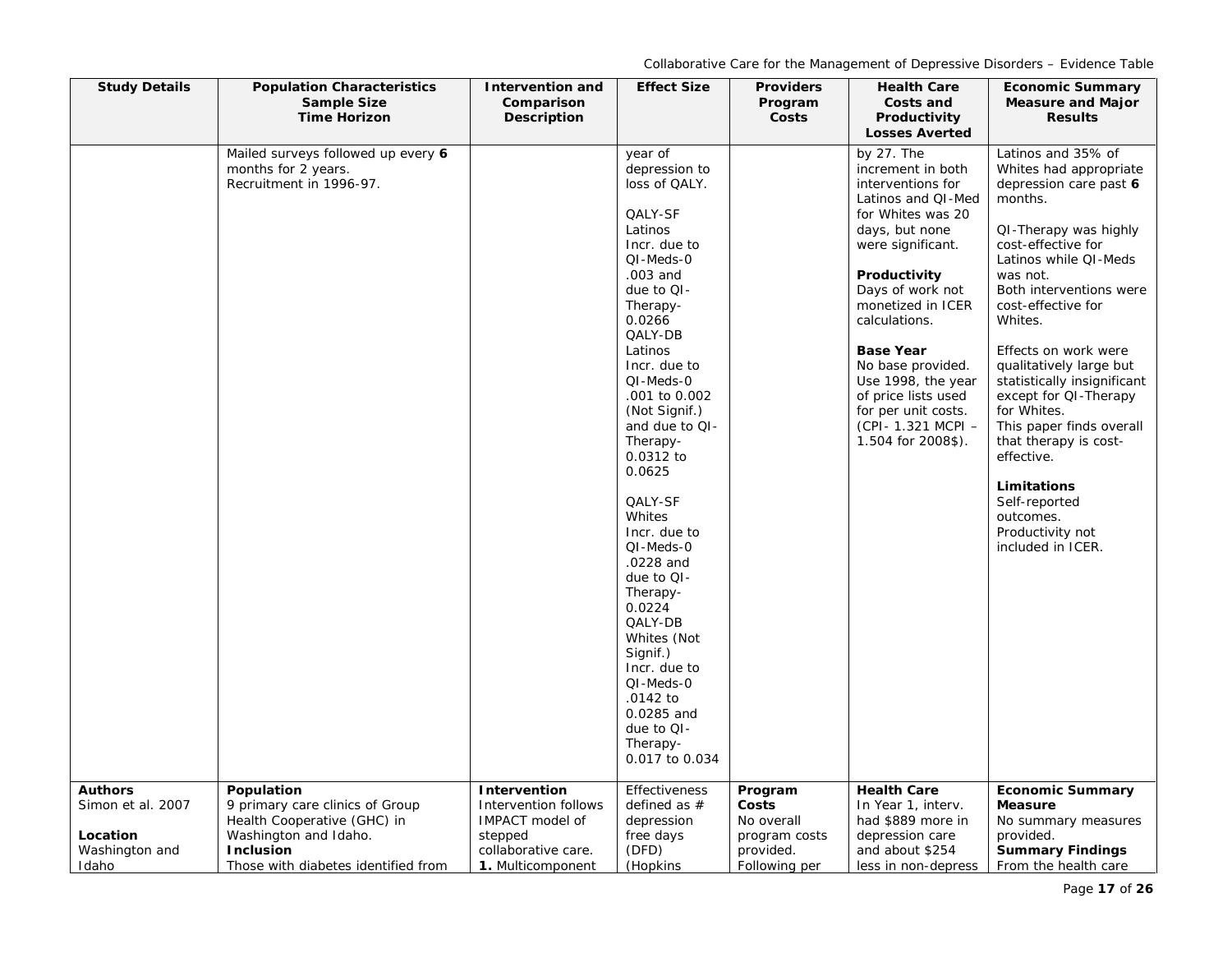| <b>Study Details</b>                                     | <b>Population Characteristics</b><br><b>Sample Size</b>                                                                                            | <b>Intervention and</b><br>Comparison                                                          | <b>Effect Size</b>                                                                                                                                                                                                                                                                                          | <b>Providers</b><br>Program                                        | <b>Health Care</b><br>Costs and                                                                                                                                                                                                                                                                                                                                         | <b>Economic Summary</b><br><b>Measure and Major</b>                                                                                                                                                                                                                                                                                                                                                                                                                         |
|----------------------------------------------------------|----------------------------------------------------------------------------------------------------------------------------------------------------|------------------------------------------------------------------------------------------------|-------------------------------------------------------------------------------------------------------------------------------------------------------------------------------------------------------------------------------------------------------------------------------------------------------------|--------------------------------------------------------------------|-------------------------------------------------------------------------------------------------------------------------------------------------------------------------------------------------------------------------------------------------------------------------------------------------------------------------------------------------------------------------|-----------------------------------------------------------------------------------------------------------------------------------------------------------------------------------------------------------------------------------------------------------------------------------------------------------------------------------------------------------------------------------------------------------------------------------------------------------------------------|
|                                                          | <b>Time Horizon</b>                                                                                                                                | Description                                                                                    |                                                                                                                                                                                                                                                                                                             | Costs                                                              | Productivity<br><b>Losses Averted</b>                                                                                                                                                                                                                                                                                                                                   | <b>Results</b>                                                                                                                                                                                                                                                                                                                                                                                                                                                              |
|                                                          | Mailed surveys followed up every 6<br>months for 2 years.<br>Recruitment in 1996-97.                                                               |                                                                                                | year of<br>depression to<br>loss of QALY.<br>QALY-SF<br>Latinos<br>Incr. due to<br>QI-Meds-0<br>.003 and<br>due to QI-<br>Therapy-<br>0.0266<br>QALY-DB<br>Latinos<br>Incr. due to<br>QI-Meds-0<br>.001 to 0.002<br>(Not Signif.)<br>and due to QI-<br>Therapy-<br>0.0312 to<br>0.0625<br>QALY-SF<br>Whites |                                                                    | by 27. The<br>increment in both<br>interventions for<br>Latinos and QI-Med<br>for Whites was 20<br>days, but none<br>were significant.<br>Productivity<br>Days of work not<br>monetized in ICER<br>calculations.<br><b>Base Year</b><br>No base provided.<br>Use 1998, the year<br>of price lists used<br>for per unit costs.<br>(CPI-1.321 MCPI-<br>1.504 for 2008\$). | Latinos and 35% of<br>Whites had appropriate<br>depression care past 6<br>months.<br>QI-Therapy was highly<br>cost-effective for<br>Latinos while QI-Meds<br>was not.<br>Both interventions were<br>cost-effective for<br>Whites.<br>Effects on work were<br>qualitatively large but<br>statistically insignificant<br>except for QI-Therapy<br>for Whites.<br>This paper finds overall<br>that therapy is cost-<br>effective.<br>Limitations<br>Self-reported<br>outcomes. |
| <b>Authors</b>                                           | Population                                                                                                                                         | Intervention                                                                                   | Incr. due to<br>QI-Meds-0<br>.0228 and<br>due to QI-<br>Therapy-<br>0.0224<br>QALY-DB<br>Whites (Not<br>Signif.)<br>Incr. due to<br>QI-Meds-0<br>.0142 to<br>0.0285 and<br>due to QI-<br>Therapy-<br>0.017 to 0.034<br><b>Effectiveness</b>                                                                 | Program                                                            | <b>Health Care</b>                                                                                                                                                                                                                                                                                                                                                      | Productivity not<br>included in ICER.<br><b>Economic Summary</b>                                                                                                                                                                                                                                                                                                                                                                                                            |
| Simon et al. 2007<br>Location<br>Washington and<br>Idaho | 9 primary care clinics of Group<br>Health Cooperative (GHC) in<br>Washington and Idaho.<br><b>Inclusion</b><br>Those with diabetes identified from | Intervention follows<br>IMPACT model of<br>stepped<br>collaborative care.<br>1. Multicomponent | defined as $#$<br>depression<br>free days<br>(DFD)<br>(Hopkins                                                                                                                                                                                                                                              | Costs<br>No overall<br>program costs<br>provided.<br>Following per | In Year 1, interv.<br>had \$889 more in<br>depression care<br>and about \$254<br>less in non-depress                                                                                                                                                                                                                                                                    | <b>Measure</b><br>No summary measures<br>provided.<br><b>Summary Findings</b><br>From the health care                                                                                                                                                                                                                                                                                                                                                                       |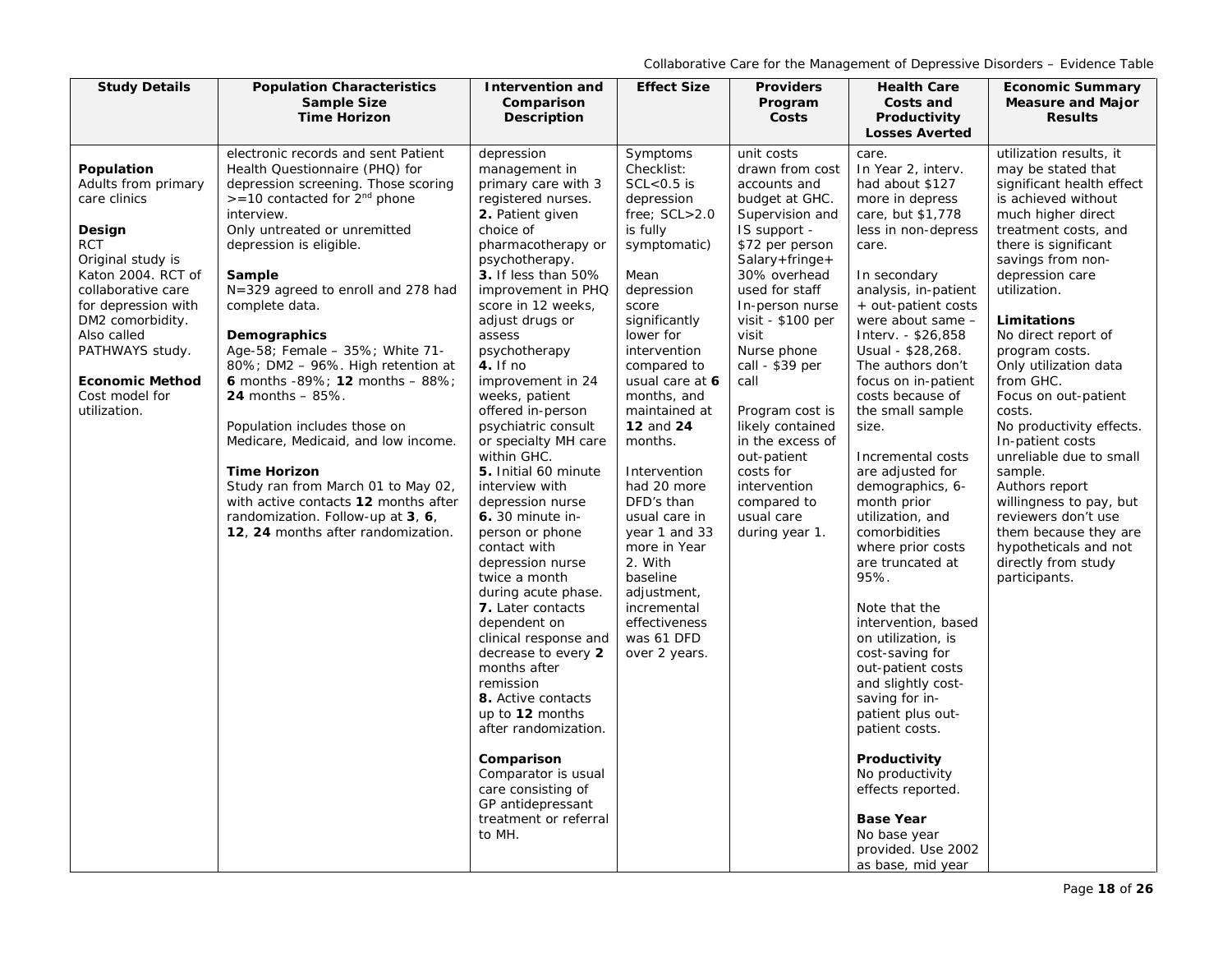| <b>Study Details</b>                                                                                                                                                                                                                                                                | <b>Population Characteristics</b>                                                                                                                                                                                                                                                                                                                                                                                                                                                                                                                                                                                                                                                                          | Intervention and                                                                                                                                                                                                                                                                                                                                                                                                                                                                                                                                                                                                                                                                                                                                                                                                                                                                                  | <b>Effect Size</b>                                                                                                                                                                                                                                                                                                                                                                                                                                                                    | <b>Providers</b>                                                                                                                                                                                                                                                                                                                                                                                                              | <b>Health Care</b>                                                                                                                                                                                                                                                                                                                                                                                                                                                                                                                                                                                                                                                                                                                                                                                                          | <b>Economic Summary</b>                                                                                                                                                                                                                                                                                                                                                                                                                                                                                                                                                                                             |
|-------------------------------------------------------------------------------------------------------------------------------------------------------------------------------------------------------------------------------------------------------------------------------------|------------------------------------------------------------------------------------------------------------------------------------------------------------------------------------------------------------------------------------------------------------------------------------------------------------------------------------------------------------------------------------------------------------------------------------------------------------------------------------------------------------------------------------------------------------------------------------------------------------------------------------------------------------------------------------------------------------|---------------------------------------------------------------------------------------------------------------------------------------------------------------------------------------------------------------------------------------------------------------------------------------------------------------------------------------------------------------------------------------------------------------------------------------------------------------------------------------------------------------------------------------------------------------------------------------------------------------------------------------------------------------------------------------------------------------------------------------------------------------------------------------------------------------------------------------------------------------------------------------------------|---------------------------------------------------------------------------------------------------------------------------------------------------------------------------------------------------------------------------------------------------------------------------------------------------------------------------------------------------------------------------------------------------------------------------------------------------------------------------------------|-------------------------------------------------------------------------------------------------------------------------------------------------------------------------------------------------------------------------------------------------------------------------------------------------------------------------------------------------------------------------------------------------------------------------------|-----------------------------------------------------------------------------------------------------------------------------------------------------------------------------------------------------------------------------------------------------------------------------------------------------------------------------------------------------------------------------------------------------------------------------------------------------------------------------------------------------------------------------------------------------------------------------------------------------------------------------------------------------------------------------------------------------------------------------------------------------------------------------------------------------------------------------|---------------------------------------------------------------------------------------------------------------------------------------------------------------------------------------------------------------------------------------------------------------------------------------------------------------------------------------------------------------------------------------------------------------------------------------------------------------------------------------------------------------------------------------------------------------------------------------------------------------------|
|                                                                                                                                                                                                                                                                                     | <b>Sample Size</b><br><b>Time Horizon</b>                                                                                                                                                                                                                                                                                                                                                                                                                                                                                                                                                                                                                                                                  | Comparison<br><b>Description</b>                                                                                                                                                                                                                                                                                                                                                                                                                                                                                                                                                                                                                                                                                                                                                                                                                                                                  |                                                                                                                                                                                                                                                                                                                                                                                                                                                                                       | Program<br>Costs                                                                                                                                                                                                                                                                                                                                                                                                              | Costs and<br>Productivity                                                                                                                                                                                                                                                                                                                                                                                                                                                                                                                                                                                                                                                                                                                                                                                                   | <b>Measure and Major</b><br><b>Results</b>                                                                                                                                                                                                                                                                                                                                                                                                                                                                                                                                                                          |
|                                                                                                                                                                                                                                                                                     |                                                                                                                                                                                                                                                                                                                                                                                                                                                                                                                                                                                                                                                                                                            |                                                                                                                                                                                                                                                                                                                                                                                                                                                                                                                                                                                                                                                                                                                                                                                                                                                                                                   |                                                                                                                                                                                                                                                                                                                                                                                                                                                                                       |                                                                                                                                                                                                                                                                                                                                                                                                                               | <b>Losses Averted</b>                                                                                                                                                                                                                                                                                                                                                                                                                                                                                                                                                                                                                                                                                                                                                                                                       |                                                                                                                                                                                                                                                                                                                                                                                                                                                                                                                                                                                                                     |
| Population<br>Adults from primary<br>care clinics<br>Design<br><b>RCT</b><br>Original study is<br>Katon 2004. RCT of<br>collaborative care<br>for depression with<br>DM2 comorbidity.<br>Also called<br>PATHWAYS study.<br><b>Economic Method</b><br>Cost model for<br>utilization. | electronic records and sent Patient<br>Health Questionnaire (PHQ) for<br>depression screening. Those scoring<br>$> = 10$ contacted for $2nd$ phone<br>interview.<br>Only untreated or unremitted<br>depression is eligible.<br>Sample<br>N=329 agreed to enroll and 278 had<br>complete data.<br>Demographics<br>Age-58; Female - 35%; White 71-<br>80%; DM2 - 96%. High retention at<br>6 months -89%; 12 months - 88%;<br><b>24 months - 85%.</b><br>Population includes those on<br>Medicare, Medicaid, and low income.<br><b>Time Horizon</b><br>Study ran from March 01 to May 02,<br>with active contacts 12 months after<br>randomization. Follow-up at 3, 6,<br>12, 24 months after randomization. | depression<br>management in<br>primary care with 3<br>registered nurses.<br>2. Patient given<br>choice of<br>pharmacotherapy or<br>psychotherapy.<br>3. If less than 50%<br>improvement in PHQ<br>score in 12 weeks,<br>adjust drugs or<br>assess<br>psychotherapy<br>$4.$ If no<br>improvement in 24<br>weeks, patient<br>offered in-person<br>psychiatric consult<br>or specialty MH care<br>within GHC.<br>5. Initial 60 minute<br>interview with<br>depression nurse<br>6. 30 minute in-<br>person or phone<br>contact with<br>depression nurse<br>twice a month<br>during acute phase.<br>7. Later contacts<br>dependent on<br>clinical response and<br>decrease to every 2<br>months after<br>remission<br>8. Active contacts<br>up to 12 months<br>after randomization.<br>Comparison<br>Comparator is usual<br>care consisting of<br>GP antidepressant<br>treatment or referral<br>to MH. | Symptoms<br>Checklist:<br>$SCL < 0.5$ is<br>depression<br>free; SCL>2.0<br>is fully<br>symptomatic)<br>Mean<br>depression<br>score<br>significantly<br>lower for<br>intervention<br>compared to<br>usual care at 6<br>months, and<br>maintained at<br><b>12 and 24</b><br>months.<br>Intervention<br>had 20 more<br>DFD's than<br>usual care in<br>year 1 and 33<br>more in Year<br>2. With<br>baseline<br>adjustment,<br>incremental<br>effectiveness<br>was 61 DFD<br>over 2 years. | unit costs<br>drawn from cost<br>accounts and<br>budget at GHC.<br>Supervision and<br>IS support -<br>\$72 per person<br>$Salary+fringe+$<br>30% overhead<br>used for staff<br>In-person nurse<br>visit - $$100$ per<br>visit<br>Nurse phone<br>call - \$39 per<br>call<br>Program cost is<br>likely contained<br>in the excess of<br>out-patient<br>costs for<br>intervention<br>compared to<br>usual care<br>during year 1. | care.<br>In Year 2, interv.<br>had about \$127<br>more in depress<br>care, but \$1,778<br>less in non-depress<br>care.<br>In secondary<br>analysis, in-patient<br>+ out-patient costs<br>were about same -<br>Interv. - \$26,858<br>Usual - \$28,268.<br>The authors don't<br>focus on in-patient<br>costs because of<br>the small sample<br>size.<br>Incremental costs<br>are adjusted for<br>demographics, 6-<br>month prior<br>utilization, and<br>comorbidities<br>where prior costs<br>are truncated at<br>95%.<br>Note that the<br>intervention, based<br>on utilization, is<br>cost-saving for<br>out-patient costs<br>and slightly cost-<br>saving for in-<br>patient plus out-<br>patient costs.<br>Productivity<br>No productivity<br>effects reported.<br><b>Base Year</b><br>No base year<br>provided. Use 2002 | utilization results, it<br>may be stated that<br>significant health effect<br>is achieved without<br>much higher direct<br>treatment costs, and<br>there is significant<br>savings from non-<br>depression care<br>utilization.<br>Limitations<br>No direct report of<br>program costs.<br>Only utilization data<br>from GHC.<br>Focus on out-patient<br>costs.<br>No productivity effects.<br>In-patient costs<br>unreliable due to small<br>sample.<br>Authors report<br>willingness to pay, but<br>reviewers don't use<br>them because they are<br>hypotheticals and not<br>directly from study<br>participants. |
|                                                                                                                                                                                                                                                                                     |                                                                                                                                                                                                                                                                                                                                                                                                                                                                                                                                                                                                                                                                                                            |                                                                                                                                                                                                                                                                                                                                                                                                                                                                                                                                                                                                                                                                                                                                                                                                                                                                                                   |                                                                                                                                                                                                                                                                                                                                                                                                                                                                                       |                                                                                                                                                                                                                                                                                                                                                                                                                               | as base, mid year                                                                                                                                                                                                                                                                                                                                                                                                                                                                                                                                                                                                                                                                                                                                                                                                           |                                                                                                                                                                                                                                                                                                                                                                                                                                                                                                                                                                                                                     |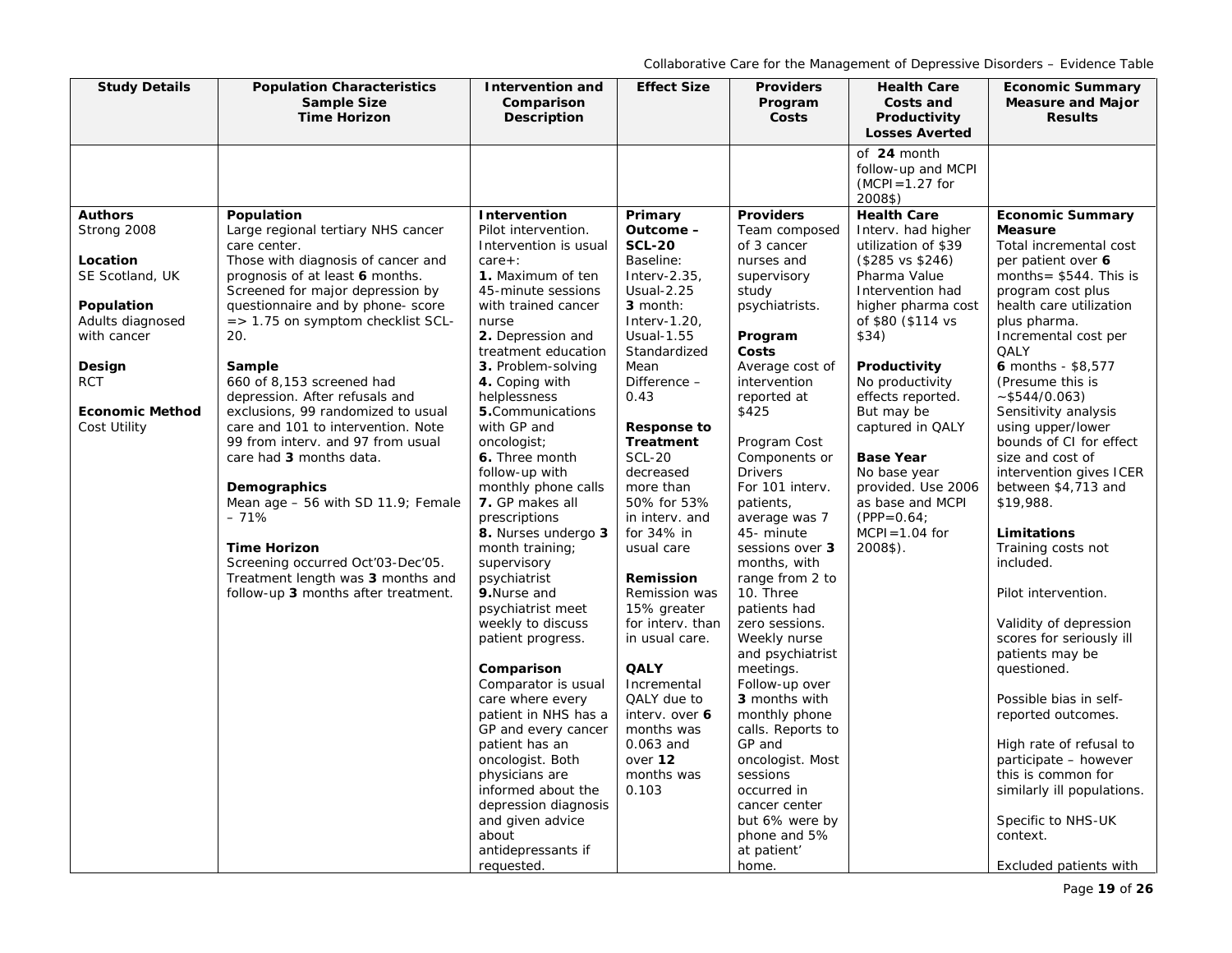| <b>Study Details</b>                                                                                                                                                            | <b>Population Characteristics</b><br><b>Sample Size</b><br><b>Time Horizon</b>                                                                                                                                                                                                                                                                                                                                                                                                                                                                                                                                                                                                                          | Intervention and<br>Comparison<br>Description                                                                                                                                                                                                                                                                                                                                                                                                                                                                                                                                                                                                                                                                                                                                                                        | <b>Effect Size</b>                                                                                                                                                                                                                                                                                                                                                                                                                                                                                                                                    | <b>Providers</b><br>Program<br>Costs                                                                                                                                                                                                                                                                                                                                                                                                                                                                                                                                                                                                                 | <b>Health Care</b><br>Costs and<br>Productivity<br><b>Losses Averted</b>                                                                                                                                                                                                                                                                                                                                         | <b>Economic Summary</b><br><b>Measure and Major</b><br><b>Results</b>                                                                                                                                                                                                                                                                                                                                                                                                                                                                                                                                                                                                                                                                                                                                  |
|---------------------------------------------------------------------------------------------------------------------------------------------------------------------------------|---------------------------------------------------------------------------------------------------------------------------------------------------------------------------------------------------------------------------------------------------------------------------------------------------------------------------------------------------------------------------------------------------------------------------------------------------------------------------------------------------------------------------------------------------------------------------------------------------------------------------------------------------------------------------------------------------------|----------------------------------------------------------------------------------------------------------------------------------------------------------------------------------------------------------------------------------------------------------------------------------------------------------------------------------------------------------------------------------------------------------------------------------------------------------------------------------------------------------------------------------------------------------------------------------------------------------------------------------------------------------------------------------------------------------------------------------------------------------------------------------------------------------------------|-------------------------------------------------------------------------------------------------------------------------------------------------------------------------------------------------------------------------------------------------------------------------------------------------------------------------------------------------------------------------------------------------------------------------------------------------------------------------------------------------------------------------------------------------------|------------------------------------------------------------------------------------------------------------------------------------------------------------------------------------------------------------------------------------------------------------------------------------------------------------------------------------------------------------------------------------------------------------------------------------------------------------------------------------------------------------------------------------------------------------------------------------------------------------------------------------------------------|------------------------------------------------------------------------------------------------------------------------------------------------------------------------------------------------------------------------------------------------------------------------------------------------------------------------------------------------------------------------------------------------------------------|--------------------------------------------------------------------------------------------------------------------------------------------------------------------------------------------------------------------------------------------------------------------------------------------------------------------------------------------------------------------------------------------------------------------------------------------------------------------------------------------------------------------------------------------------------------------------------------------------------------------------------------------------------------------------------------------------------------------------------------------------------------------------------------------------------|
|                                                                                                                                                                                 |                                                                                                                                                                                                                                                                                                                                                                                                                                                                                                                                                                                                                                                                                                         |                                                                                                                                                                                                                                                                                                                                                                                                                                                                                                                                                                                                                                                                                                                                                                                                                      |                                                                                                                                                                                                                                                                                                                                                                                                                                                                                                                                                       |                                                                                                                                                                                                                                                                                                                                                                                                                                                                                                                                                                                                                                                      | of 24 month<br>follow-up and MCPI<br>$(MCPI = 1.27$ for<br>2008\$)                                                                                                                                                                                                                                                                                                                                               |                                                                                                                                                                                                                                                                                                                                                                                                                                                                                                                                                                                                                                                                                                                                                                                                        |
| <b>Authors</b><br>Strong 2008<br>Location<br>SE Scotland, UK<br>Population<br>Adults diagnosed<br>with cancer<br>Design<br><b>RCT</b><br><b>Economic Method</b><br>Cost Utility | Population<br>Large regional tertiary NHS cancer<br>care center.<br>Those with diagnosis of cancer and<br>prognosis of at least 6 months.<br>Screened for major depression by<br>questionnaire and by phone-score<br>$\epsilon$ = > 1.75 on symptom checklist SCL-<br>20.<br>Sample<br>660 of 8,153 screened had<br>depression. After refusals and<br>exclusions, 99 randomized to usual<br>care and 101 to intervention. Note<br>99 from interv. and 97 from usual<br>care had 3 months data.<br>Demographics<br>Mean age $-56$ with SD 11.9; Female<br>$-71%$<br><b>Time Horizon</b><br>Screening occurred Oct'03-Dec'05.<br>Treatment length was 3 months and<br>follow-up 3 months after treatment. | <b>Intervention</b><br>Pilot intervention.<br>Intervention is usual<br>$care + :$<br>1. Maximum of ten<br>45-minute sessions<br>with trained cancer<br>nurse<br>2. Depression and<br>treatment education<br>3. Problem-solving<br>4. Coping with<br>helplessness<br>5. Communications<br>with GP and<br>oncologist;<br>6. Three month<br>follow-up with<br>monthly phone calls<br>7. GP makes all<br>prescriptions<br>8. Nurses undergo 3<br>month training;<br>supervisory<br>psychiatrist<br>9.Nurse and<br>psychiatrist meet<br>weekly to discuss<br>patient progress.<br>Comparison<br>Comparator is usual<br>care where every<br>patient in NHS has a<br>GP and every cancer<br>patient has an<br>oncologist. Both<br>physicians are<br>informed about the<br>depression diagnosis<br>and given advice<br>about | Primary<br>Outcome -<br><b>SCL-20</b><br>Baseline:<br>Interv-2.35,<br><b>Usual-2.25</b><br>3 month:<br>Interv-1.20,<br>Usual-1.55<br>Standardized<br>Mean<br>Difference -<br>0.43<br><b>Response to</b><br><b>Treatment</b><br><b>SCL-20</b><br>decreased<br>more than<br>50% for 53%<br>in interv, and<br>for $34\%$ in<br>usual care<br>Remission<br>Remission was<br>15% greater<br>for interv. than<br>in usual care.<br><b>QALY</b><br>Incremental<br>QALY due to<br>interv. over 6<br>months was<br>0.063 and<br>over 12<br>months was<br>0.103 | <b>Providers</b><br>Team composed<br>of 3 cancer<br>nurses and<br>supervisory<br>study<br>psychiatrists.<br>Program<br>Costs<br>Average cost of<br>intervention<br>reported at<br>\$425<br>Program Cost<br>Components or<br><b>Drivers</b><br>For 101 interv.<br>patients,<br>average was 7<br>45- minute<br>sessions over 3<br>months, with<br>range from 2 to<br>10. Three<br>patients had<br>zero sessions.<br>Weekly nurse<br>and psychiatrist<br>meetings.<br>Follow-up over<br>3 months with<br>monthly phone<br>calls. Reports to<br>GP and<br>oncologist. Most<br>sessions<br>occurred in<br>cancer center<br>but 6% were by<br>phone and 5% | <b>Health Care</b><br>Interv. had higher<br>utilization of \$39<br>$($285 \text{ vs } $246$)$<br>Pharma Value<br>Intervention had<br>higher pharma cost<br>of \$80 (\$114 vs<br>\$34)<br>Productivity<br>No productivity<br>effects reported.<br>But may be<br>captured in QALY<br><b>Base Year</b><br>No base year<br>provided. Use 2006<br>as base and MCPI<br>$(PPP = 0.64)$<br>$MCPI = 1.04$ for<br>2008\$). | <b>Economic Summary</b><br><b>Measure</b><br>Total incremental cost<br>per patient over 6<br>months = $$544$ . This is<br>program cost plus<br>health care utilization<br>plus pharma.<br>Incremental cost per<br>QALY<br>6 months - \$8,577<br>(Presume this is<br>~5544/0.063)<br>Sensitivity analysis<br>using upper/lower<br>bounds of CI for effect<br>size and cost of<br>intervention gives ICER<br>between \$4,713 and<br>\$19,988.<br>Limitations<br>Training costs not<br>included.<br>Pilot intervention.<br>Validity of depression<br>scores for seriously ill<br>patients may be<br>questioned.<br>Possible bias in self-<br>reported outcomes.<br>High rate of refusal to<br>participate - however<br>this is common for<br>similarly ill populations.<br>Specific to NHS-UK<br>context. |
|                                                                                                                                                                                 |                                                                                                                                                                                                                                                                                                                                                                                                                                                                                                                                                                                                                                                                                                         | antidepressants if<br>requested.                                                                                                                                                                                                                                                                                                                                                                                                                                                                                                                                                                                                                                                                                                                                                                                     |                                                                                                                                                                                                                                                                                                                                                                                                                                                                                                                                                       | at patient'<br>home.                                                                                                                                                                                                                                                                                                                                                                                                                                                                                                                                                                                                                                 |                                                                                                                                                                                                                                                                                                                                                                                                                  | Excluded patients with                                                                                                                                                                                                                                                                                                                                                                                                                                                                                                                                                                                                                                                                                                                                                                                 |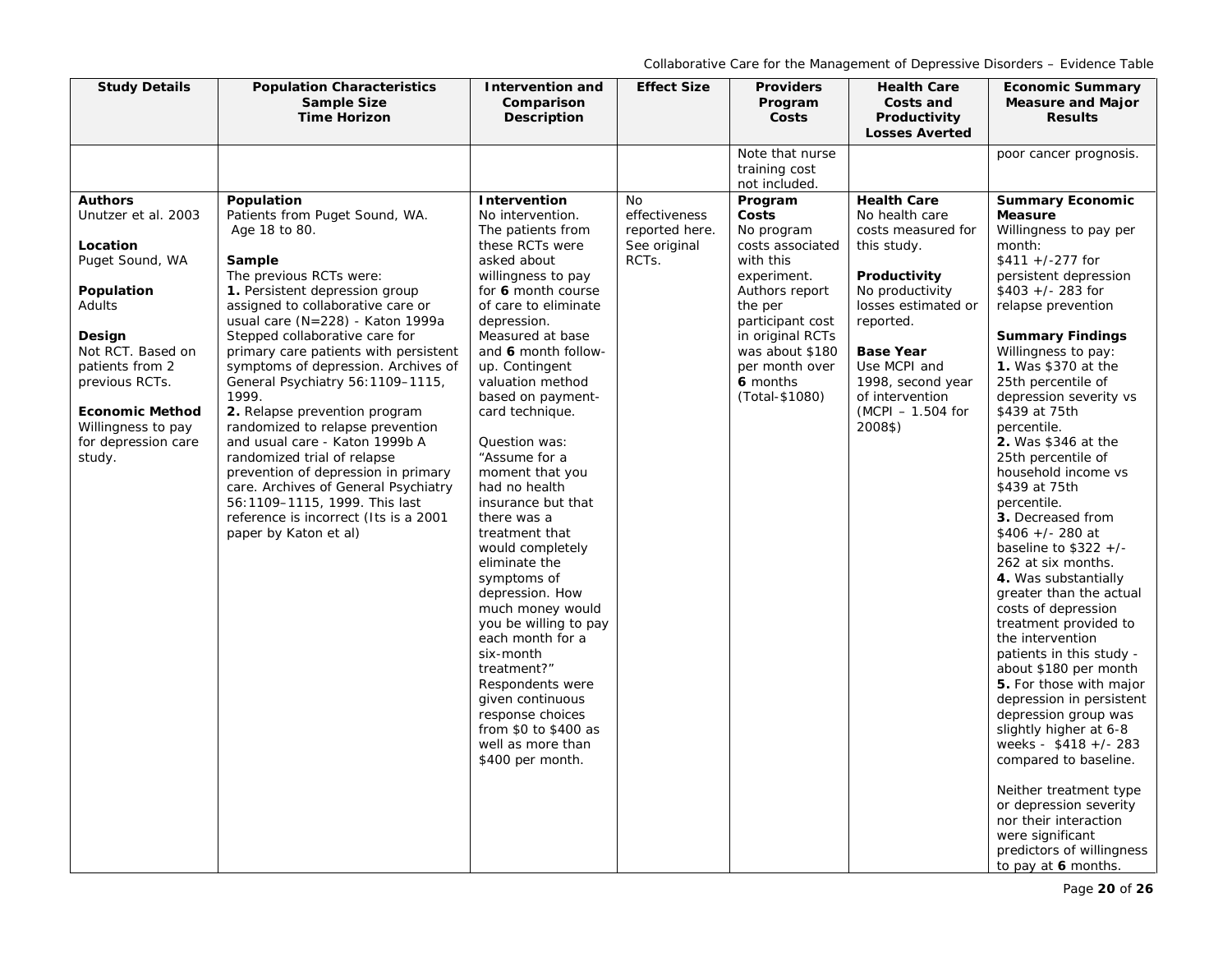| <b>Study Details</b>                                                                                                                                                                                                                              | <b>Population Characteristics</b><br><b>Sample Size</b><br><b>Time Horizon</b>                                                                                                                                                                                                                                                                                                                                                                                                                                                                                                                                                                                                                         | <b>Intervention and</b><br>Comparison<br>Description                                                                                                                                                                                                                                                                                                                                                                                                 | <b>Effect Size</b>                                                    | <b>Providers</b><br>Program<br>Costs                                                                                                                                                                                                                                        | <b>Health Care</b><br>Costs and<br>Productivity                                                                                                                                                                                                                                         | <b>Economic Summary</b><br><b>Measure and Major</b><br><b>Results</b>                                                                                                                                                                                                                                                                                                                                                                                                                                                                     |
|---------------------------------------------------------------------------------------------------------------------------------------------------------------------------------------------------------------------------------------------------|--------------------------------------------------------------------------------------------------------------------------------------------------------------------------------------------------------------------------------------------------------------------------------------------------------------------------------------------------------------------------------------------------------------------------------------------------------------------------------------------------------------------------------------------------------------------------------------------------------------------------------------------------------------------------------------------------------|------------------------------------------------------------------------------------------------------------------------------------------------------------------------------------------------------------------------------------------------------------------------------------------------------------------------------------------------------------------------------------------------------------------------------------------------------|-----------------------------------------------------------------------|-----------------------------------------------------------------------------------------------------------------------------------------------------------------------------------------------------------------------------------------------------------------------------|-----------------------------------------------------------------------------------------------------------------------------------------------------------------------------------------------------------------------------------------------------------------------------------------|-------------------------------------------------------------------------------------------------------------------------------------------------------------------------------------------------------------------------------------------------------------------------------------------------------------------------------------------------------------------------------------------------------------------------------------------------------------------------------------------------------------------------------------------|
| <b>Authors</b><br>Unutzer et al. 2003<br>Location<br>Puget Sound, WA<br>Population<br>Adults<br>Design<br>Not RCT. Based on<br>patients from 2<br>previous RCTs.<br><b>Economic Method</b><br>Willingness to pay<br>for depression care<br>study. | Population<br>Patients from Puget Sound, WA.<br>Age 18 to 80.<br>Sample<br>The previous RCTs were:<br>1. Persistent depression group<br>assigned to collaborative care or<br>usual care $(N=228)$ - Katon 1999a<br>Stepped collaborative care for<br>primary care patients with persistent<br>symptoms of depression. Archives of<br>General Psychiatry 56:1109-1115,<br>1999.<br>2. Relapse prevention program<br>randomized to relapse prevention<br>and usual care - Katon 1999b A<br>randomized trial of relapse<br>prevention of depression in primary<br>care. Archives of General Psychiatry<br>56:1109-1115, 1999. This last<br>reference is incorrect (Its is a 2001<br>paper by Katon et al) | Intervention<br>No intervention.<br>The patients from<br>these RCTs were<br>asked about<br>willingness to pay<br>for 6 month course<br>of care to eliminate<br>depression.<br>Measured at base<br>and 6 month follow-<br>up. Contingent<br>valuation method<br>based on payment-<br>card technique.<br>Question was:<br>"Assume for a<br>moment that you<br>had no health<br>insurance but that<br>there was a<br>treatment that<br>would completely | <b>No</b><br>effectiveness<br>reported here.<br>See original<br>RCTs. | Note that nurse<br>training cost<br>not included.<br>Program<br>Costs<br>No program<br>costs associated<br>with this<br>experiment.<br>Authors report<br>the per<br>participant cost<br>in original RCTs<br>was about \$180<br>per month over<br>6 months<br>(Total-\$1080) | <b>Losses Averted</b><br><b>Health Care</b><br>No health care<br>costs measured for<br>this study.<br>Productivity<br>No productivity<br>losses estimated or<br>reported.<br><b>Base Year</b><br>Use MCPI and<br>1998, second year<br>of intervention<br>$(MCPI - 1.504$ for<br>2008\$) | poor cancer prognosis.<br><b>Summary Economic</b><br><b>Measure</b><br>Willingness to pay per<br>month:<br>$$411 +/-277$ for<br>persistent depression<br>$$403$ +/- 283 for<br>relapse prevention<br><b>Summary Findings</b><br>Willingness to pay:<br>1. Was \$370 at the<br>25th percentile of<br>depression severity vs<br>\$439 at 75th<br>percentile.<br><b>2.</b> Was \$346 at the<br>25th percentile of<br>household income vs<br>\$439 at 75th<br>percentile.<br>3. Decreased from<br>$$406$ +/- 280 at<br>baseline to $$322 +/-$ |
|                                                                                                                                                                                                                                                   |                                                                                                                                                                                                                                                                                                                                                                                                                                                                                                                                                                                                                                                                                                        | eliminate the<br>symptoms of<br>depression. How<br>much money would<br>you be willing to pay<br>each month for a<br>six-month<br>treatment?"<br>Respondents were<br>given continuous<br>response choices<br>from \$0 to \$400 as<br>well as more than<br>\$400 per month.                                                                                                                                                                            |                                                                       |                                                                                                                                                                                                                                                                             |                                                                                                                                                                                                                                                                                         | 262 at six months.<br>4. Was substantially<br>greater than the actual<br>costs of depression<br>treatment provided to<br>the intervention<br>patients in this study -<br>about \$180 per month<br>5. For those with major<br>depression in persistent<br>depression group was<br>slightly higher at 6-8<br>weeks - $$418 +/- 283$<br>compared to baseline.<br>Neither treatment type<br>or depression severity                                                                                                                            |
|                                                                                                                                                                                                                                                   |                                                                                                                                                                                                                                                                                                                                                                                                                                                                                                                                                                                                                                                                                                        |                                                                                                                                                                                                                                                                                                                                                                                                                                                      |                                                                       |                                                                                                                                                                                                                                                                             |                                                                                                                                                                                                                                                                                         | nor their interaction<br>were significant<br>predictors of willingness<br>to pay at 6 months.                                                                                                                                                                                                                                                                                                                                                                                                                                             |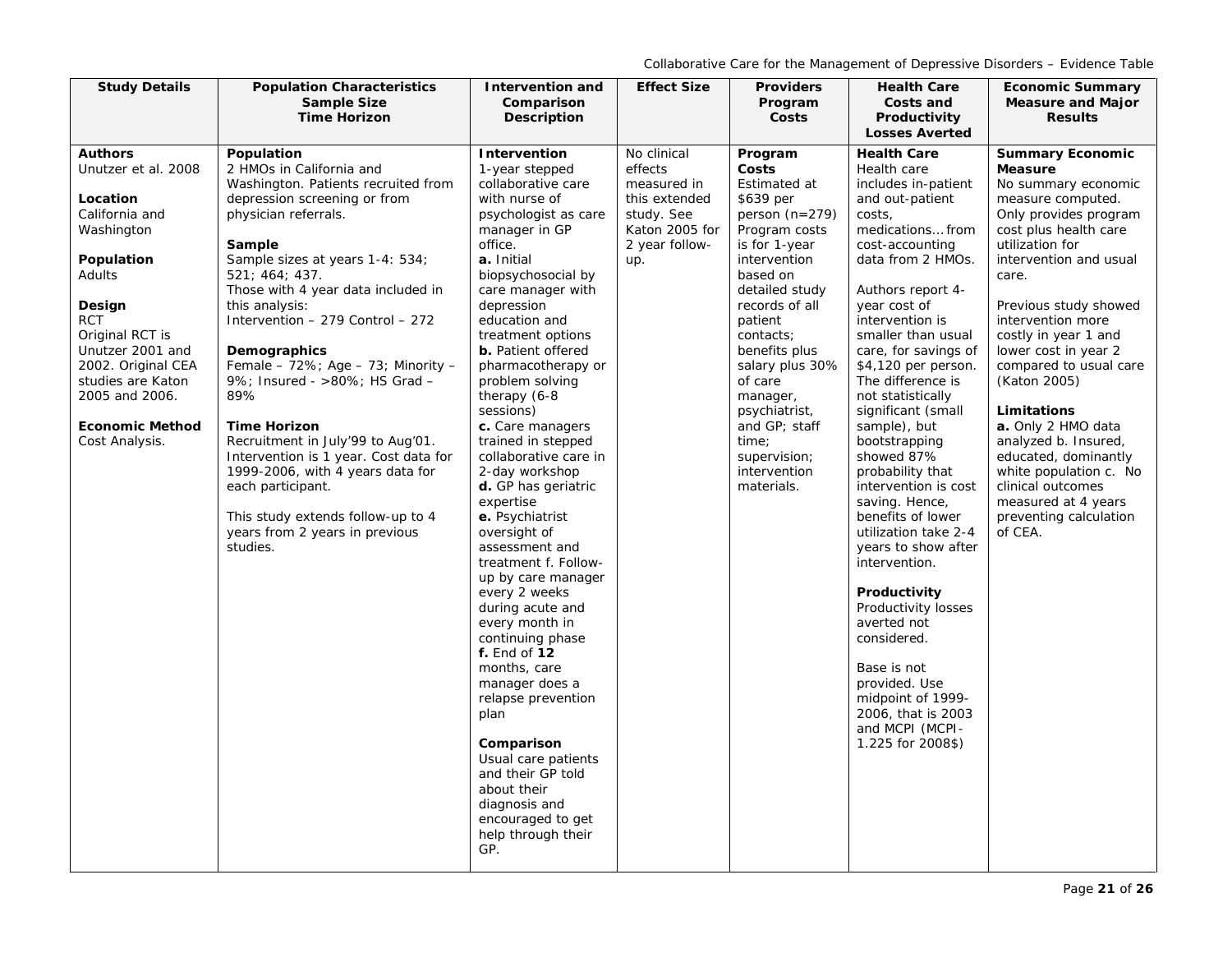| <b>Study Details</b>   | <b>Population Characteristics</b>                                          | <b>Intervention and</b>                     | <b>Effect Size</b> | <b>Providers</b>                 | <b>Health Care</b>                    | <b>Economic Summary</b>                      |
|------------------------|----------------------------------------------------------------------------|---------------------------------------------|--------------------|----------------------------------|---------------------------------------|----------------------------------------------|
|                        | <b>Sample Size</b>                                                         | Comparison                                  |                    | Program                          | Costs and                             | <b>Measure and Major</b>                     |
|                        | <b>Time Horizon</b>                                                        | <b>Description</b>                          |                    | Costs                            | Productivity<br><b>Losses Averted</b> | <b>Results</b>                               |
| <b>Authors</b>         | Population                                                                 | Intervention                                | No clinical        | Program                          | <b>Health Care</b>                    | <b>Summary Economic</b>                      |
| Unutzer et al. 2008    | 2 HMOs in California and                                                   | 1-year stepped                              | effects            | Costs                            | Health care                           | <b>Measure</b>                               |
|                        | Washington. Patients recruited from                                        | collaborative care                          | measured in        | Estimated at                     | includes in-patient                   | No summary economic                          |
| Location               | depression screening or from                                               | with nurse of                               | this extended      | \$639 per                        | and out-patient                       | measure computed.                            |
| California and         | physician referrals.                                                       | psychologist as care                        | study. See         | person $(n=279)$                 | costs,                                | Only provides program                        |
| Washington             |                                                                            | manager in GP                               | Katon 2005 for     | Program costs                    | medications from                      | cost plus health care                        |
|                        | Sample                                                                     | office.                                     | 2 year follow-     | is for 1-year                    | cost-accounting                       | utilization for                              |
| Population             | Sample sizes at years 1-4: 534;                                            | a. Initial                                  | up.                | intervention                     | data from 2 HMOs.                     | intervention and usual                       |
| Adults                 | 521; 464; 437.                                                             | biopsychosocial by                          |                    | based on                         |                                       | care.                                        |
|                        | Those with 4 year data included in<br>this analysis:                       | care manager with<br>depression             |                    | detailed study<br>records of all | Authors report 4-                     |                                              |
| Design<br><b>RCT</b>   | Intervention - 279 Control - 272                                           | education and                               |                    | patient                          | year cost of<br>intervention is       | Previous study showed<br>intervention more   |
| Original RCT is        |                                                                            | treatment options                           |                    | contacts;                        | smaller than usual                    | costly in year 1 and                         |
| Unutzer 2001 and       | Demographics                                                               | <b>b.</b> Patient offered                   |                    | benefits plus                    | care, for savings of                  | lower cost in year 2                         |
| 2002. Original CEA     | Female - 72%; Age - 73; Minority -                                         | pharmacotherapy or                          |                    | salary plus 30%                  | \$4,120 per person.                   | compared to usual care                       |
| studies are Katon      | 9%; Insured - >80%; HS Grad -                                              | problem solving                             |                    | of care                          | The difference is                     | (Katon 2005)                                 |
| 2005 and 2006.         | 89%                                                                        | therapy (6-8                                |                    | manager,                         | not statistically                     |                                              |
|                        |                                                                            | sessions)                                   |                    | psychiatrist,                    | significant (small                    | Limitations                                  |
| <b>Economic Method</b> | <b>Time Horizon</b>                                                        | c. Care managers                            |                    | and GP; staff                    | sample), but                          | a. Only 2 HMO data                           |
| Cost Analysis.         | Recruitment in July'99 to Aug'01.<br>Intervention is 1 year. Cost data for | trained in stepped<br>collaborative care in |                    | time;<br>supervision;            | bootstrapping<br>showed 87%           | analyzed b. Insured,<br>educated, dominantly |
|                        | 1999-2006, with 4 years data for                                           | 2-day workshop                              |                    | intervention                     | probability that                      | white population c. No                       |
|                        | each participant.                                                          | d. GP has geriatric                         |                    | materials.                       | intervention is cost                  | clinical outcomes                            |
|                        |                                                                            | expertise                                   |                    |                                  | saving. Hence,                        | measured at 4 years                          |
|                        | This study extends follow-up to 4                                          | e. Psychiatrist                             |                    |                                  | benefits of lower                     | preventing calculation                       |
|                        | years from 2 years in previous                                             | oversight of                                |                    |                                  | utilization take 2-4                  | of CEA.                                      |
|                        | studies.                                                                   | assessment and                              |                    |                                  | years to show after                   |                                              |
|                        |                                                                            | treatment f. Follow-                        |                    |                                  | intervention.                         |                                              |
|                        |                                                                            | up by care manager                          |                    |                                  | Productivity                          |                                              |
|                        |                                                                            | every 2 weeks<br>during acute and           |                    |                                  | Productivity losses                   |                                              |
|                        |                                                                            | every month in                              |                    |                                  | averted not                           |                                              |
|                        |                                                                            | continuing phase                            |                    |                                  | considered.                           |                                              |
|                        |                                                                            | f. End of 12                                |                    |                                  |                                       |                                              |
|                        |                                                                            | months, care                                |                    |                                  | Base is not                           |                                              |
|                        |                                                                            | manager does a                              |                    |                                  | provided. Use                         |                                              |
|                        |                                                                            | relapse prevention                          |                    |                                  | midpoint of 1999-                     |                                              |
|                        |                                                                            | plan                                        |                    |                                  | 2006, that is 2003                    |                                              |
|                        |                                                                            | Comparison                                  |                    |                                  | and MCPI (MCPI-<br>1.225 for 2008\$)  |                                              |
|                        |                                                                            | Usual care patients                         |                    |                                  |                                       |                                              |
|                        |                                                                            | and their GP told                           |                    |                                  |                                       |                                              |
|                        |                                                                            | about their                                 |                    |                                  |                                       |                                              |
|                        |                                                                            | diagnosis and                               |                    |                                  |                                       |                                              |
|                        |                                                                            | encouraged to get                           |                    |                                  |                                       |                                              |
|                        |                                                                            | help through their                          |                    |                                  |                                       |                                              |
|                        |                                                                            | GP.                                         |                    |                                  |                                       |                                              |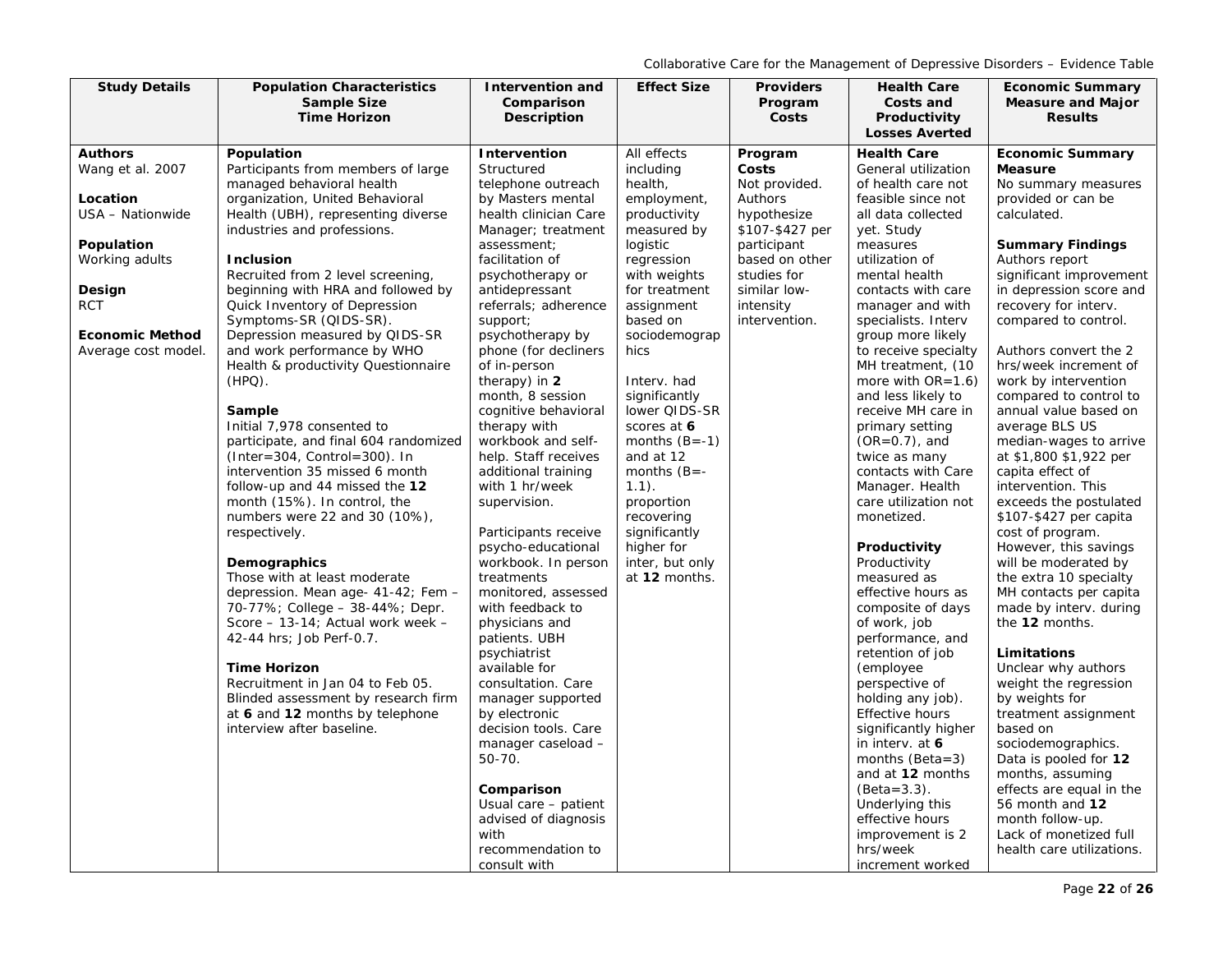| <b>Study Details</b>   | <b>Population Characteristics</b>                        | <b>Intervention and</b>                  | <b>Effect Size</b>    | <b>Providers</b> | <b>Health Care</b>                        | <b>Economic Summary</b>            |
|------------------------|----------------------------------------------------------|------------------------------------------|-----------------------|------------------|-------------------------------------------|------------------------------------|
|                        | <b>Sample Size</b>                                       | Comparison                               |                       | Program          | Costs and                                 | <b>Measure and Major</b>           |
|                        | <b>Time Horizon</b>                                      | Description                              |                       | Costs            | Productivity                              | <b>Results</b>                     |
|                        |                                                          |                                          |                       |                  | <b>Losses Averted</b>                     |                                    |
| <b>Authors</b>         | Population                                               | Intervention                             | All effects           | Program          | <b>Health Care</b>                        | <b>Economic Summary</b>            |
| Wang et al. 2007       | Participants from members of large                       | Structured                               | including             | Costs            | General utilization                       | <b>Measure</b>                     |
|                        | managed behavioral health                                | telephone outreach                       | health,               | Not provided.    | of health care not                        | No summary measures                |
| Location               | organization, United Behavioral                          | by Masters mental                        | employment,           | Authors          | feasible since not                        | provided or can be                 |
| USA - Nationwide       | Health (UBH), representing diverse                       | health clinician Care                    | productivity          | hypothesize      | all data collected                        | calculated.                        |
|                        | industries and professions.                              | Manager; treatment                       | measured by           | \$107-\$427 per  | yet. Study                                |                                    |
| Population             |                                                          | assessment;                              | logistic              | participant      | measures                                  | <b>Summary Findings</b>            |
| Working adults         | <b>Inclusion</b>                                         | facilitation of                          | regression            | based on other   | utilization of                            | Authors report                     |
|                        | Recruited from 2 level screening,                        | psychotherapy or                         | with weights          | studies for      | mental health                             | significant improvement            |
| Design                 | beginning with HRA and followed by                       | antidepressant                           | for treatment         | similar low-     | contacts with care                        | in depression score and            |
| <b>RCT</b>             | Quick Inventory of Depression                            | referrals; adherence                     | assignment            | intensity        | manager and with                          | recovery for interv.               |
| <b>Economic Method</b> | Symptoms-SR (QIDS-SR).<br>Depression measured by QIDS-SR | support;                                 | based on              | intervention.    | specialists. Interv                       | compared to control.               |
| Average cost model.    | and work performance by WHO                              | psychotherapy by<br>phone (for decliners | sociodemograp<br>hics |                  | group more likely<br>to receive specialty | Authors convert the 2              |
|                        | Health & productivity Questionnaire                      | of in-person                             |                       |                  | MH treatment, (10                         | hrs/week increment of              |
|                        | $(HPO)$ .                                                | therapy) in $2$                          | Interv. had           |                  | more with $OR=1.6$ )                      | work by intervention               |
|                        |                                                          | month, 8 session                         | significantly         |                  | and less likely to                        | compared to control to             |
|                        | Sample                                                   | cognitive behavioral                     | lower QIDS-SR         |                  | receive MH care in                        | annual value based on              |
|                        | Initial 7,978 consented to                               | therapy with                             | scores at 6           |                  | primary setting                           | average BLS US                     |
|                        | participate, and final 604 randomized                    | workbook and self-                       | months $(B=-1)$       |                  | $(OR=0.7)$ , and                          | median-wages to arrive             |
|                        | $(Inter = 304, Control = 300).$ In                       | help. Staff receives                     | and at 12             |                  | twice as many                             | at \$1,800 \$1,922 per             |
|                        | intervention 35 missed 6 month                           | additional training                      | months $(B=-$         |                  | contacts with Care                        | capita effect of                   |
|                        | follow-up and 44 missed the 12                           | with 1 hr/week                           | $1.1$ ).              |                  | Manager. Health                           | intervention. This                 |
|                        | month (15%). In control, the                             | supervision.                             | proportion            |                  | care utilization not                      | exceeds the postulated             |
|                        | numbers were 22 and 30 (10%),                            |                                          | recovering            |                  | monetized.                                | \$107-\$427 per capita             |
|                        | respectively.                                            | Participants receive                     | significantly         |                  |                                           | cost of program.                   |
|                        |                                                          | psycho-educational                       | higher for            |                  | Productivity                              | However, this savings              |
|                        | Demographics                                             | workbook. In person                      | inter, but only       |                  | Productivity                              | will be moderated by               |
|                        | Those with at least moderate                             | treatments                               | at 12 months.         |                  | measured as                               | the extra 10 specialty             |
|                        | depression. Mean age- 41-42; Fem -                       | monitored, assessed                      |                       |                  | effective hours as                        | MH contacts per capita             |
|                        | 70-77%; College - 38-44%; Depr.                          | with feedback to                         |                       |                  | composite of days                         | made by interv. during             |
|                        | Score - 13-14; Actual work week -                        | physicians and                           |                       |                  | of work, job                              | the 12 months.                     |
|                        | 42-44 hrs; Job Perf-0.7.                                 | patients. UBH                            |                       |                  | performance, and                          |                                    |
|                        | <b>Time Horizon</b>                                      | psychiatrist<br>available for            |                       |                  | retention of job<br>(employee)            | Limitations<br>Unclear why authors |
|                        | Recruitment in Jan 04 to Feb 05.                         | consultation. Care                       |                       |                  | perspective of                            | weight the regression              |
|                        | Blinded assessment by research firm                      | manager supported                        |                       |                  | holding any job).                         | by weights for                     |
|                        | at 6 and 12 months by telephone                          | by electronic                            |                       |                  | Effective hours                           | treatment assignment               |
|                        | interview after baseline.                                | decision tools. Care                     |                       |                  | significantly higher                      | based on                           |
|                        |                                                          | manager caseload -                       |                       |                  | in interv. at 6                           | sociodemographics.                 |
|                        |                                                          | 50-70.                                   |                       |                  | months (Beta=3)                           | Data is pooled for 12              |
|                        |                                                          |                                          |                       |                  | and at 12 months                          | months, assuming                   |
|                        |                                                          | Comparison                               |                       |                  | $(Beta=3.3).$                             | effects are equal in the           |
|                        |                                                          | Usual care - patient                     |                       |                  | Underlying this                           | 56 month and 12                    |
|                        |                                                          | advised of diagnosis                     |                       |                  | effective hours                           | month follow-up.                   |
|                        |                                                          | with                                     |                       |                  | improvement is 2                          | Lack of monetized full             |
|                        |                                                          | recommendation to                        |                       |                  | hrs/week                                  | health care utilizations.          |
|                        |                                                          | consult with                             |                       |                  | increment worked                          |                                    |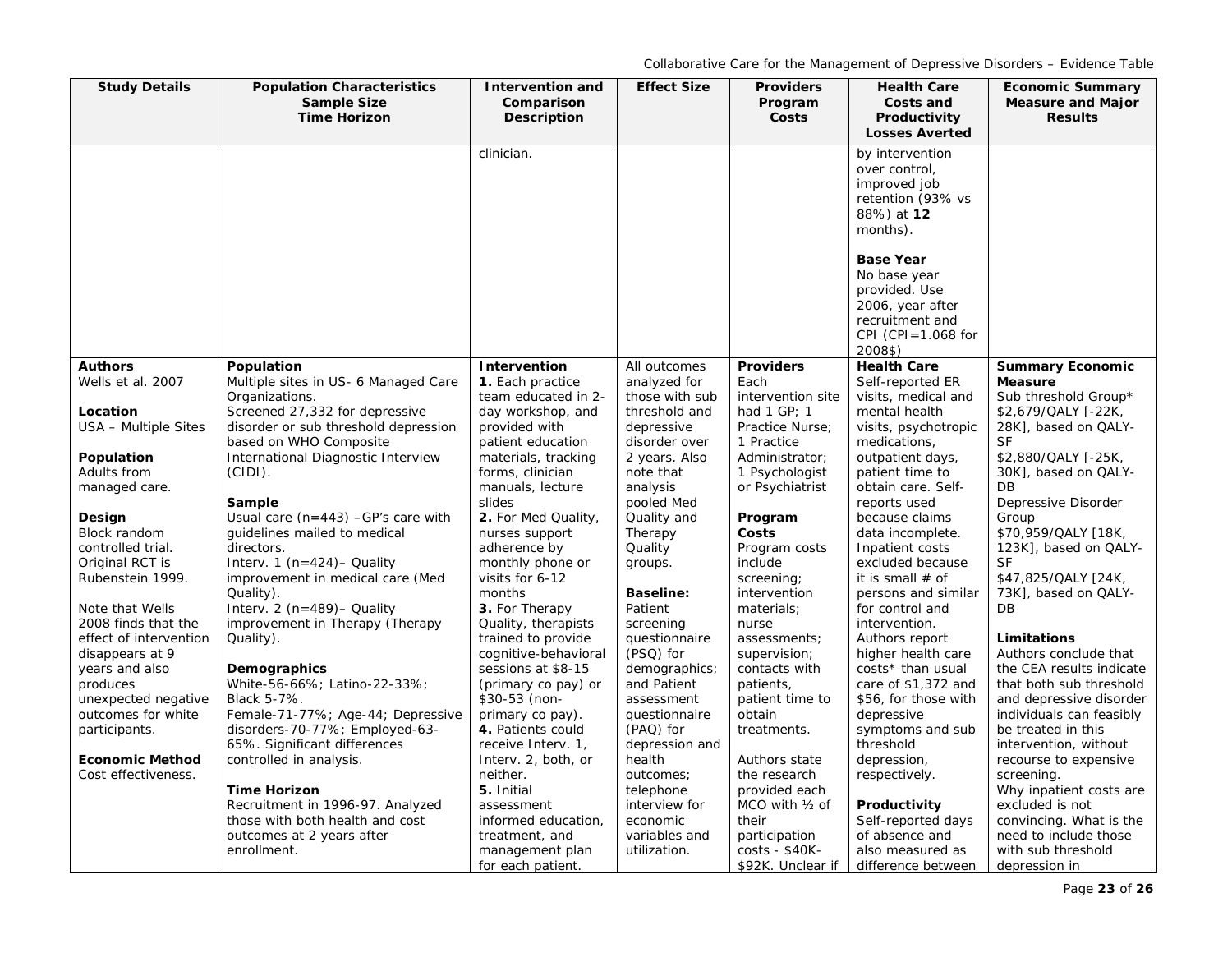| <b>Study Details</b>   | <b>Population Characteristics</b>                                   | Intervention and                         | <b>Effect Size</b>              | <b>Providers</b>                 | <b>Health Care</b>                     | <b>Economic Summary</b>                          |
|------------------------|---------------------------------------------------------------------|------------------------------------------|---------------------------------|----------------------------------|----------------------------------------|--------------------------------------------------|
|                        | <b>Sample Size</b>                                                  | Comparison                               |                                 | Program                          | Costs and                              | <b>Measure and Major</b>                         |
|                        | <b>Time Horizon</b>                                                 | Description                              |                                 | Costs                            | Productivity                           | <b>Results</b>                                   |
|                        |                                                                     |                                          |                                 |                                  | <b>Losses Averted</b>                  |                                                  |
|                        |                                                                     | clinician.                               |                                 |                                  | by intervention                        |                                                  |
|                        |                                                                     |                                          |                                 |                                  | over control,                          |                                                  |
|                        |                                                                     |                                          |                                 |                                  | improved job                           |                                                  |
|                        |                                                                     |                                          |                                 |                                  | retention (93% vs                      |                                                  |
|                        |                                                                     |                                          |                                 |                                  | 88%) at 12<br>months).                 |                                                  |
|                        |                                                                     |                                          |                                 |                                  |                                        |                                                  |
|                        |                                                                     |                                          |                                 |                                  | <b>Base Year</b>                       |                                                  |
|                        |                                                                     |                                          |                                 |                                  | No base year                           |                                                  |
|                        |                                                                     |                                          |                                 |                                  | provided. Use                          |                                                  |
|                        |                                                                     |                                          |                                 |                                  | 2006, year after                       |                                                  |
|                        |                                                                     |                                          |                                 |                                  | recruitment and                        |                                                  |
|                        |                                                                     |                                          |                                 |                                  | CPI (CPI= $1.068$ for                  |                                                  |
|                        |                                                                     |                                          |                                 |                                  | 2008\$)                                |                                                  |
| <b>Authors</b>         | Population                                                          | Intervention                             | All outcomes                    | <b>Providers</b>                 | <b>Health Care</b>                     | <b>Summary Economic</b>                          |
| Wells et al. 2007      | Multiple sites in US- 6 Managed Care                                | 1. Each practice                         | analyzed for                    | Each                             | Self-reported ER                       | <b>Measure</b>                                   |
| Location               | Organizations.<br>Screened 27,332 for depressive                    | team educated in 2-<br>day workshop, and | those with sub<br>threshold and | intervention site<br>had 1 GP; 1 | visits, medical and<br>mental health   | Sub threshold Group*<br>\$2,679/QALY [-22K,      |
| USA - Multiple Sites   | disorder or sub threshold depression                                | provided with                            | depressive                      | Practice Nurse:                  | visits, psychotropic                   | 28K], based on QALY-                             |
|                        | based on WHO Composite                                              | patient education                        | disorder over                   | 1 Practice                       | medications,                           | <b>SF</b>                                        |
| Population             | International Diagnostic Interview                                  | materials, tracking                      | 2 years. Also                   | Administrator;                   | outpatient days,                       | \$2,880/QALY [-25K,                              |
| Adults from            | $(CIDI)$ .                                                          | forms, clinician                         | note that                       | 1 Psychologist                   | patient time to                        | 30K], based on QALY-                             |
| managed care.          |                                                                     | manuals, lecture                         | analysis                        | or Psychiatrist                  | obtain care. Self-                     | DB                                               |
|                        | Sample                                                              | slides                                   | pooled Med                      |                                  | reports used                           | Depressive Disorder                              |
| Design                 | Usual care $(n=443)$ -GP's care with                                | 2. For Med Quality,                      | Quality and                     | Program                          | because claims                         | Group                                            |
| Block random           | quidelines mailed to medical                                        | nurses support                           | Therapy                         | Costs                            | data incomplete.                       | \$70,959/QALY [18K,                              |
| controlled trial.      | directors.                                                          | adherence by                             | Quality                         | Program costs                    | Inpatient costs                        | 123K], based on QALY-                            |
| Original RCT is        | Interv. 1 ( $n=424$ ) - Quality                                     | monthly phone or                         | groups.                         | include                          | excluded because                       | SF                                               |
| Rubenstein 1999.       | improvement in medical care (Med                                    | visits for 6-12                          |                                 | screening;                       | it is small $#$ of                     | \$47,825/QALY [24K,                              |
| Note that Wells        | Quality).<br>Interv. 2 (n=489)- Quality                             | months                                   | <b>Baseline:</b><br>Patient     | intervention                     | persons and similar<br>for control and | 73K], based on QALY-<br>DB                       |
| 2008 finds that the    | improvement in Therapy (Therapy                                     | 3. For Therapy<br>Quality, therapists    | screening                       | materials;<br>nurse              | intervention.                          |                                                  |
| effect of intervention | Quality).                                                           | trained to provide                       | questionnaire                   | assessments;                     | Authors report                         | Limitations                                      |
| disappears at 9        |                                                                     | cognitive-behavioral                     | (PSQ) for                       | supervision;                     | higher health care                     | Authors conclude that                            |
| years and also         | Demographics                                                        | sessions at \$8-15                       | demographics;                   | contacts with                    | costs* than usual                      | the CEA results indicate                         |
| produces               | White-56-66%; Latino-22-33%;                                        | (primary co pay) or                      | and Patient                     | patients,                        | care of $$1,372$ and                   | that both sub threshold                          |
| unexpected negative    | Black 5-7%.                                                         | \$30-53 (non-                            | assessment                      | patient time to                  | \$56, for those with                   | and depressive disorder                          |
| outcomes for white     | Female-71-77%; Age-44; Depressive                                   | primary co pay).                         | questionnaire                   | obtain                           | depressive                             | individuals can feasibly                         |
| participants.          | disorders-70-77%; Employed-63-                                      | 4. Patients could                        | (PAQ) for                       | treatments.                      | symptoms and sub                       | be treated in this                               |
|                        | 65%. Significant differences                                        | receive Interv. 1,                       | depression and                  |                                  | threshold                              | intervention, without                            |
| <b>Economic Method</b> | controlled in analysis.                                             | Interv. 2, both, or                      | health                          | Authors state                    | depression,                            | recourse to expensive                            |
| Cost effectiveness.    |                                                                     | neither.                                 | outcomes;                       | the research                     | respectively.                          | screening.                                       |
|                        | <b>Time Horizon</b>                                                 | 5. Initial                               | telephone                       | provided each                    |                                        | Why inpatient costs are                          |
|                        | Recruitment in 1996-97. Analyzed<br>those with both health and cost | assessment<br>informed education,        | interview for<br>economic       | MCO with 1/2 of<br>their         | Productivity                           | excluded is not                                  |
|                        | outcomes at 2 years after                                           | treatment, and                           | variables and                   | participation                    | Self-reported days<br>of absence and   | convincing. What is the<br>need to include those |
|                        | enrollment.                                                         | management plan                          | utilization.                    | costs - \$40K-                   | also measured as                       | with sub threshold                               |
|                        |                                                                     | for each patient.                        |                                 | \$92K. Unclear if                | difference between                     | depression in                                    |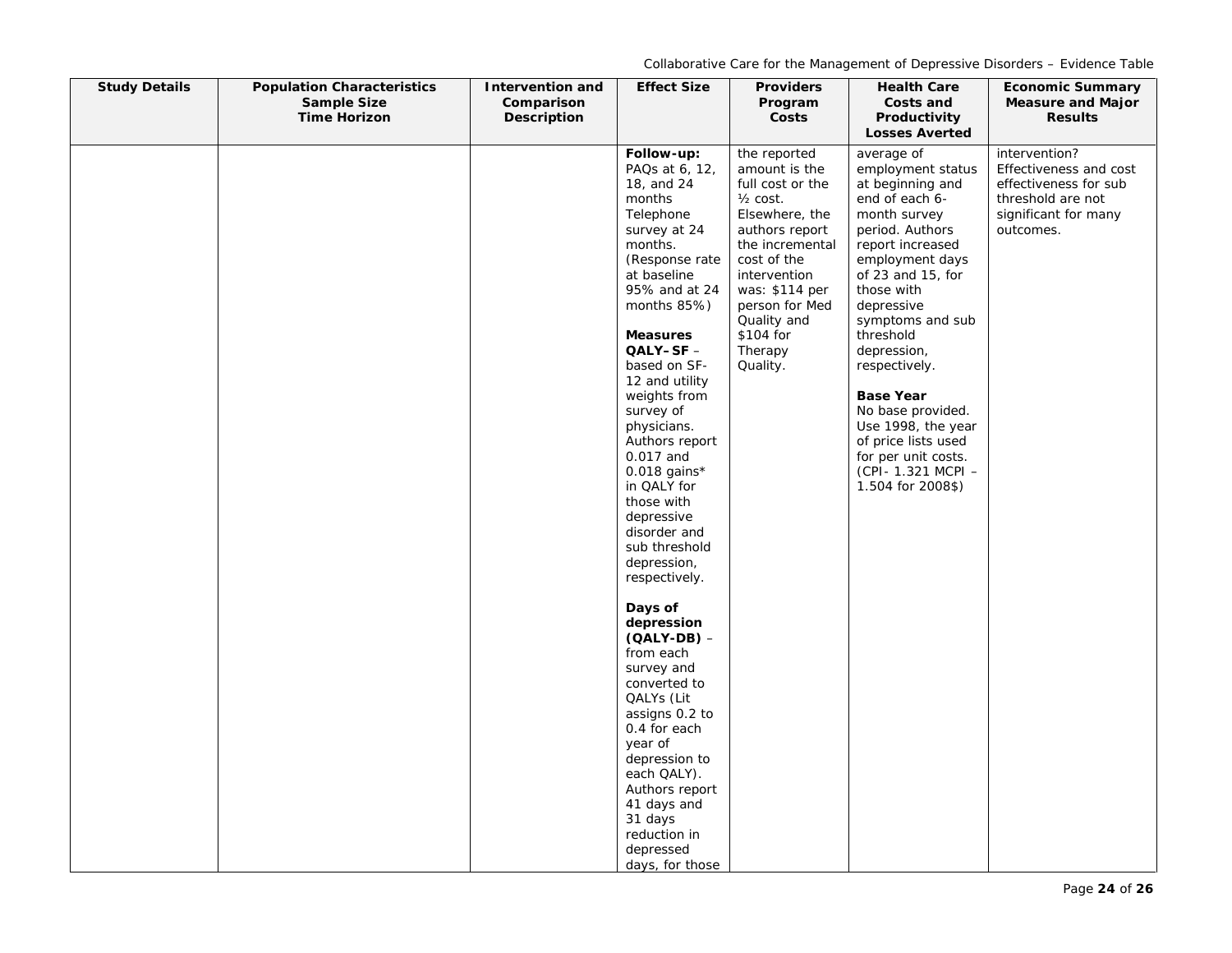| <b>Study Details</b> | <b>Population Characteristics</b><br><b>Sample Size</b><br><b>Time Horizon</b> | <b>Intervention and</b><br>Comparison<br>Description | <b>Effect Size</b>                                                                                                                                                                                                                                                                                                                                                                                                                                                                                                                                                                                                                                                                                 | <b>Providers</b><br>Program<br>Costs                                                                                                                                                                                                                  | <b>Health Care</b><br>Costs and<br>Productivity<br><b>Losses Averted</b>                                                                                                                                                                                                                                                                                                                                                       | <b>Economic Summary</b><br><b>Measure and Major</b><br><b>Results</b>                                                      |
|----------------------|--------------------------------------------------------------------------------|------------------------------------------------------|----------------------------------------------------------------------------------------------------------------------------------------------------------------------------------------------------------------------------------------------------------------------------------------------------------------------------------------------------------------------------------------------------------------------------------------------------------------------------------------------------------------------------------------------------------------------------------------------------------------------------------------------------------------------------------------------------|-------------------------------------------------------------------------------------------------------------------------------------------------------------------------------------------------------------------------------------------------------|--------------------------------------------------------------------------------------------------------------------------------------------------------------------------------------------------------------------------------------------------------------------------------------------------------------------------------------------------------------------------------------------------------------------------------|----------------------------------------------------------------------------------------------------------------------------|
|                      |                                                                                |                                                      | Follow-up:<br>PAQs at 6, 12,<br>18, and 24<br>months<br>Telephone<br>survey at 24<br>months.<br>(Response rate)<br>at baseline<br>95% and at 24<br>months 85%)<br><b>Measures</b><br>QALY-SF -<br>based on SF-<br>12 and utility<br>weights from<br>survey of<br>physicians.<br>Authors report<br>0.017 and<br>$0.018$ gains*<br>in QALY for<br>those with<br>depressive<br>disorder and<br>sub threshold<br>depression,<br>respectively.<br>Days of<br>depression<br>$(OALY-DB)$ –<br>from each<br>survey and<br>converted to<br>QALYs (Lit<br>assigns 0.2 to<br>0.4 for each<br>year of<br>depression to<br>each QALY).<br>Authors report<br>41 days and<br>31 days<br>reduction in<br>depressed | the reported<br>amount is the<br>full cost or the<br>$\frac{1}{2}$ cost.<br>Elsewhere, the<br>authors report<br>the incremental<br>cost of the<br>intervention<br>was: \$114 per<br>person for Med<br>Quality and<br>\$104 for<br>Therapy<br>Quality. | average of<br>employment status<br>at beginning and<br>end of each 6-<br>month survey<br>period. Authors<br>report increased<br>employment days<br>of $23$ and $15$ , for<br>those with<br>depressive<br>symptoms and sub<br>threshold<br>depression,<br>respectively.<br><b>Base Year</b><br>No base provided.<br>Use 1998, the year<br>of price lists used<br>for per unit costs.<br>(CPI- 1.321 MCPI -<br>1.504 for 2008\$) | intervention?<br>Effectiveness and cost<br>effectiveness for sub<br>threshold are not<br>significant for many<br>outcomes. |
|                      |                                                                                |                                                      | days, for those                                                                                                                                                                                                                                                                                                                                                                                                                                                                                                                                                                                                                                                                                    |                                                                                                                                                                                                                                                       |                                                                                                                                                                                                                                                                                                                                                                                                                                |                                                                                                                            |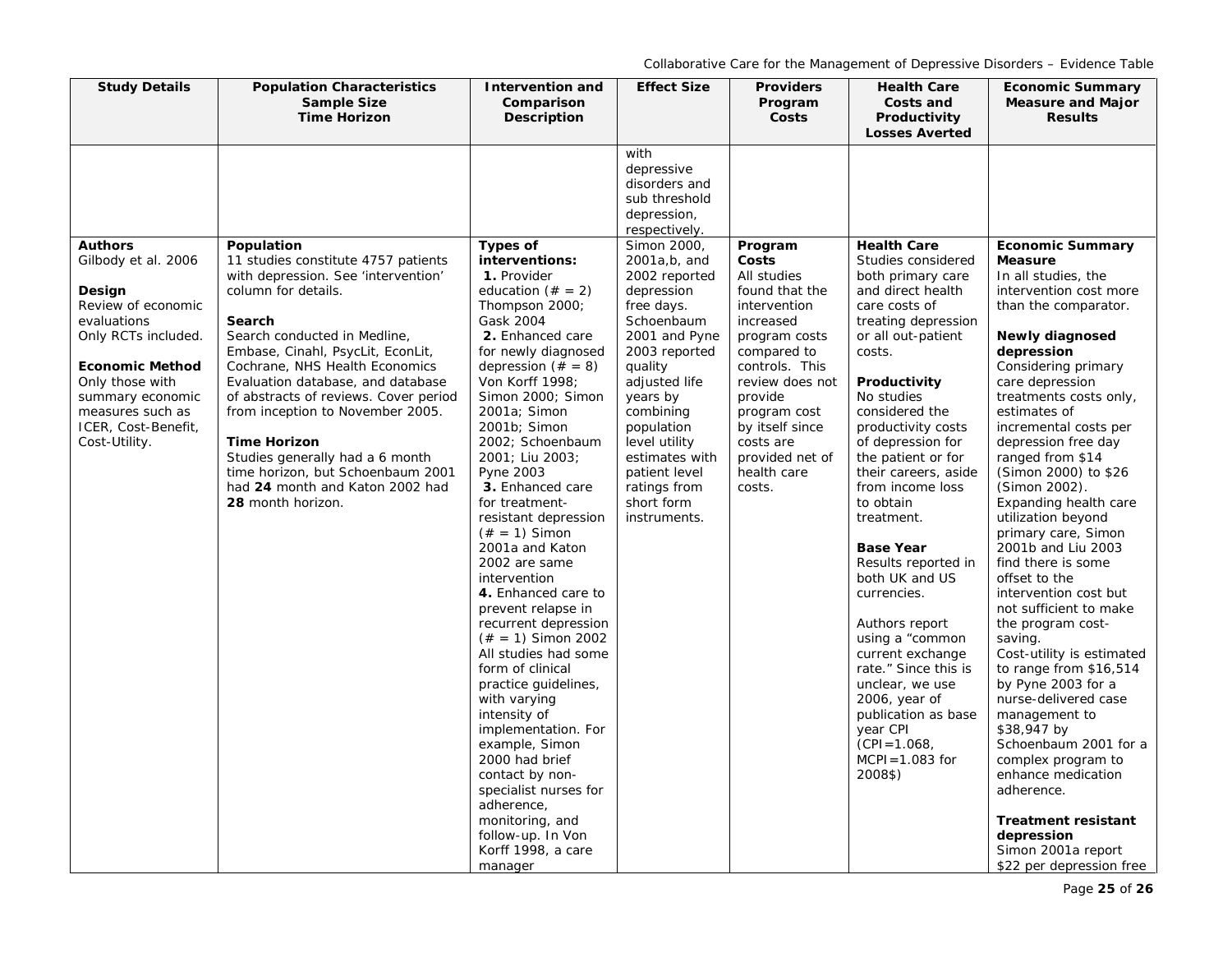| <b>Study Details</b>                                                                                                                                                                                                                     | <b>Population Characteristics</b><br><b>Sample Size</b><br><b>Time Horizon</b>                                                                                                                                                                                                                                                                                                                                                                                                                            | <b>Intervention and</b><br>Comparison<br><b>Description</b>                                                                                                                                                                                                                                                                                                                                                                                                                                                                                                                                                                                                    | <b>Effect Size</b>                                                                                                                                                                                                                                                                            | <b>Providers</b><br>Program<br>Costs                                                                                                                                                                                                                       | <b>Health Care</b><br>Costs and<br>Productivity<br><b>Losses Averted</b>                                                                                                                                                                                                                                                                                                                                                                                                                                                                                                               | <b>Economic Summary</b><br><b>Measure and Major</b><br><b>Results</b>                                                                                                                                                                                                                                                                                                                                                                                                                                                                                                                                                                                                                                                   |
|------------------------------------------------------------------------------------------------------------------------------------------------------------------------------------------------------------------------------------------|-----------------------------------------------------------------------------------------------------------------------------------------------------------------------------------------------------------------------------------------------------------------------------------------------------------------------------------------------------------------------------------------------------------------------------------------------------------------------------------------------------------|----------------------------------------------------------------------------------------------------------------------------------------------------------------------------------------------------------------------------------------------------------------------------------------------------------------------------------------------------------------------------------------------------------------------------------------------------------------------------------------------------------------------------------------------------------------------------------------------------------------------------------------------------------------|-----------------------------------------------------------------------------------------------------------------------------------------------------------------------------------------------------------------------------------------------------------------------------------------------|------------------------------------------------------------------------------------------------------------------------------------------------------------------------------------------------------------------------------------------------------------|----------------------------------------------------------------------------------------------------------------------------------------------------------------------------------------------------------------------------------------------------------------------------------------------------------------------------------------------------------------------------------------------------------------------------------------------------------------------------------------------------------------------------------------------------------------------------------------|-------------------------------------------------------------------------------------------------------------------------------------------------------------------------------------------------------------------------------------------------------------------------------------------------------------------------------------------------------------------------------------------------------------------------------------------------------------------------------------------------------------------------------------------------------------------------------------------------------------------------------------------------------------------------------------------------------------------------|
|                                                                                                                                                                                                                                          |                                                                                                                                                                                                                                                                                                                                                                                                                                                                                                           |                                                                                                                                                                                                                                                                                                                                                                                                                                                                                                                                                                                                                                                                | with<br>depressive<br>disorders and<br>sub threshold<br>depression,<br>respectively.                                                                                                                                                                                                          |                                                                                                                                                                                                                                                            |                                                                                                                                                                                                                                                                                                                                                                                                                                                                                                                                                                                        |                                                                                                                                                                                                                                                                                                                                                                                                                                                                                                                                                                                                                                                                                                                         |
| <b>Authors</b><br>Gilbody et al. 2006<br>Design<br>Review of economic<br>evaluations<br>Only RCTs included.<br><b>Economic Method</b><br>Only those with<br>summary economic<br>measures such as<br>ICER, Cost-Benefit,<br>Cost-Utility. | Population<br>11 studies constitute 4757 patients<br>with depression. See 'intervention'<br>column for details.<br>Search<br>Search conducted in Medline,<br>Embase, Cinahl, PsycLit, EconLit,<br>Cochrane, NHS Health Economics<br>Evaluation database, and database<br>of abstracts of reviews. Cover period<br>from inception to November 2005.<br><b>Time Horizon</b><br>Studies generally had a 6 month<br>time horizon, but Schoenbaum 2001<br>had 24 month and Katon 2002 had<br>28 month horizon. | Types of<br>interventions:<br>1. Provider<br>education $(\# = 2)$<br>Thompson 2000;<br>Gask 2004<br>2. Enhanced care<br>for newly diagnosed<br>depression $(\# = 8)$<br>Von Korff 1998;<br>Simon 2000; Simon<br>2001a; Simon<br>2001b; Simon<br>2002; Schoenbaum<br>2001; Liu 2003;<br>Pyne 2003<br>3. Enhanced care<br>for treatment-<br>resistant depression<br>$(* = 1)$ Simon<br>2001a and Katon<br>2002 are same<br>intervention<br>4. Enhanced care to<br>prevent relapse in<br>recurrent depression<br>$(\# = 1)$ Simon 2002<br>All studies had some<br>form of clinical<br>practice quidelines,<br>with varying<br>intensity of<br>implementation. For | Simon 2000.<br>2001a,b, and<br>2002 reported<br>depression<br>free days.<br>Schoenbaum<br>2001 and Pyne<br>2003 reported<br>quality<br>adjusted life<br>years by<br>combining<br>population<br>level utility<br>estimates with<br>patient level<br>ratings from<br>short form<br>instruments. | Program<br>Costs<br>All studies<br>found that the<br>intervention<br>increased<br>program costs<br>compared to<br>controls. This<br>review does not<br>provide<br>program cost<br>by itself since<br>costs are<br>provided net of<br>health care<br>costs. | <b>Health Care</b><br>Studies considered<br>both primary care<br>and direct health<br>care costs of<br>treating depression<br>or all out-patient<br>costs.<br>Productivity<br>No studies<br>considered the<br>productivity costs<br>of depression for<br>the patient or for<br>their careers, aside<br>from income loss<br>to obtain<br>treatment.<br><b>Base Year</b><br>Results reported in<br>both UK and US<br>currencies.<br>Authors report<br>using a "common<br>current exchange<br>rate." Since this is<br>unclear, we use<br>2006, year of<br>publication as base<br>year CPI | <b>Economic Summary</b><br><b>Measure</b><br>In all studies, the<br>intervention cost more<br>than the comparator.<br><b>Newly diagnosed</b><br>depression<br>Considering primary<br>care depression<br>treatments costs only,<br>estimates of<br>incremental costs per<br>depression free day<br>ranged from \$14<br>(Simon 2000) to \$26<br>(Simon 2002).<br>Expanding health care<br>utilization beyond<br>primary care, Simon<br>2001b and Liu 2003<br>find there is some<br>offset to the<br>intervention cost but<br>not sufficient to make<br>the program cost-<br>saving.<br>Cost-utility is estimated<br>to range from $$16,514$<br>by Pyne 2003 for a<br>nurse-delivered case<br>management to<br>\$38,947 by |
|                                                                                                                                                                                                                                          |                                                                                                                                                                                                                                                                                                                                                                                                                                                                                                           | example, Simon<br>2000 had brief<br>contact by non-<br>specialist nurses for<br>adherence,<br>monitoring, and<br>follow-up. In Von<br>Korff 1998, a care<br>manager                                                                                                                                                                                                                                                                                                                                                                                                                                                                                            |                                                                                                                                                                                                                                                                                               |                                                                                                                                                                                                                                                            | $(CPI = 1.068,$<br>$MCPI = 1.083$ for<br>2008\$)                                                                                                                                                                                                                                                                                                                                                                                                                                                                                                                                       | Schoenbaum 2001 for a<br>complex program to<br>enhance medication<br>adherence.<br><b>Treatment resistant</b><br>depression<br>Simon 2001a report<br>\$22 per depression free                                                                                                                                                                                                                                                                                                                                                                                                                                                                                                                                           |